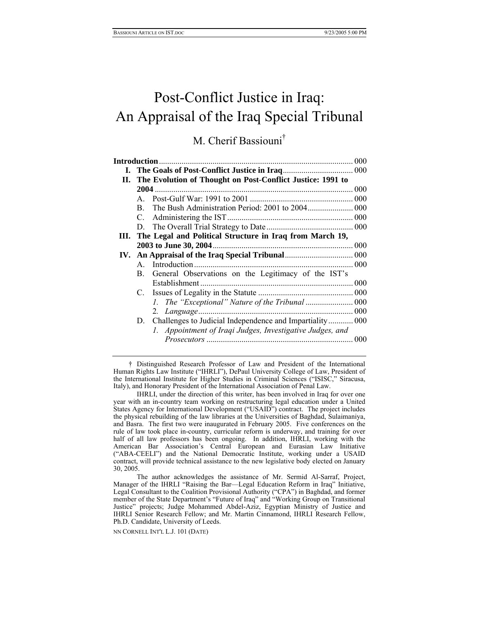# Post-Conflict Justice in Iraq: An Appraisal of the Iraq Special Tribunal

## M. Cherif Bassioun[i†](#page-0-0)

| Introduction |                                                            |                                                           | 000 |
|--------------|------------------------------------------------------------|-----------------------------------------------------------|-----|
|              |                                                            |                                                           |     |
| П.           | The Evolution of Thought on Post-Conflict Justice: 1991 to |                                                           |     |
|              | 2004.                                                      |                                                           |     |
|              | $\mathsf{A}$                                               |                                                           |     |
|              | B.                                                         |                                                           |     |
|              | $C_{\cdot}$                                                |                                                           |     |
|              | D.                                                         |                                                           |     |
| HL.          |                                                            | The Legal and Political Structure in Iraq from March 19,  |     |
|              |                                                            | 2003 to June 30, 2004                                     |     |
|              |                                                            |                                                           |     |
|              | $\mathsf{A}$                                               |                                                           |     |
|              | B.                                                         | General Observations on the Legitimacy of the IST's       |     |
|              |                                                            | Establishment                                             |     |
|              |                                                            |                                                           |     |
|              |                                                            |                                                           |     |
|              |                                                            | 2.                                                        |     |
|              | D.                                                         | Challenges to Judicial Independence and Impartiality 000  |     |
|              |                                                            | 1. Appointment of Iraqi Judges, Investigative Judges, and |     |
|              |                                                            |                                                           | 000 |
|              |                                                            |                                                           |     |

<span id="page-0-0"></span>† Distinguished Research Professor of Law and President of the International Human Rights Law Institute ("IHRLI"), DePaul University College of Law, President of the International Institute for Higher Studies in Criminal Sciences ("ISISC," Siracusa, Italy), and Honorary President of the International Association of Penal Law.

IHRLI, under the direction of this writer, has been involved in Iraq for over one year with an in-country team working on restructuring legal education under a United States Agency for International Development ("USAID") contract. The project includes the physical rebuilding of the law libraries at the Universities of Baghdad, Sulaimaniya, and Basra. The first two were inaugurated in February 2005. Five conferences on the rule of law took place in-country, curricular reform is underway, and training for over half of all law professors has been ongoing. In addition, IHRLI, working with the American Bar Association's Central European and Eurasian Law Initiative ("ABA-CEELI") and the National Democratic Institute, working under a USAID contract, will provide technical assistance to the new legislative body elected on January 30, 2005.

The author acknowledges the assistance of Mr. Sermid Al-Sarraf, Project, Manager of the IHRLI "Raising the Bar—Legal Education Reform in Iraq" Initiative, Legal Consultant to the Coalition Provisional Authority ("CPA") in Baghdad, and former member of the State Department's "Future of Iraq" and "Working Group on Transitional Justice" projects; Judge Mohammed Abdel-Aziz, Egyptian Ministry of Justice and IHRLI Senior Research Fellow; and Mr. Martin Cinnamond, IHRLI Research Fellow, Ph.D. Candidate, University of Leeds.

NN CORNELL INT'L L.J. 101 (DATE)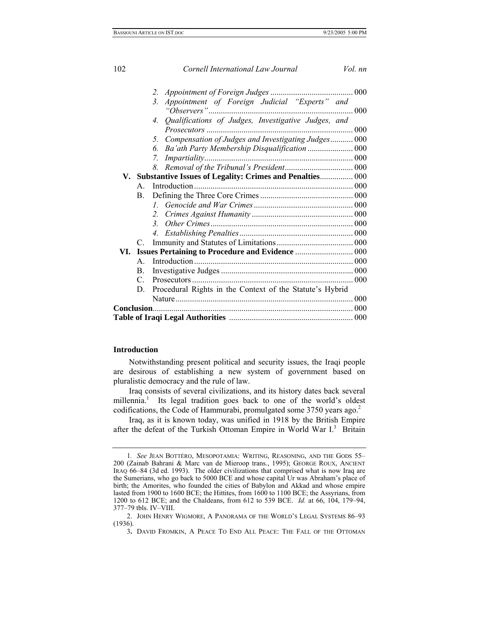| 102 |                | Cornell International Law Journal                           | Vol. nn |  |  |
|-----|----------------|-------------------------------------------------------------|---------|--|--|
|     |                | 2.                                                          |         |  |  |
|     |                | Appointment of Foreign Judicial "Experts" and<br>3.         |         |  |  |
|     |                | Qualifications of Judges, Investigative Judges, and<br>4.   |         |  |  |
|     |                | Compensation of Judges and Investigating Judges 000<br>5.   |         |  |  |
|     |                | 6.                                                          |         |  |  |
|     |                | $\mathcal{I}_{\cdot}$                                       |         |  |  |
|     |                | 8.                                                          |         |  |  |
|     |                | V. Substantive Issues of Legality: Crimes and Penalties 000 |         |  |  |
|     | $\mathsf{A}$   |                                                             |         |  |  |
|     | B.             |                                                             |         |  |  |
|     |                | $\mathcal{I}$                                               |         |  |  |
|     |                | 2.                                                          |         |  |  |
|     |                | 3 <sup>1</sup>                                              |         |  |  |
|     |                | 4.                                                          |         |  |  |
|     | $\mathcal{C}$  |                                                             |         |  |  |
| VI. |                |                                                             |         |  |  |
|     | $\mathsf{A}$   |                                                             |         |  |  |
|     | $\mathbf{B}$ . |                                                             |         |  |  |
|     | $\mathcal{C}$  |                                                             |         |  |  |
|     | D.             | Procedural Rights in the Context of the Statute's Hybrid    |         |  |  |
|     |                |                                                             |         |  |  |
|     |                |                                                             |         |  |  |
|     |                |                                                             |         |  |  |

## **Introduction**

Notwithstanding present political and security issues, the Iraqi people are desirous of establishing a new system of government based on pluralistic democracy and the rule of law.

Iraq consists of several civilizations, and its history dates back several millennia.<sup>1</sup> Its legal tradition goes back to one of the world's oldest codifications, the Code of Hammurabi, promulgated some 3750 years ago.<sup>2</sup>

Iraq, as it is known today, was unified in 1918 by the British Empire after the defeat of the Turkish Ottoman Empire in World War I.<sup>[3](#page-1-2)</sup> Britain

<span id="page-1-0"></span><sup>1</sup>*. See* JEAN BOTTÉRO, MESOPOTAMIA: WRITING, REASONING, AND THE GODS 55– 200 (Zainab Bahrani & Marc van de Mieroop trans., 1995); GEORGE ROUX, ANCIENT IRAQ 66–84 (3d ed. 1993). The older civilizations that comprised what is now Iraq are the Sumerians, who go back to 5000 BCE and whose capital Ur was Abraham's place of birth; the Amorites, who founded the cities of Babylon and Akkad and whose empire lasted from 1900 to 1600 BCE; the Hittites, from 1600 to 1100 BCE; the Assyrians, from 1200 to 612 BCE; and the Chaldeans, from 612 to 539 BCE. *Id.* at 66, 104, 179–94, 377–79 tbls. IV–VIII.

<span id="page-1-1"></span> <sup>2.</sup> JOHN HENRY WIGMORE, A PANORAMA OF THE WORLD'S LEGAL SYSTEMS 86–93 (1936).

<span id="page-1-2"></span><sup>3</sup>**.** DAVID FROMKIN, A PEACE TO END ALL PEACE: THE FALL OF THE OTTOMAN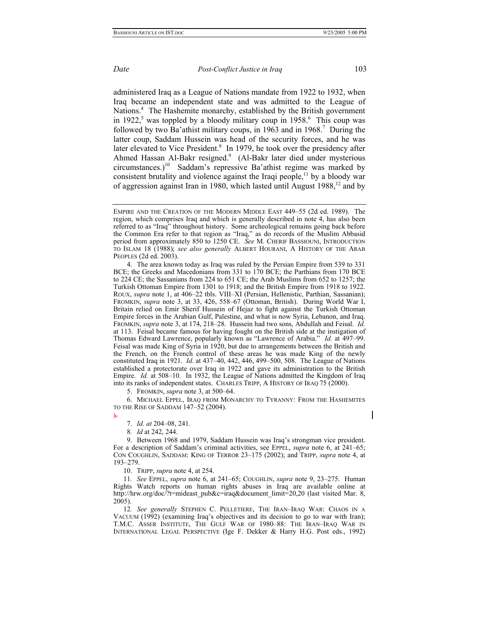<span id="page-2-8"></span>

administered Iraq as a League of Nations mandate from 1922 to 1932, when Iraq became an independent state and was admitted to the League of Nations.<sup>4</sup> The Hashemite monarchy, established by the British government in1922,<sup>5</sup> was toppled by a bloody military coup in 1958. $6$  This coup was followed by two Ba'athist military coups, in 1963 and in 1968.<sup>[7](#page-2-3)</sup> During the latter coup, Saddam Hussein was head of the security forces, and he was later elevated to Vice President.<sup>8</sup> In 1979, he took over the presidency after Ahmed Hassan Al-Bakr resigned.<sup>9</sup> (Al-Bakr later died under mysterious circumstances.)<sup>10</sup> Saddam's repressive Ba'athist regime was marked by consistent brutality and violence against the Iraqi people, $11$  by a bloody war of aggression against Iran in 1980, which lasted until August  $1988$ ,<sup>12</sup> and by

<span id="page-2-0"></span> 4. The area known today as Iraq was ruled by the Persian Empire from 539 to 331 BCE; the Greeks and Macedonians from 331 to 170 BCE; the Parthians from 170 BCE to 224 CE; the Sassanians from 224 to 651 CE; the Arab Muslims from 652 to 1257; the Turkish Ottoman Empire from 1301 to 1918; and the British Empire from 1918 to 1922. ROUX, *supra* note 1, at 406–22 tbls. VIII–XI (Persian, Hellenistic, Parthian, Sassanian); FROMKIN, *supra* note 3, at 33, 426, 558–67 (Ottoman, British). During World War I, Britain relied on Emir Sherif Hussein of Hejaz to fight against the Turkish Ottoman Empire forces in the Arabian Gulf, Palestine, and what is now Syria, Lebanon, and Iraq. FROMKIN, *supra* note 3, at 174, 218–28. Hussein had two sons, Abdullah and Feisal. *Id.* at 113. Feisal became famous for having fought on the British side at the instigation of Thomas Edward Lawrence, popularly known as "Lawrence of Arabia." *Id.* at 497–99. Feisal was made King of Syria in 1920, but due to arrangements between the British and the French, on the French control of these areas he was made King of the newly constituted Iraq in 1921. *Id*. at 437–40, 442, 446, 499–500, 508. The League of Nations established a protectorate over Iraq in 1922 and gave its administration to the British Empire. *Id.* at 508–10. In 1932, the League of Nations admitted the Kingdom of Iraq into its ranks of independent states.CHARLES TRIPP, A HISTORY OF IRAQ 75 (2000).

<span id="page-2-2"></span><span id="page-2-1"></span>5. FROMKIN, *supra* note 3, at 500–64.

 6. MICHAEL EPPEL, IRAQ FROM MONARCHY TO TYRANNY: FROM THE HASHEMITES TO THE RISE OF SADDAM 147–52 (2004).

).

<span id="page-2-4"></span><span id="page-2-3"></span>7. *Id. at* 204–08, 241.

<span id="page-2-5"></span>8*. Id* at 242, 244.

 9. Between 1968 and 1979, Saddam Hussein was Iraq's strongman vice president. For a description of Saddam's criminal activities, see EPPEL, *supra* note 6, at 241–65; CON COUGHLIN, SADDAM: KING OF TERROR 23–175 (2002); and TRIPP, *supra* note 4, at 193–279.

<span id="page-2-7"></span><span id="page-2-6"></span>10. TRIPP, *supra* note 4, at 254.

11*. See* EPPEL, *supra* note 6, at 241–65; COUGHLIN, *supra* note 9, 23–275. Human Rights Watch reports on human rights abuses in Iraq are available online at http://hrw.org/doc/?t=mideast\_pub&c=iraq&document\_limit=20,20 (last visited Mar. 8, 2005).

12*. See generally* STEPHEN C. PELLETIERE, THE IRAN–IRAQ WAR: CHAOS IN A VACUUM (1992) (examining Iraq's objectives and its decision to go to war with Iran); T.M.C. ASSER INSTITUTE, THE GULF WAR OF 1980–88: THE IRAN–IRAQ WAR IN INTERNATIONAL LEGAL PERSPECTIVE (Ige F. Dekker & Harry H.G. Post eds., 1992)

EMPIRE AND THE CREATION OF THE MODERN MIDDLE EAST 449–55 (2d ed. 1989). The region, which comprises Iraq and which is generally described in note 4, has also been referred to as "Iraq" throughout history. Some archeological remains going back before the Common Era refer to that region as "Iraq," as do records of the Muslim Abbasid period from approximately 850 to 1250 CE. *See* M. CHERIF BASSIOUNI, INTRODUCTION TO ISLAM 18 (1988); *see also generally* ALBERT HOURANI, A HISTORY OF THE ARAB PEOPLES (2d ed. 2003).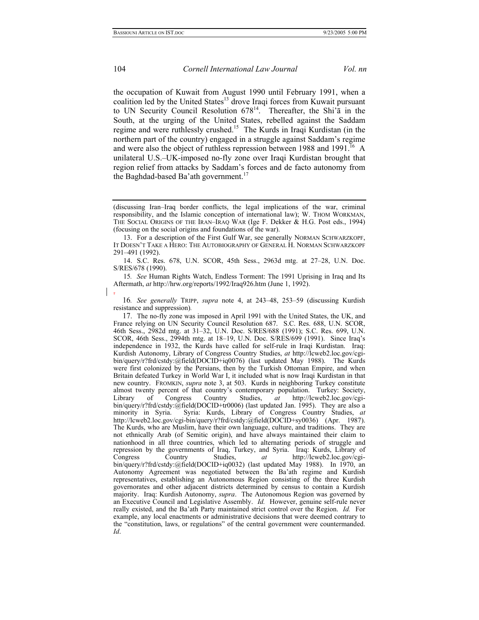the occupation of Kuwait from August 1990 until February 1991, when a coalition led by the United States $13$  drove Iraqi forces from Kuwait pursuant to UN Security Council Resolution 67[814.](#page-3-1)Thereafter, the Shi'ā in the South, at the urging of the United States, rebelled against the Saddam regime and were ruthlessly crushed.<sup>15</sup> The Kurds in Iraqi Kurdistan (in the northern part of the country) engaged in a struggle against Saddam's regime and were also the object of ruthless repression between 1988 and 1991.<sup>16</sup> A unilateral U.S.–UK-imposed no-fly zone over Iraqi Kurdistan brought that region relief from attacks by Saddam's forces and de facto autonomy from the Baghdad-based Ba'ath government.<sup>[17](#page-3-4)</sup>

<sup>(</sup>discussing Iran–Iraq border conflicts, the legal implications of the war, criminal responsibility, and the Islamic conception of international law); W. THOM WORKMAN, THE SOCIAL ORIGINS OF THE IRAN–IRAQ WAR (Ige F. Dekker & H.G. Post eds., 1994) (focusing on the social origins and foundations of the war).

<span id="page-3-0"></span> <sup>13.</sup> For a description of the First Gulf War, see generally NORMAN SCHWARZKOPF, IT DOESN'T TAKE A HERO: THE AUTOBIOGRAPHY OF GENERAL H. NORMAN SCHWARZKOPF 291–491 (1992).

<span id="page-3-2"></span><span id="page-3-1"></span> <sup>14.</sup> S.C. Res. 678, U.N. SCOR, 45th Sess., 2963d mtg. at 27–28, U.N. Doc. S/RES/678 (1990).

<span id="page-3-3"></span><sup>15</sup>*. See* Human Rights Watch, Endless Torment: The 1991 Uprising in Iraq and Its Aftermath, *at* http://hrw.org/reports/1992/Iraq926.htm (June 1, 1992). .

<span id="page-3-4"></span><sup>16</sup>*. See generally* TRIPP, *supra* note 4, at 243–48, 253–59 (discussing Kurdish resistance and suppression)*.*

<sup>17.</sup> The no-fly zone was imposed in April 1991 with the United States, the UK, and France relying on UN Security Council Resolution 687. S.C. Res. 688, U.N. SCOR, 46th Sess., 2982d mtg. at 31–32, U.N. Doc. S/RES/688 (1991); S.C. Res. 699, U.N. SCOR, 46th Sess., 2994th mtg. at 18–19, U.N. Doc. S/RES/699 (1991). Since Iraq's independence in 1932, the Kurds have called for self-rule in Iraqi Kurdistan. Iraq: Kurdish Autonomy, Library of Congress Country Studies, *at* http://lcweb2.loc.gov/cgibin/query/r?frd/cstdy:@field(DOCID+iq0076) (last updated May 1988). The Kurds were first colonized by the Persians, then by the Turkish Ottoman Empire, and when Britain defeated Turkey in World War I, it included what is now Iraqi Kurdistan in that new country. FROMKIN, *supra* note 3, at 503. Kurds in neighboring Turkey constitute almost twenty percent of that country's contemporary population. Turkey: Society, Library of Congress Country Studies, *at* http://lcweb2.loc.gov/cgibin/query/r?frd/cstdy:@field(DOCID+tr0006) (last updated Jan. 1995). They are also a minority in Syria. Syria: Kurds, Library of Congress Country Studies, *at* http://lcweb2.loc.gov/cgi-bin/query/r?frd/cstdy:@field(DOCID+sy0036) (Apr. 1987). The Kurds, who are Muslim, have their own language, culture, and traditions. They are not ethnically Arab (of Semitic origin), and have always maintained their claim to nationhood in all three countries, which led to alternating periods of struggle and repression by the governments of Iraq, Turkey, and Syria. Iraq: Kurds, Library of Congress Country Studies, *at* http://lcweb2.loc.gov/cgibin/query/r?frd/cstdy:@field(DOCID+iq0032) (last updated May 1988). In 1970, an Autonomy Agreement was negotiated between the Ba'ath regime and Kurdish representatives, establishing an Autonomous Region consisting of the three Kurdish governorates and other adjacent districts determined by census to contain a Kurdish majority. Iraq: Kurdish Autonomy, *supra*. The Autonomous Region was governed by an Executive Council and Legislative Assembly. *Id.* However, genuine self-rule never really existed, and the Ba'ath Party maintained strict control over the Region. *Id.* For example, any local enactments or administrative decisions that were deemed contrary to the "constitution, laws, or regulations" of the central government were countermanded. *Id*.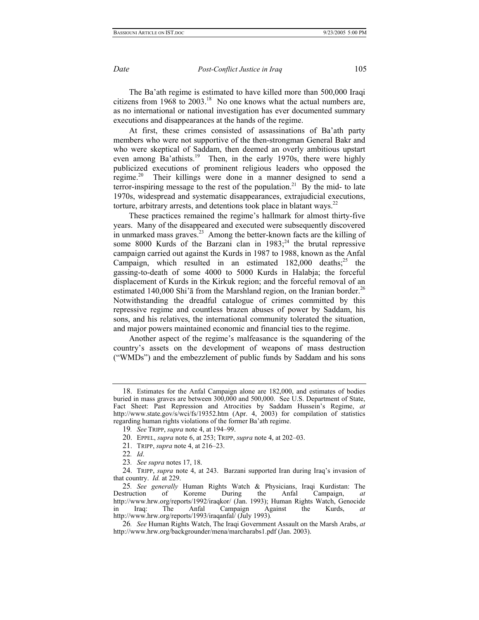The Ba'ath regime is estimated to have killed more than 500,000 Iraqi citizens from 1968 to  $2003<sup>18</sup>$  No one knows what the actual numbers are, as no international or national investigation has ever documented summary executions and disappearances at the hands of the regime.

At first, these crimes consisted of assassinations of Ba'ath party members who were not supportive of the then-strongman General Bakr and who were skeptical of Saddam, then deemed an overly ambitious upstart even among Ba'athists.<sup>19</sup> Then, in the early 1970s, there were highly publicized executions of prominent religious leaders who opposed the regime.[20](#page-4-2) Their killings were done in a manner designed to send a terror-inspiring message to the rest of the population.<sup>21</sup> By the mid- to late 1970s, widespread and systematic disappearances, extrajudicial executions, torture, arbitrary arrests, and detentions took place in blatant ways.<sup>22</sup>

These practices remained the regime's hallmark for almost thirty-five years. Many of the disappeared and executed were subsequently discovered in unmarked mass graves.<sup>23</sup> Among the better-known facts are the killing of some 8000 Kurds of the Barzani clan in  $1983$ ;<sup>24</sup> the brutal repressive campaign carried out against the Kurds in 1987 to 1988, known as the Anfal Campaign, which resulted in an estimated  $182,000$  deaths;<sup>25</sup> the gassing-to-death of some 4000 to 5000 Kurds in Halabja; the forceful displacement of Kurds in the Kirkuk region; and the forceful removal of an estimated 140,000 Shi' $\bar{a}$  from the Marshland region, on the Iranian border.<sup>26</sup> Notwithstanding the dreadful catalogue of crimes committed by this repressive regime and countless brazen abuses of power by Saddam, his sons, and his relatives, the international community tolerated the situation, and major powers maintained economic and financial ties to the regime.

Another aspect of the regime's malfeasance is the squandering of the country's assets on the development of weapons of mass destruction ("WMDs") and the embezzlement of public funds by Saddam and his sons

<span id="page-4-0"></span><sup>18.</sup> Estimates for the Anfal Campaign alone are 182,000, and estimates of bodies buried in mass graves are between  $300,000$  and  $500,000$ . See U.S. Department of State, Fact Sheet: Past Repression and Atrocities by Saddam Hussein's Regime, *at*  http://www.state.gov/s/wci/fs/19352.htm (Apr. 4, 2003) for compilation of statistics regarding human rights violations of the former Ba'ath regime.

<span id="page-4-1"></span><sup>19</sup>*. See* TRIPP, *supra* note 4, at 194–99.

<span id="page-4-2"></span><sup>20.</sup> EPPEL, *supra* note 6, at 253; TRIPP, *supra* note 4, at 202–03.

<span id="page-4-3"></span><sup>21.</sup> TRIPP, *supra* note 4, at 216–23.

<span id="page-4-4"></span><sup>22</sup>*. Id*.

<span id="page-4-6"></span><span id="page-4-5"></span><sup>23</sup>*. See supra* notes 17, 18.

<sup>24.</sup> TRIPP, *supra* note 4, at 243. Barzani supported Iran during Iraq's invasion of that country. *Id.* at 229.

<span id="page-4-7"></span><sup>25</sup>*. See generally* Human Rights Watch & Physicians, Iraqi Kurdistan: The Destruction of Koreme During the Anfal Campaign, *at*  http://www.hrw.org/reports/1992/iraqkor/ (Jan. 1993); Human Rights Watch, Genocide in Iraq: The Anfal Campaign Against the Kurds, *at*  http://www.hrw.org/reports/1993/iraqanfal/ (July 1993)*.* 

<span id="page-4-8"></span><sup>26</sup>*. See* Human Rights Watch, The Iraqi Government Assault on the Marsh Arabs, *at*  http://www.hrw.org/backgrounder/mena/marcharabs1.pdf (Jan. 2003).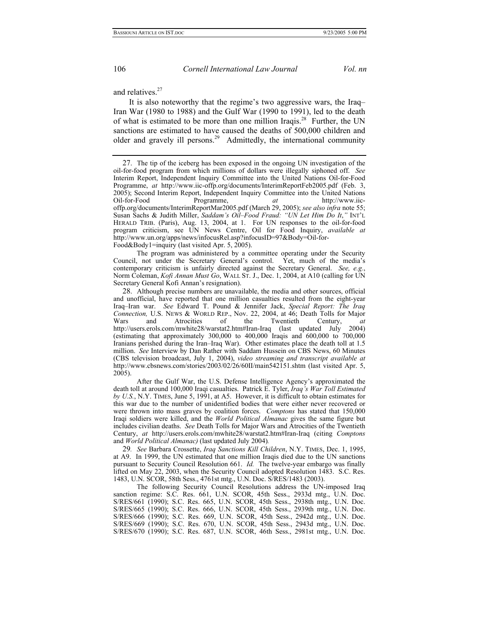and relatives.<sup>27</sup>

It is also noteworthy that the regime's two aggressive wars, the Iraq– Iran War (1980 to 1988) and the Gulf War (1990 to 1991), led to the death of what is estimated to be more than one million Iraqis.<sup>28</sup> Further, the UN sanctions are estimated to have caused the deaths of 500,000 children and older and gravely ill persons.<sup>29</sup> Admittedly, the international community

 The program was administered by a committee operating under the Security Council, not under the Secretary General's control. Yet, much of the media's contemporary criticism is unfairly directed against the Secretary General. *See, e.g.*, Norm Coleman, *Kofi Annan Must Go*, WALL ST. J., Dec. 1, 2004, at A10 (calling for UN Secretary General Kofi Annan's resignation).

<span id="page-5-1"></span>28. Although precise numbers are unavailable, the media and other sources, official and unofficial, have reported that one million casualties resulted from the eight-year Iraq–Iran war. *See* Edward T. Pound & Jennifer Jack, *Special Report: The Iraq Connection, U.S. News & WORLD REP., Nov. 22, 2004, at 46; Death Tolls for Major Wars* and Atrocities of the Twentieth Century. *at* Wars and Atrocities of the Twentieth Century, *at*  http://users.erols.com/mwhite28/warstat2.htm#Iran-Iraq (last updated July 2004) (estimating that approximately 300,000 to 400,000 Iraqis and 600,000 to 700,000 Iranians perished during the Iran–Iraq War). Other estimates place the death toll at 1.5 million. *See* Interview by Dan Rather with Saddam Hussein on CBS News, 60 Minutes (CBS television broadcast, July 1, 2004), *video streaming and transcript available at*  http://www.cbsnews.com/stories/2003/02/26/60II/main542151.shtm (last visited Apr. 5, 2005).

 After the Gulf War, the U.S. Defense Intelligence Agency's approximated the death toll at around 100,000 Iraqi casualties. Patrick E. Tyler, *Iraq's War Toll Estimated by U.S.*, N.Y. TIMES, June 5, 1991, at A5. However, it is difficult to obtain estimates for this war due to the number of unidentified bodies that were either never recovered or were thrown into mass graves by coalition forces. *Comptons* has stated that 150,000 Iraqi soldiers were killed, and the *World Political Almanac* gives the same figure but includes civilian deaths. *See* Death Tolls for Major Wars and Atrocities of the Twentieth Century, *at* http://users.erols.com/mwhite28/warstat2.htm#Iran-Iraq (citing *Comptons*  and *World Political Almanac)* (last updated July 2004)*.*

29*. See* Barbara Crossette, *Iraq Sanctions Kill Children*, N.Y. TIMES, Dec. 1, 1995, at A9. In 1999, the UN estimated that one million Iraqis died due to the UN sanctions pursuant to Security Council Resolution 661. *Id.* The twelve-year embargo was finally lifted on May 22, 2003, when the Security Council adopted Resolution 1483. S.C. Res. 1483, U.N. SCOR, 58th Sess., 4761st mtg., U.N. Doc. S/RES/1483 (2003).

 The following Security Council Resolutions address the UN-imposed Iraq sanction regime: S.C. Res. 661, U.N. SCOR, 45th Sess., 2933d mtg., U.N. Doc. S/RES/661 (1990); S.C. Res. 665, U.N. SCOR, 45th Sess., 2938th mtg., U.N. Doc. S/RES/665 (1990); S.C. Res. 666, U.N. SCOR, 45th Sess., 2939th mtg., U.N. Doc. S/RES/666 (1990); S.C. Res. 669, U.N. SCOR, 45th Sess., 2942d mtg., U.N. Doc. S/RES/669 (1990); S.C. Res. 670, U.N. SCOR, 45th Sess., 2943d mtg., U.N. Doc. S/RES/670 (1990); S.C. Res. 687, U.N. SCOR, 46th Sess., 2981st mtg., U.N. Doc.

<span id="page-5-2"></span>

<span id="page-5-0"></span><sup>27.</sup> The tip of the iceberg has been exposed in the ongoing UN investigation of the oil-for-food program from which millions of dollars were illegally siphoned off. *See* Interim Report, Independent Inquiry Committee into the United Nations Oil-for-Food Programme, *at* http://www.iic-offp.org/documents/InterimReportFeb2005.pdf (Feb. 3, 2005); Second Interim Report, Independent Inquiry Committee into the United Nations Oil-for-Food Programme, *at* http://www.iicoffp.org/documents/InterimReportMar2005.pdf (March 29, 2005); *see also infra* note 55; Susan Sachs & Judith Miller, *Saddam's Oil–Food Fraud: "UN Let Him Do It*,*"* INT'L HERALD TRIB. (Paris), Aug. 13, 2004, at 1. For UN responses to the oil-for-food program criticism, see UN News Centre, Oil for Food Inquiry, *available at*  http://www.un.org/apps/news/infocusRel.asp?infocusID=97&Body=Oil-for-Food&Body1=inquiry (last visited Apr. 5, 2005).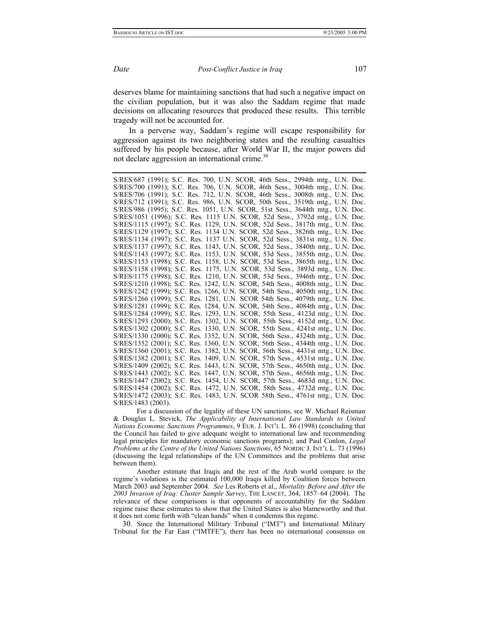<span id="page-6-0"></span>

deserves blame for maintaining sanctions that had such a negative impact on the civilian population, but it was also the Saddam regime that made decisions on allocating resources that produced these results. This terrible tragedy will not be accounted for.

In a perverse way, Saddam's regime will escape responsibility for aggression against its two neighboring states and the resulting casualties suffered by his people because, after World War II, the major powers did not declare aggression an international crime.<sup>30</sup>

S/RES/687 (1991); S.C. Res. 700, U.N. SCOR, 46th Sess., 2994th mtg., U.N. Doc. S/RES/700 (1991); S.C. Res. 706, U.N. SCOR, 46th Sess., 3004th mtg., U.N. Doc. S/RES/706 (1991); S.C. Res. 712, U.N. SCOR, 46th Sess., 3008th mtg., U.N. Doc. S/RES/712 (1991); S.C. Res. 986, U.N. SCOR, 50th Sess., 3519th mtg., U.N. Doc. S/RES/986 (1995); S.C. Res. 1051, U.N. SCOR, 51st Sess., 3644th mtg., U.N. Doc. S/RES/1051 (1996); S.C. Res. 1115 U.N. SCOR, 52d Sess., 3792d mtg., U.N. Doc. S/RES/1115 (1997); S.C. Res. 1129, U.N. SCOR, 52d Sess., 3817th mtg., U.N. Doc. S/RES/1129 (1997); S.C. Res. 1134 U.N. SCOR, 52d Sess., 3826th mtg., U.N. Doc. S/RES/1134 (1997); S.C. Res. 1137 U.N. SCOR, 52d Sess., 3831st mtg., U.N. Doc. S/RES/1137 (1997); S.C. Res. 1143, U.N. SCOR, 52d Sess., 3840th mtg., U.N. Doc. S/RES/1143 (1997); S.C. Res. 1153, U.N. SCOR, 53d Sess., 3855th mtg., U.N. Doc. S/RES/1153 (1998); S.C. Res. 1158, U.N. SCOR, 53d Sess., 3865th mtg., U.N. Doc. S/RES/1158 (1998); S.C. Res. 1175, U.N. SCOR, 53d Sess., 3893d mtg., U.N. Doc. S/RES/1175 (1998); S.C. Res. 1210, U.N. SCOR, 53d Sess., 3946th mtg., U.N. Doc. S/RES/1210 (1998); S.C. Res. 1242, U.N. SCOR, 54th Sess., 4008th mtg., U.N. Doc. S/RES/1242 (1999); S.C. Res. 1266, U.N. SCOR, 54th Sess., 4050th mtg., U.N. Doc. S/RES/1266 (1999); S.C. Res. 1281, U.N. SCOR 54th Sess., 4079th mtg., U.N. Doc. S/RES/1281 (1999); S.C. Res. 1284, U.N. SCOR, 54th Sess., 4084th mtg., U.N. Doc. S/RES/1284 (1999); S.C. Res. 1293, U.N. SCOR, 55th Sess., 4123d mtg., U.N. Doc. S/RES/1293 (2000); S.C. Res. 1302, U.N. SCOR, 55th Sess., 4152d mtg., U.N. Doc. S/RES/1302 (2000); S.C. Res. 1330, U.N. SCOR, 55th Sess., 4241st mtg., U.N. Doc. S/RES/1330 (2000); S.C. Res. 1352, U.N. SCOR, 56th Sess., 4324th mtg., U.N. Doc. S/RES/1352 (2001); S.C. Res. 1360, U.N. SCOR, 56th Sess., 4344th mtg., U.N. Doc. S/RES/1360 (2001); S.C. Res. 1382, U.N. SCOR, 56th Sess., 4431st mtg., U.N. Doc. S/RES/1382 (2001); S.C. Res. 1409, U.N. SCOR, 57th Sess., 4531st mtg., U.N. Doc. S/RES/1409 (2002); S.C. Res. 1443, U.N. SCOR, 57th Sess., 4650th mtg., U.N. Doc. S/RES/1443 (2002); S.C. Res. 1447, U.N. SCOR, 57th Sess., 4656th mtg., U.N. Doc. S/RES/1447 (2002); S.C. Res. 1454, U.N. SCOR, 57th Sess., 4683d mtg., U.N. Doc. S/RES/1454 (2002); S.C. Res. 1472, U.N. SCOR, 58th Sess., 4732d mtg., U.N. Doc. S/RES/1472 (2003); S.C. Res. 1483, U.N. SCOR 58th Sess., 4761st mtg., U.N. Doc. S/RES/1483 (2003).

 For a discussion of the legality of these UN sanctions, see W. Michael Reisman & Douglas L. Stevick, *The Applicability of International Law Standards to United Nations Economic Sanctions Programmes*, 9 EUR. J. INT'L L. 86 (1998) (concluding that the Council has failed to give adequate weight to international law and recommending legal principles for mandatory economic sanctions programs); and Paul Conlon, *Legal Problems at the Centre of the United Nations Sanctions*, 65 NORDIC J. INT'L L. 73 (1996) (discussing the legal relationships of the UN Committees and the problems that arise between them).

 Another estimate that Iraqis and the rest of the Arab world compare to the regime's violations is the estimated 100,000 Iraqis killed by Coalition forces between March 2003 and September 2004. *See* Les Roberts et al., *Mortality Before and After the 2003 Invasion of Iraq: Cluster Sample Survey*, THE LANCET, 364, 1857–64 (2004). The relevance of these comparisons is that opponents of accountability for the Saddam regime raise these estimates to show that the United States is also blameworthy and that it does not come forth with "clean hands" when it condemns this regime.

30. Since the International Military Tribunal ("IMT") and International Military Tribunal for the Far East ("IMTFE"), there has been no international consensus on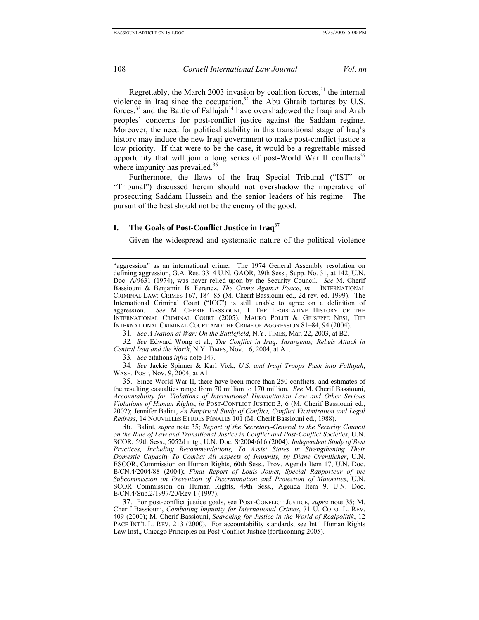Regrettably, the March 2003 invasion by coalition forces, $31$  the internal violence in Iraq since the occupation, $32$  the Abu Ghraib tortures by U.S. forces,<sup>33</sup> and the Battle of Fallujah<sup>34</sup> have overshadowed the Iraqi and Arab peoples' concerns for post-conflict justice against the Saddam regime. Moreover, the need for political stability in this transitional stage of Iraq's history may induce the new Iraqi government to make post-conflict justice a low priority. If that were to be the case, it would be a regrettable missed opportunity that will join a long series of post-World War II conflicts<sup>35</sup> where impunity has prevailed.<sup>36</sup>

Furthermore, the flaws of the Iraq Special Tribunal ("IST" or "Tribunal") discussed herein should not overshadow the imperative of prosecuting Saddam Hussein and the senior leaders of his regime. The pursuit of the best should not be the enemy of the good.

## **I. The Goals of Post-Conflict Justice in Iraq**[37](#page-7-6)

Given the widespread and systematic nature of the political violence

<span id="page-7-1"></span><span id="page-7-0"></span>31*. See A Nation at War: On the Battlefield*, N.Y. TIMES, Mar. 22, 2003, at B2.

32*. See* Edward Wong et al., *The Conflict in Iraq: Insurgents; Rebels Attack in Central Iraq and the North*, N.Y. TIMES, Nov. 16, 2004, at A1.

<span id="page-7-3"></span><span id="page-7-2"></span>33*. See* citations *infra* note 147.

34*. See* Jackie Spinner & Karl Vick, *U.S. and Iraqi Troops Push into Fallujah*, WASH. POST, Nov. 9, 2004, at A1.

<span id="page-7-4"></span>35. Since World War II, there have been more than 250 conflicts, and estimates of the resulting casualties range from 70 million to 170 million. *See* M. Cherif Bassiouni, *Accountability for Violations of International Humanitarian Law and Other Serious Violations of Human Rights*, *in* POST-CONFLICT JUSTICE 3, 6 (M. Cherif Bassiouni ed., 2002); Jennifer Balint, *An Empirical Study of Conflict, Conflict Victimization and Legal Redress*, 14 NOUVELLES ETUDES PÉNALES 101 (M. Cherif Bassiouni ed., 1988).

<span id="page-7-5"></span>36. Balint, *supra* note 35; *Report of the Secretary-General to the Security Council on the Rule of Law and Transitional Justice in Conflict and Post-Conflict Societies*, U.N. SCOR, 59th Sess., 5052d mtg., U.N. Doc. S/2004/616 (2004); *Independent Study of Best Practices, Including Recommendations, To Assist States in Strengthening Their Domestic Capacity To Combat All Aspects of Impunity, by Diane Orentlicher*, U.N. ESCOR, Commission on Human Rights, 60th Sess., Prov. Agenda Item 17, U.N. Doc. E/CN.4/2004/88 (2004); *Final Report of Louis Joinet, Special Rapporteur of the Subcommission on Prevention of Discrimination and Protection of Minorities*, U.N. SCOR Commission on Human Rights, 49th Sess., Agenda Item 9, U.N. Doc. E/CN.4/Sub.2/1997/20/Rev.1 (1997).

<span id="page-7-6"></span>37. For post-conflict justice goals, see POST-CONFLICT JUSTICE, *supra* note 35; M. Cherif Bassiouni, *Combating Impunity for International Crimes*, 71 U. COLO. L. REV. 409 (2000); M. Cherif Bassiouni, *Searching for Justice in the World of Realpolitik*, 12 PACE INT'L L. REV. 213 (2000). For accountability standards, see Int'l Human Rights Law Inst., Chicago Principles on Post-Conflict Justice (forthcoming 2005).

<sup>&</sup>quot;aggression" as an international crime. The 1974 General Assembly resolution on defining aggression, G.A. Res. 3314 U.N. GAOR, 29th Sess., Supp. No. 31, at 142, U.N. Doc. A/9631 (1974), was never relied upon by the Security Council. *See* M. Cherif Bassiouni & Benjamin B. Ferencz, *The Crime Against Peace*, *in* 1 INTERNATIONAL CRIMINAL LAW: CRIMES 167, 184–85 (M. Cherif Bassiouni ed., 2d rev. ed. 1999). The International Criminal Court ("ICC") is still unable to agree on a definition of aggression. *See* M. CHERIF BASSIOUNI, 1 THE LEGISLATIVE HISTORY OF THE INTERNATIONAL CRIMINAL COURT (2005); MAURO POLITI & GIUSEPPE NESI, THE INTERNATIONAL CRIMINAL COURT AND THE CRIME OF AGGRESSION 81–84, 94 (2004).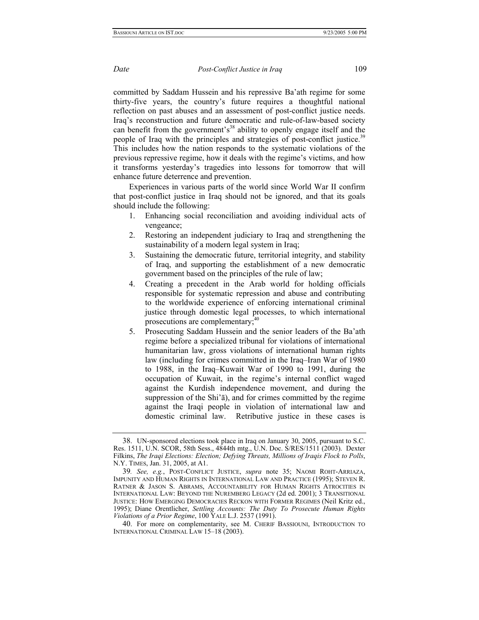committed by Saddam Hussein and his repressive Ba'ath regime for some thirty-five years, the country's future requires a thoughtful national reflection on past abuses and an assessment of post-conflict justice needs. Iraq's reconstruction and future democratic and rule-of-law-based society can benefit from the government's<sup>38</sup> ability to openly engage itself and the people of Iraq with the principles and strategies of post-conflict justice.<sup>39</sup> This includes how the nation responds to the systematic violations of the previous repressive regime, how it deals with the regime's victims, and how it transforms yesterday's tragedies into lessons for tomorrow that will enhance future deterrence and prevention.

Experiences in various parts of the world since World War II confirm that post-conflict justice in Iraq should not be ignored, and that its goals should include the following:

- 1. Enhancing social reconciliation and avoiding individual acts of vengeance;
- 2. Restoring an independent judiciary to Iraq and strengthening the sustainability of a modern legal system in Iraq;
- 3. Sustaining the democratic future, territorial integrity, and stability of Iraq, and supporting the establishment of a new democratic government based on the principles of the rule of law;
- 4. Creating a precedent in the Arab world for holding officials responsible for systematic repression and abuse and contributing to the worldwide experience of enforcing international criminal justice through domestic legal processes, to which international prosecutions are complementary;<sup>[40](#page-8-2)</sup>
- 5. Prosecuting Saddam Hussein and the senior leaders of the Ba'ath regime before a specialized tribunal for violations of international humanitarian law, gross violations of international human rights law (including for crimes committed in the Iraq–Iran War of 1980 to 1988, in the Iraq–Kuwait War of 1990 to 1991, during the occupation of Kuwait, in the regime's internal conflict waged against the Kurdish independence movement, and during the suppression of the Shi'ā), and for crimes committed by the regime against the Iraqi people in violation of international law and domestic criminal law. Retributive justice in these cases is

<span id="page-8-0"></span><sup>38.</sup> UN-sponsored elections took place in Iraq on January 30, 2005, pursuant to S.C. Res. 1511, U.N. SCOR, 58th Sess., 4844th mtg., U.N. Doc. S/RES/1511 (2003). Dexter Filkins, *The Iraqi Elections: Election; Defying Threats, Millions of Iraqis Flock to Polls*, N.Y. TIMES, Jan. 31, 2005, at A1.

<span id="page-8-1"></span><sup>39</sup>*. See, e.g.*, POST-CONFLICT JUSTICE, *supra* note 35; NAOMI ROHT-ARRIAZA, IMPUNITY AND HUMAN RIGHTS IN INTERNATIONAL LAW AND PRACTICE (1995); STEVEN R. RATNER & JASON S. ABRAMS, ACCOUNTABILITY FOR HUMAN RIGHTS ATROCITIES IN INTERNATIONAL LAW: BEYOND THE NUREMBERG LEGACY (2d ed. 2001); 3 TRANSITIONAL JUSTICE: HOW EMERGING DEMOCRACIES RECKON WITH FORMER REGIMES (Neil Kritz ed., 1995); Diane Orentlicher, *Settling Accounts: The Duty To Prosecute Human Rights Violations of a Prior Regime*, 100 YALE L.J. 2537 (1991).

<span id="page-8-2"></span><sup>40.</sup> For more on complementarity, see M. CHERIF BASSIOUNI, INTRODUCTION TO INTERNATIONAL CRIMINAL LAW 15–18 (2003).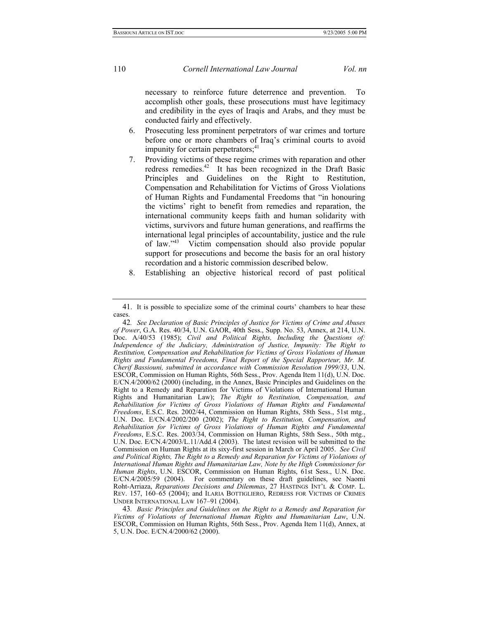necessary to reinforce future deterrence and prevention. To accomplish other goals, these prosecutions must have legitimacy and credibility in the eyes of Iraqis and Arabs, and they must be conducted fairly and effectively.

- 6. Prosecuting less prominent perpetrators of war crimes and torture before one or more chambers of Iraq's criminal courts to avoid impunity for certain perpetrators;<sup>41</sup>
- 7. Providing victims of these regime crimes with reparation and other redress remedies.<sup>42</sup> It has been recognized in the Draft Basic Principles and Guidelines on the Right to Restitution, Compensation and Rehabilitation for Victims of Gross Violations of Human Rights and Fundamental Freedoms that "in honouring the victims' right to benefit from remedies and reparation, the international community keeps faith and human solidarity with victims, survivors and future human generations, and reaffirms the international legal principles of accountability, justice and the rule of law.["43](#page-9-2) Victim compensation should also provide popular support for prosecutions and become the basis for an oral history recordation and a historic commission described below.
- 8. Establishing an objective historical record of past political

<span id="page-9-0"></span><sup>41.</sup> It is possible to specialize some of the criminal courts' chambers to hear these cases.

<span id="page-9-1"></span><sup>42</sup>*. See Declaration of Basic Principles of Justice for Victims of Crime and Abuses of Power*, G.A. Res. 40/34, U.N. GAOR, 40th Sess., Supp. No. 53, Annex, at 214, U.N. Doc. A/40/53 (1985); *Civil and Political Rights*, *Including the Questions of: Independence of the Judiciary, Administration of Justice, Impunity: The Right to Restitution, Compensation and Rehabilitation for Victims of Gross Violations of Human Rights and Fundamental Freedoms, Final Report of the Special Rapporteur, Mr. M. Cherif Bassiouni, submitted in accordance with Commission Resolution 1999/33*, U.N. ESCOR, Commission on Human Rights, 56th Sess., Prov. Agenda Item 11(d), U.N. Doc. E/CN.4/2000/62 (2000) (including, in the Annex, Basic Principles and Guidelines on the Right to a Remedy and Reparation for Victims of Violations of International Human Rights and Humanitarian Law); *The Right to Restitution, Compensation, and Rehabilitation for Victims of Gross Violations of Human Rights and Fundamental Freedoms*, E.S.C. Res. 2002/44, Commission on Human Rights, 58th Sess., 51st mtg., U.N. Doc. E/CN.4/2002/200 (2002); *The Right to Restitution, Compensation, and Rehabilitation for Victims of Gross Violations of Human Rights and Fundamental Freedoms*, E.S.C. Res. 2003/34, Commission on Human Rights, 58th Sess., 50th mtg., U.N. Doc. E/CN.4/2003/L.11/Add.4 (2003). The latest revision will be submitted to the Commission on Human Rights at its sixy-first session in March or April 2005. *See Civil and Political Rights, The Right to a Remedy and Reparation for Victims of Violations of International Human Rights and Humanitarian Law, Note by the High Commissioner for Human Rights*, U.N. ESCOR, Commission on Human Rights, 61st Sess., U.N. Doc. E/CN.4/2005/59 (2004). For commentary on these draft guidelines, see Naomi Roht-Arriaza, *Reparations Decisions and Dilemmas*, 27 HASTINGS INT'L & COMP. L. REV. 157, 160–65 (2004); and ILARIA BOTTIGLIERO, REDRESS FOR VICTIMS OF CRIMES UNDER INTERNATIONAL LAW 167–91 (2004).

<span id="page-9-2"></span><sup>43</sup>*. Basic Principles and Guidelines on the Right to a Remedy and Reparation for Victims of Violations of International Human Rights and Humanitarian Law*, U.N. ESCOR, Commission on Human Rights, 56th Sess., Prov. Agenda Item 11(d), Annex, at 5, U.N. Doc. E/CN.4/2000/62 (2000).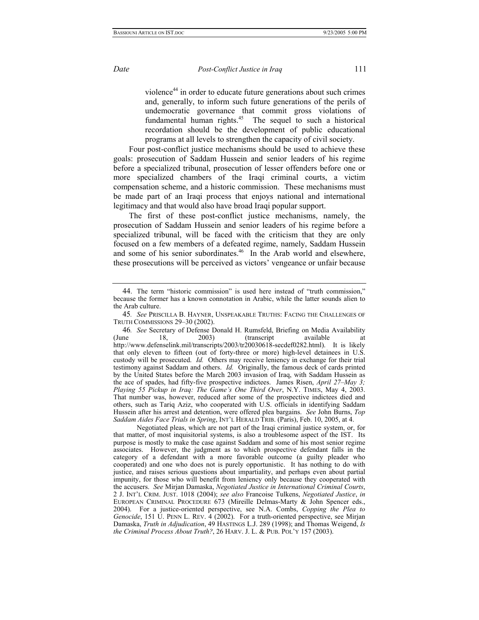violence<sup>44</sup> in order to educate future generations about such crimes and, generally, to inform such future generations of the perils of undemocratic governance that commit gross violations of fundamental human rights.<sup>45</sup> The sequel to such a historical recordation should be the development of public educational programs at all levels to strengthen the capacity of civil society.

Four post-conflict justice mechanisms should be used to achieve these goals: prosecution of Saddam Hussein and senior leaders of his regime before a specialized tribunal, prosecution of lesser offenders before one or more specialized chambers of the Iraqi criminal courts, a victim compensation scheme, and a historic commission. These mechanisms must be made part of an Iraqi process that enjoys national and international legitimacy and that would also have broad Iraqi popular support.

The first of these post-conflict justice mechanisms, namely, the prosecution of Saddam Hussein and senior leaders of his regime before a specialized tribunal, will be faced with the criticism that they are only focused on a few members of a defeated regime, namely, Saddam Hussein and some of his senior subordinates.<sup>46</sup> In the Arab world and elsewhere, these prosecutions will be perceived as victors' vengeance or unfair because

<span id="page-10-0"></span><sup>44.</sup> The term "historic commission" is used here instead of "truth commission," because the former has a known connotation in Arabic, while the latter sounds alien to the Arab culture.

<span id="page-10-1"></span><sup>45</sup>*. See* PRISCILLA B. HAYNER, UNSPEAKABLE TRUTHS: FACING THE CHALLENGES OF TRUTH COMMISSIONS 29–30 (2002).

<span id="page-10-2"></span><sup>46</sup>*. See* Secretary of Defense Donald H. Rumsfeld, Briefing on Media Availability 18, 2003) (transcript available at http://www.defenselink.mil/transcripts/2003/tr20030618-secdef0282.html). It is likely that only eleven to fifteen (out of forty-three or more) high-level detainees in U.S. custody will be prosecuted. *Id.* Others may receive leniency in exchange for their trial testimony against Saddam and others. *Id.* Originally, the famous deck of cards printed by the United States before the March 2003 invasion of Iraq, with Saddam Hussein as the ace of spades, had fifty-five prospective indictees. James Risen, *April 27–May 3; Playing 55 Pickup in Iraq: The Game's One Third Over*, N.Y. TIMES, May 4, 2003. That number was, however, reduced after some of the prospective indictees died and others, such as Tariq Aziz, who cooperated with U.S. officials in identifying Saddam Hussein after his arrest and detention, were offered plea bargains. *See* John Burns, *Top Saddam Aides Face Trials in Spring*, INT'L HERALD TRIB. (Paris), Feb. 10, 2005, at 4.

Negotiated pleas, which are not part of the Iraqi criminal justice system, or, for that matter, of most inquisitorial systems, is also a troublesome aspect of the IST. Its purpose is mostly to make the case against Saddam and some of his most senior regime associates. However, the judgment as to which prospective defendant falls in the category of a defendant with a more favorable outcome (a guilty pleader who cooperated) and one who does not is purely opportunistic. It has nothing to do with justice, and raises serious questions about impartiality, and perhaps even about partial impunity, for those who will benefit from leniency only because they cooperated with the accusers. *See* Mirjan Damaska, *Negotiated Justice in International Criminal Courts*, 2 J. INT'L CRIM. JUST. 1018 (2004); *see also* Francoise Tulkens, *Negotiated Justice*, *in*  EUROPEAN CRIMINAL PROCEDURE 673 (Mireille Delmas-Marty & John Spencer eds., 2004). For a justice-oriented perspective, see N.A. Combs, *Copping the Plea to Genocide*, 151 U. PENN L. REV. 4 (2002). For a truth-oriented perspective, see Mirjan Damaska, *Truth in Adjudication*, 49 HASTINGS L.J. 289 (1998); and Thomas Weigend, *Is the Criminal Process About Truth?*, 26 HARV. J. L. & PUB. POL'Y 157 (2003).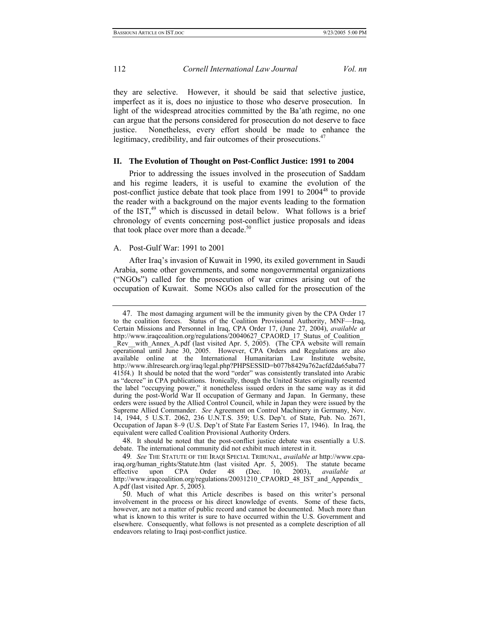they are selective. However, it should be said that selective justice, imperfect as it is, does no injustice to those who deserve prosecution. In light of the widespread atrocities committed by the Ba'ath regime, no one can argue that the persons considered for prosecution do not deserve to face justice. Nonetheless, every effort should be made to enhance the legitimacy, credibility, and fair outcomes of their prosecutions.<sup>[47](#page-11-0)</sup>

## **II. The Evolution of Thought on Post-Conflict Justice: 1991 to 2004**

Prior to addressing the issues involved in the prosecution of Saddam and his regime leaders, it is useful to examine the evolution of the post-conflict justice debate that took place from 1991 to 2004<sup>48</sup> to provide the reader with a background on the major events leading to the formation of the IST,<sup>49</sup> which is discussed in detail below. What follows is a brief chronology of events concerning post-conflict justice proposals and ideas that took place over more than a decade. $50$ 

## A. Post-Gulf War: 1991 to 2001

After Iraq's invasion of Kuwait in 1990, its exiled government in Saudi Arabia, some other governments, and some nongovernmental organizations ("NGOs") called for the prosecution of war crimes arising out of the occupation of Kuwait. Some NGOs also called for the prosecution of the

<span id="page-11-0"></span><sup>47.</sup> The most damaging argument will be the immunity given by the CPA Order 17 to the coalition forces. Status of the Coalition Provisional Authority, MNF—Iraq, Certain Missions and Personnel in Iraq, CPA Order 17, (June 27, 2004), *available at*  http://www.iraqcoalition.org/regulations/20040627 CPAORD 17 Status of Coalition \_Rev\_\_with\_Annex\_A.pdf (last visited Apr. 5, 2005). (The CPA website will remain operational until June 30, 2005. However, CPA Orders and Regulations are also available online at the International Humanitarian Law Institute website, http://www.ihlresearch.org/iraq/legal.php?PHPSESSID=b077b8429a762acfd2da65aba77 415f4.) It should be noted that the word "order" was consistently translated into Arabic as "decree" in CPA publications. Ironically, though the United States originally resented the label "occupying power," it nonetheless issued orders in the same way as it did during the post-World War II occupation of Germany and Japan. In Germany, these orders were issued by the Allied Control Council, while in Japan they were issued by the Supreme Allied Commander. *See* Agreement on Control Machinery in Germany, Nov. 14, 1944, 5 U.S.T. 2062, 236 U.N.T.S. 359; U.S. Dep't. of State, Pub. No. 2671, Occupation of Japan 8–9 (U.S. Dep't of State Far Eastern Series 17, 1946). In Iraq, the equivalent were called Coalition Provisional Authority Orders.

<span id="page-11-1"></span><sup>48.</sup> It should be noted that the post-conflict justice debate was essentially a U.S. debate. The international community did not exhibit much interest in it.

<span id="page-11-2"></span><sup>49</sup>*. See* THE STATUTE OF THE IRAQI SPECIAL TRIBUNAL, *available at* http://www.cpairaq.org/human\_rights/Statute.htm (last visited Apr. 5, 2005). The statute became effective upon CPA Order 48 (Dec. 10, 2003), *available at*  http://www.iraqcoalition.org/regulations/20031210 CPAORD 48 IST and Appendix A.pdf (last visited Apr. 5, 2005).

<span id="page-11-3"></span><sup>50.</sup> Much of what this Article describes is based on this writer's personal involvement in the process or his direct knowledge of events. Some of these facts, however, are not a matter of public record and cannot be documented. Much more than what is known to this writer is sure to have occurred within the U.S. Government and elsewhere. Consequently, what follows is not presented as a complete description of all endeavors relating to Iraqi post-conflict justice.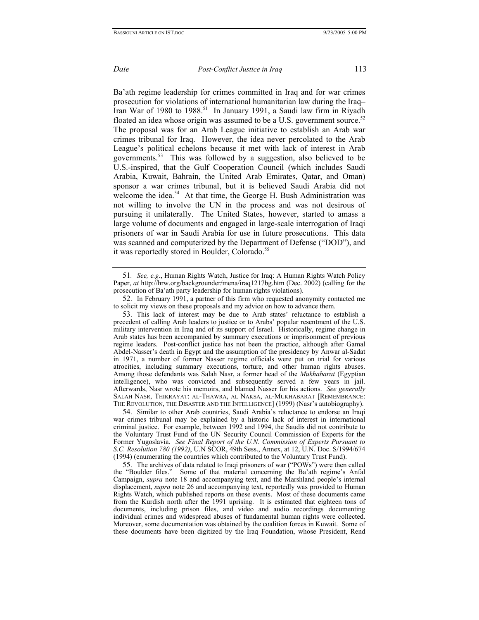<span id="page-12-4"></span>

Ba'ath regime leadership for crimes committed in Iraq and for war crimes prosecution for violations of international humanitarian law during the Iraq– Iran War of 1980 to 1988.<sup>51</sup> In January 1991, a Saudi law firm in Riyadh floated an idea whose origin was assumed to be a U.S. government source.<sup>52</sup> The proposal was for an Arab League initiative to establish an Arab war crimes tribunal for Iraq. However, the idea never percolated to the Arab League's political echelons because it met with lack of interest in Arab governments.<sup>53</sup> This was followed by a suggestion, also believed to be U.S.-inspired, that the Gulf Cooperation Council (which includes Saudi Arabia, Kuwait, Bahrain, the United Arab Emirates, Qatar, and Oman) sponsor a war crimes tribunal, but it is believed Saudi Arabia did not welcome the idea.<sup>54</sup> At that time, the George H. Bush Administration was not willing to involve the UN in the process and was not desirous of pursuing it unilaterally. The United States, however, started to amass a

large volume of documents and engaged in large-scale interrogation of Iraqi prisoners of war in Saudi Arabia for use in future prosecutions. This data was scanned and computerized by the Department of Defense ("DOD"), and it was reportedly stored in Boulder, Colorado.<sup>55</sup>

<span id="page-12-0"></span><sup>51</sup>*. See, e.g.*, Human Rights Watch, Justice for Iraq: A Human Rights Watch Policy Paper, *at* http://hrw.org/backgrounder/mena/iraq1217bg.htm (Dec. 2002) (calling for the prosecution of Ba'ath party leadership for human rights violations).

<span id="page-12-1"></span><sup>52.</sup> In February 1991, a partner of this firm who requested anonymity contacted me to solicit my views on these proposals and my advice on how to advance them.

<span id="page-12-2"></span><sup>53.</sup> This lack of interest may be due to Arab states' reluctance to establish a precedent of calling Arab leaders to justice or to Arabs' popular resentment of the U.S. military intervention in Iraq and of its support of Israel. Historically, regime change in Arab states has been accompanied by summary executions or imprisonment of previous regime leaders. Post-conflict justice has not been the practice, although after Gamal Abdel-Nasser's death in Egypt and the assumption of the presidency by Anwar al-Sadat in 1971, a number of former Nasser regime officials were put on trial for various atrocities, including summary executions, torture, and other human rights abuses. Among those defendants was Salah Nasr, a former head of the *Mukhabarat* (Egyptian intelligence), who was convicted and subsequently served a few years in jail. Afterwards, Nasr wrote his memoirs, and blamed Nasser for his actions. *See generally*  SALAH NASR, THIKRAYAT: AL-THAWRA, AL NAKSA, AL-MUKHABARAT [REMEMBRANCE: THE REVOLUTION, THE DISASTER AND THE INTELLIGENCE] (1999) (Nasr's autobiography).

<span id="page-12-3"></span><sup>54.</sup> Similar to other Arab countries, Saudi Arabia's reluctance to endorse an Iraqi war crimes tribunal may be explained by a historic lack of interest in international criminal justice. For example, between 1992 and 1994, the Saudis did not contribute to the Voluntary Trust Fund of the UN Security Council Commission of Experts for the Former Yugoslavia. *See Final Report of the U.N. Commission of Experts Pursuant to S.C. Resolution 780 (1992)*, U.N SCOR, 49th Sess., Annex, at 12, U.N. Doc. S/1994/674 (1994) (enumerating the countries which contributed to the Voluntary Trust Fund).

<sup>55.</sup> The archives of data related to Iraqi prisoners of war ("POWs") were then called the "Boulder files." Some of that material concerning the Ba'ath regime's Anfal Campaign, *supra* note 18 and accompanying text, and the Marshland people's internal displacement, *supra* note 26 and accompanying text, reportedly was provided to Human Rights Watch, which published reports on these events. Most of these documents came from the Kurdish north after the 1991 uprising. It is estimated that eighteen tons of documents, including prison files, and video and audio recordings documenting individual crimes and widespread abuses of fundamental human rights were collected. Moreover, some documentation was obtained by the coalition forces in Kuwait. Some of these documents have been digitized by the Iraq Foundation, whose President, Rend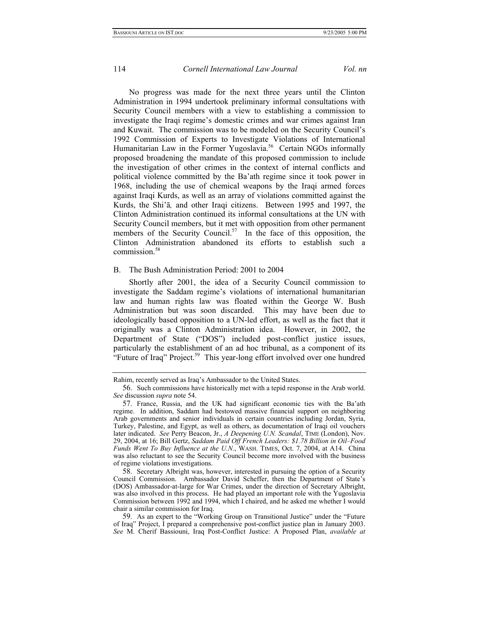<span id="page-13-3"></span>No progress was made for the next three years until the Clinton Administration in 1994 undertook preliminary informal consultations with Security Council members with a view to establishing a commission to investigate the Iraqi regime's domestic crimes and war crimes against Iran and Kuwait. The commission was to be modeled on the Security Council's 1992 Commission of Experts to Investigate Violations of International Humanitarian Law in the Former Yugoslavia.<sup>56</sup> Certain NGOs informally proposed broadening the mandate of this proposed commission to include the investigation of other crimes in the context of internal conflicts and political violence committed by the Ba'ath regime since it took power in 1968, including the use of chemical weapons by the Iraqi armed forces against Iraqi Kurds, as well as an array of violations committed against the Kurds, the Shi'ā*,* and other Iraqi citizens. Between 1995 and 1997, the Clinton Administration continued its informal consultations at the UN with Security Council members, but it met with opposition from other permanent members of the Security Council. $57$  In the face of this opposition, the Clinton Administration abandoned its efforts to establish such a commission.<sup>[58](#page-13-2)</sup>

### B. The Bush Administration Period: 2001 to 2004

Shortly after 2001, the idea of a Security Council commission to investigate the Saddam regime's violations of international humanitarian law and human rights law was floated within the George W. Bush Administration but was soon discarded. This may have been due to ideologically based opposition to a UN-led effort, as well as the fact that it originally was a Clinton Administration idea. However, in 2002, the Department of State ("DOS") included post-conflict justice issues, particularly the establishment of an ad hoc tribunal, as a component of its "Future of Iraq" Project.<sup>59</sup> This year-long effort involved over one hundred

Rahim, recently served as Iraq's Ambassador to the United States.

<span id="page-13-0"></span><sup>56.</sup> Such commissions have historically met with a tepid response in the Arab world. *See* discussion *supra* note 54.

<span id="page-13-1"></span><sup>57.</sup> France, Russia, and the UK had significant economic ties with the Ba'ath regime. In addition, Saddam had bestowed massive financial support on neighboring Arab governments and senior individuals in certain countries including Jordan, Syria, Turkey, Palestine, and Egypt, as well as others, as documentation of Iraqi oil vouchers later indicated. *See* Perry Beacon, Jr., *A Deepening U.N. Scandal*, TIME (London), Nov. 29, 2004, at 16; Bill Gertz, *Saddam Paid Off French Leaders: \$1.78 Billion in Oil–Food Funds Went To Buy Influence at the U.N.*, WASH. TIMES, Oct. 7, 2004, at A14. China was also reluctant to see the Security Council become more involved with the business of regime violations investigations.

<span id="page-13-2"></span><sup>58.</sup> Secretary Albright was, however, interested in pursuing the option of a Security Council Commission. Ambassador David Scheffer, then the Department of State's (DOS) Ambassador-at-large for War Crimes, under the direction of Secretary Albright, was also involved in this process. He had played an important role with the Yugoslavia Commission between 1992 and 1994, which I chaired, and he asked me whether I would chair a similar commission for Iraq.

<sup>59.</sup> As an expert to the "Working Group on Transitional Justice" under the "Future of Iraq" Project, I prepared a comprehensive post-conflict justice plan in January 2003. *See* M. Cherif Bassiouni, Iraq Post-Conflict Justice: A Proposed Plan, *available at*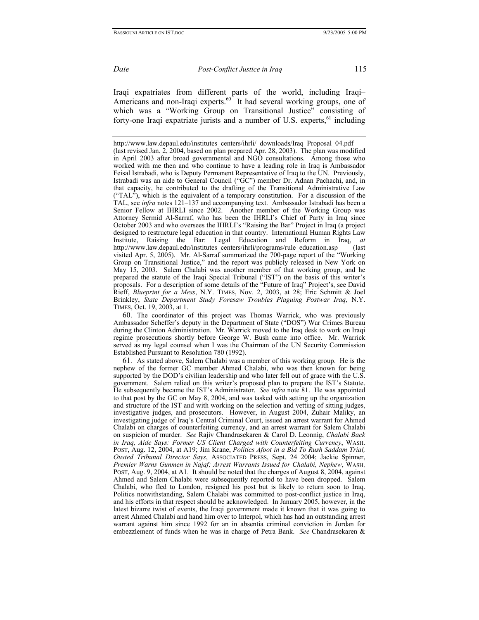<span id="page-14-1"></span>

Iraqi expatriates from different parts of the world, including Iraqi– Americans and non-Iraqi experts.<sup>60</sup> It had several working groups, one of which was a "Working Group on Transitional Justice" consisting of forty-one Iraqi expatriate jurists and a number of U.S. experts, $61$  including

<span id="page-14-0"></span>60. The coordinator of this project was Thomas Warrick, who was previously Ambassador Scheffer's deputy in the Department of State ("DOS") War Crimes Bureau during the Clinton Administration. Mr. Warrick moved to the Iraq desk to work on Iraqi regime prosecutions shortly before George W. Bush came into office. Mr. Warrick served as my legal counsel when I was the Chairman of the UN Security Commission Established Pursuant to Resolution 780 (1992).

61. As stated above, Salem Chalabi was a member of this working group. He is the nephew of the former GC member Ahmed Chalabi, who was then known for being supported by the DOD's civilian leadership and who later fell out of grace with the U.S. government. Salem relied on this writer's proposed plan to prepare the IST's Statute. He subsequently became the IST's Administrator. *See infra* note 81. He was appointed to that post by the GC on May 8, 2004, and was tasked with setting up the organization and structure of the IST and with working on the selection and vetting of sitting judges, investigative judges, and prosecutors. However, in August 2004, Zuhair Maliky, an investigating judge of Iraq's Central Criminal Court, issued an arrest warrant for Ahmed Chalabi on charges of counterfeiting currency, and an arrest warrant for Salem Chalabi on suspicion of murder. *See* Rajiv Chandrasekaren & Carol D. Leonnig, *Chalabi Back in Iraq, Aide Says: Former US Client Charged with Counterfeiting Currency*, WASH. POST, Aug. 12, 2004, at A19; Jim Krane, *Politics Afoot in a Bid To Rush Saddam Trial, Ousted Tribunal Director Says*, ASSOCIATED PRESS, Sept. 24 2004; Jackie Spinner, *Premier Warns Gunmen in Najaf; Arrest Warrants Issued for Chalabi, Nephew*, WASH. POST, Aug. 9, 2004, at A1. It should be noted that the charges of August 8, 2004, against Ahmed and Salem Chalabi were subsequently reported to have been dropped. Salem Chalabi, who fled to London, resigned his post but is likely to return soon to Iraq. Politics notwithstanding, Salem Chalabi was committed to post-conflict justice in Iraq, and his efforts in that respect should be acknowledged. In January 2005, however, in the latest bizarre twist of events, the Iraqi government made it known that it was going to arrest Ahmed Chalabi and hand him over to Interpol, which has had an outstanding arrest warrant against him since 1992 for an in absentia criminal conviction in Jordan for embezzlement of funds when he was in charge of Petra Bank. *See* Chandrasekaren &

http://www.law.depaul.edu/institutes\_centers/ihrli/\_downloads/Iraq\_Proposal\_04.pdf (last revised Jan. 2, 2004, based on plan prepared Apr. 28, 2003). The plan was modified in April 2003 after broad governmental and NGO consultations. Among those who worked with me then and who continue to have a leading role in Iraq is Ambassador Feisal Istrabadi, who is Deputy Permanent Representative of Iraq to the UN. Previously, Istrabadi was an aide to General Council ("GC") member Dr. Adnan Pachachi, and, in that capacity, he contributed to the drafting of the Transitional Administrative Law ("TAL"), which is the equivalent of a temporary constitution. For a discussion of the TAL, see *infra* notes 121–137 and accompanying text. Ambassador Istrabadi has been a Senior Fellow at IHRLI since 2002. Another member of the Working Group was Attorney Sermid Al-Sarraf, who has been the IHRLI's Chief of Party in Iraq since October 2003 and who oversees the IHRLI's "Raising the Bar" Project in Iraq (a project designed to restructure legal education in that country. International Human Rights Law Institute, Raising the Bar: Legal Education and Reform in Iraq, *at*  http://www.law.depaul.edu/institutes\_centers/ihrli/programs/rule\_education.asp (last visited Apr. 5, 2005). Mr. Al-Sarraf summarized the 700-page report of the "Working Group on Transitional Justice," and the report was publicly released in New York on May 15, 2003. Salem Chalabi was another member of that working group, and he prepared the statute of the Iraqi Special Tribunal ("IST") on the basis of this writer's proposals. For a description of some details of the "Future of Iraq" Project's, see David Rieff, *Blueprint for a Mess*, N.Y. TIMES, Nov. 2, 2003, at 28; Eric Schmitt & Joel Brinkley, *State Department Study Foresaw Troubles Plaguing Postwar Iraq*, N.Y. TIMES, Oct. 19, 2003, at 1.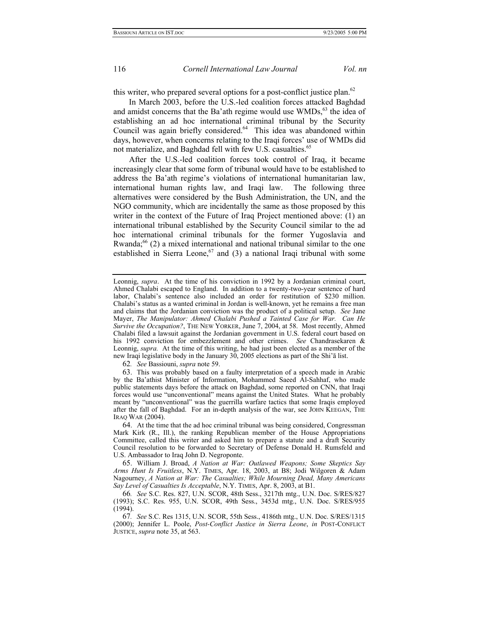this writer, who prepared several options for a post-conflict justice plan.<sup>[62](#page-15-0)</sup>

In March 2003, before the U.S.-led coalition forces attacked Baghdad and amidst concerns that the Ba'ath regime would use WMDs,<sup>63</sup> the idea of establishing an ad hoc international criminal tribunal by the Security Council was again briefly considered.<sup>64</sup> This idea was abandoned within days, however, when concerns relating to the Iraqi forces' use of WMDs did not materialize, and Baghdad fell with few U.S. casualties.<sup>[65](#page-15-3)</sup>

After the U.S.-led coalition forces took control of Iraq, it became increasingly clear that some form of tribunal would have to be established to address the Ba'ath regime's violations of international humanitarian law, international human rights law, and Iraqi law. The following three alternatives were considered by the Bush Administration, the UN, and the NGO community, which are incidentally the same as those proposed by this writer in the context of the Future of Iraq Project mentioned above: (1) an international tribunal established by the Security Council similar to the ad hoc international criminal tribunals for the former Yugoslavia and Rwanda; $^{66}$  (2) a mixed international and national tribunal similar to the one established in Sierra Leone,<sup>67</sup> and (3) a national Iraqi tribunal with some

<span id="page-15-1"></span><span id="page-15-0"></span>62*. See* Bassiouni, *supra* note 59.

Leonnig, *supra*. At the time of his conviction in 1992 by a Jordanian criminal court, Ahmed Chalabi escaped to England. In addition to a twenty-two-year sentence of hard labor, Chalabi's sentence also included an order for restitution of \$230 million. Chalabi's status as a wanted criminal in Jordan is well-known, yet he remains a free man and claims that the Jordanian conviction was the product of a political setup. *See* Jane Mayer, *The Manipulator: Ahmed Chalabi Pushed a Tainted Case for War. Can He Survive the Occupation?*, THE NEW YORKER, June 7, 2004, at 58. Most recently, Ahmed Chalabi filed a lawsuit against the Jordanian government in U.S. federal court based on his 1992 conviction for embezzlement and other crimes. *See* Chandrasekaren & Leonnig, *supra.* At the time of this writing, he had just been elected as a member of the new Iraqi legislative body in the January 30, 2005 elections as part of the Shi'ā list.

<sup>63.</sup> This was probably based on a faulty interpretation of a speech made in Arabic by the Ba'athist Minister of Information, Mohammed Saeed Al-Sahhaf, who made public statements days before the attack on Baghdad, some reported on CNN, that Iraqi forces would use "unconventional" means against the United States. What he probably meant by "unconventional" was the guerrilla warfare tactics that some Iraqis employed after the fall of Baghdad. For an in-depth analysis of the war, see JOHN KEEGAN, THE IRAQ WAR (2004).

<span id="page-15-2"></span><sup>64.</sup> At the time that the ad hoc criminal tribunal was being considered, Congressman Mark Kirk (R., Ill.), the ranking Republican member of the House Appropriations Committee, called this writer and asked him to prepare a statute and a draft Security Council resolution to be forwarded to Secretary of Defense Donald H. Rumsfeld and U.S. Ambassador to Iraq John D. Negroponte.

<span id="page-15-3"></span><sup>65.</sup> William J. Broad, *A Nation at War: Outlawed Weapons; Some Skeptics Say Arms Hunt Is Fruitless*, N.Y. TIMES, Apr. 18, 2003, at B8; Jodi Wilgoren & Adam Nagourney, *A Nation at War: The Casualties; While Mourning Dead, Many Americans Say Level of Casualties Is Acceptable*, N.Y. TIMES, Apr. 8, 2003, at B1.

<span id="page-15-4"></span><sup>66</sup>*. See* S.C. Res. 827, U.N. SCOR, 48th Sess., 3217th mtg., U.N. Doc. S/RES/827 (1993); S.C. Res. 955, U.N. SCOR, 49th Sess., 3453d mtg., U.N. Doc. S/RES/955 (1994).

<span id="page-15-5"></span><sup>67</sup>*. See* S.C. Res 1315, U.N. SCOR, 55th Sess., 4186th mtg., U.N. Doc. S/RES/1315 (2000); Jennifer L. Poole, *Post-Conflict Justice in Sierra Leone*, *in* POST-CONFLICT JUSTICE, *supra* note 35, at 563.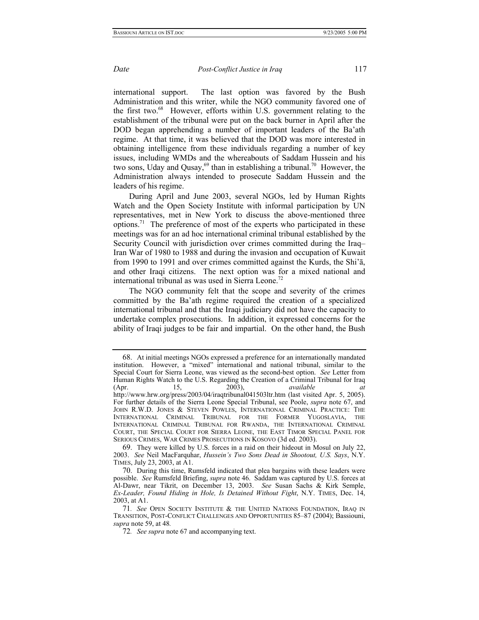international support. The last option was favored by the Bush Administration and this writer, while the NGO community favored one of the first two.<sup>68</sup> However, efforts within U.S. government relating to the establishment of the tribunal were put on the back burner in April after the DOD began apprehending a number of important leaders of the Ba'ath regime. At that time, it was believed that the DOD was more interested in obtaining intelligence from these individuals regarding a number of key issues, including WMDs and the whereabouts of Saddam Hussein and his two sons, Uday and Qusay,  $69$  than in establishing a tribunal.<sup>70</sup> However, the Administration always intended to prosecute Saddam Hussein and the leaders of his regime.

During April and June 2003, several NGOs, led by Human Rights Watch and the Open Society Institute with informal participation by UN representatives, met in New York to discuss the above-mentioned three options.<sup>71</sup> The preference of most of the experts who participated in these meetings was for an ad hoc international criminal tribunal established by the Security Council with jurisdiction over crimes committed during the Iraq– Iran War of 1980 to 1988 and during the invasion and occupation of Kuwait from 1990 to 1991 and over crimes committed against the Kurds, the Shi'ā, and other Iraqi citizens. The next option was for a mixed national and international tribunal as was used in Sierra Leone.<sup>[72](#page-16-4)</sup>

The NGO community felt that the scope and severity of the crimes committed by the Ba'ath regime required the creation of a specialized international tribunal and that the Iraqi judiciary did not have the capacity to undertake complex prosecutions. In addition, it expressed concerns for the ability of Iraqi judges to be fair and impartial. On the other hand, the Bush

<span id="page-16-0"></span><sup>68.</sup> At initial meetings NGOs expressed a preference for an internationally mandated institution. However, a "mixed" international and national tribunal, similar to the Special Court for Sierra Leone, was viewed as the second-best option. *See* Letter from Human Rights Watch to the U.S. Regarding the Creation of a Criminal Tribunal for Iraq (Apr. 15, 2003), *available at*  http://www.hrw.org/press/2003/04/iraqtribunal041503ltr.htm (last visited Apr. 5, 2005). For further details of the Sierra Leone Special Tribunal, see Poole, *supra* note 67, and JOHN R.W.D. JONES & STEVEN POWLES, INTERNATIONAL CRIMINAL PRACTICE: THE INTERNATIONAL CRIMINAL TRIBUNAL FOR THE FORMER YUGOSLAVIA, THE INTERNATIONAL CRIMINAL TRIBUNAL FOR RWANDA, THE INTERNATIONAL CRIMINAL COURT, THE SPECIAL COURT FOR SIERRA LEONE, THE EAST TIMOR SPECIAL PANEL FOR SERIOUS CRIMES, WAR CRIMES PROSECUTIONS IN KOSOVO (3d ed. 2003).

<span id="page-16-1"></span><sup>69.</sup> They were killed by U.S. forces in a raid on their hideout in Mosul on July 22, 2003. *See* Neil MacFarquhar, *Hussein's Two Sons Dead in Shootout, U.S. Says*, N.Y. TIMES, July 23, 2003, at A1.

<span id="page-16-2"></span><sup>70.</sup> During this time, Rumsfeld indicated that plea bargains with these leaders were possible. *See* Rumsfeld Briefing, *supra* note 46. Saddam was captured by U.S. forces at Al-Dawr, near Tikrit, on December 13, 2003. *See* Susan Sachs & Kirk Semple, *Ex-Leader, Found Hiding in Hole, Is Detained Without Fight*, N.Y. TIMES, Dec. 14, 2003, at A1.

<span id="page-16-3"></span><sup>71</sup>*. See* OPEN SOCIETY INSTITUTE & THE UNITED NATIONS FOUNDATION, IRAQ IN TRANSITION, POST-CONFLICT CHALLENGES AND OPPORTUNITIES 85–87 (2004); Bassiouni, *supra* note 59, at 48*.* 

<span id="page-16-4"></span><sup>72</sup>*. See supra* note 67 and accompanying text.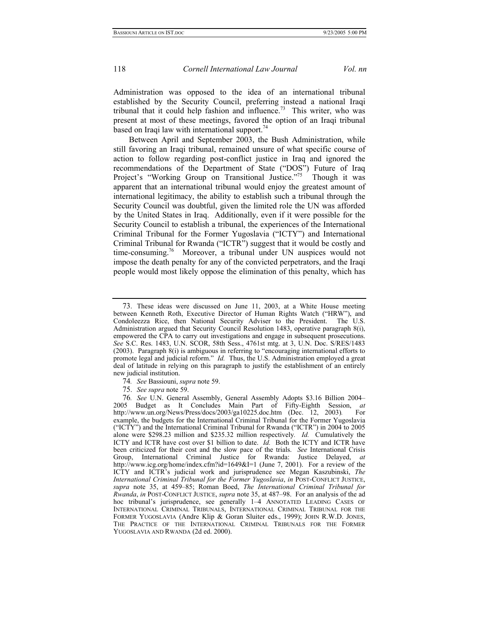Administration was opposed to the idea of an international tribunal established by the Security Council, preferring instead a national Iraqi tribunal that it could help fashion and influence.<sup>73</sup> This writer, who was present at most of these meetings, favored the option of an Iraqi tribunal based on Iraqi law with international support.<sup>74</sup>

Between April and September 2003, the Bush Administration, while still favoring an Iraqi tribunal, remained unsure of what specific course of action to follow regarding post-conflict justice in Iraq and ignored the recommendations of the Department of State ("DOS") Future of Iraq Project's "Working Group on Transitional Justice."<sup>75</sup> Though it was apparent that an international tribunal would enjoy the greatest amount of international legitimacy, the ability to establish such a tribunal through the Security Council was doubtful, given the limited role the UN was afforded by the United States in Iraq. Additionally, even if it were possible for the Security Council to establish a tribunal, the experiences of the International Criminal Tribunal for the Former Yugoslavia ("ICTY") and International Criminal Tribunal for Rwanda ("ICTR") suggest that it would be costly and time-consuming.<sup>76</sup> Moreover, a tribunal under UN auspices would not impose the death penalty for any of the convicted perpetrators, and the Iraqi people would most likely oppose the elimination of this penalty, which has

<span id="page-17-0"></span><sup>73.</sup> These ideas were discussed on June 11, 2003, at a White House meeting between Kenneth Roth, Executive Director of Human Rights Watch ("HRW"), and Condoleezza Rice, then National Security Adviser to the President. The U.S. Administration argued that Security Council Resolution 1483, operative paragraph 8(i), empowered the CPA to carry out investigations and engage in subsequent prosecutions. *See* S.C. Res. 1483, U.N. SCOR, 58th Sess., 4761st mtg. at 3, U.N. Doc. S/RES/1483 (2003). Paragraph 8(i) is ambiguous in referring to "encouraging international efforts to promote legal and judicial reform." *Id.* Thus, the U.S. Administration employed a great deal of latitude in relying on this paragraph to justify the establishment of an entirely new judicial institution.

<span id="page-17-1"></span><sup>74</sup>*. See* Bassiouni, *supra* note 59.

<span id="page-17-3"></span><span id="page-17-2"></span><sup>75.</sup> *See supra* note 59.

<sup>76</sup>*. See* U.N. General Assembly, General Assembly Adopts \$3.16 Billion 2004– 2005 Budget as It Concludes Main Part of Fifty-Eighth Session, *at* http://www.un.org/News/Press/docs/2003/ga10225.doc.htm (Dec. 12, 2003)*.* For example, the budgets for the International Criminal Tribunal for the Former Yugoslavia ("ICTY") and the International Criminal Tribunal for Rwanda ("ICTR") in 2004 to 2005 alone were \$298.23 million and \$235.32 million respectively*. Id.* Cumulatively the ICTY and ICTR have cost over \$1 billion to date. *Id.* Both the ICTY and ICTR have been criticized for their cost and the slow pace of the trials. *See* International Crisis Group, International Criminal Justice for Rwanda: Justice Delayed, *at* http://www.icg.org/home/index.cfm?id=1649&I=1 (June 7, 2001). For a review of the ICTY and ICTR's judicial work and jurisprudence see Megan Kaszubinski, *The International Criminal Tribunal for the Former Yugoslavia*, *in* POST-CONFLICT JUSTICE, *supra* note 35, at 459–85; Roman Boed, *The International Criminal Tribunal for Rwanda*, *in* POST-CONFLICT JUSTICE, *supra* note 35, at 487–98. For an analysis of the ad hoc tribunal's jurisprudence, see generally 1–4 ANNOTATED LEADING CASES OF INTERNATIONAL CRIMINAL TRIBUNALS, INTERNATIONAL CRIMINAL TRIBUNAL FOR THE FORMER YUGOSLAVIA (Andre Klip & Goran Sluiter eds., 1999); JOHN R.W.D. JONES, THE PRACTICE OF THE INTERNATIONAL CRIMINAL TRIBUNALS FOR THE FORMER YUGOSLAVIA AND RWANDA (2d ed. 2000).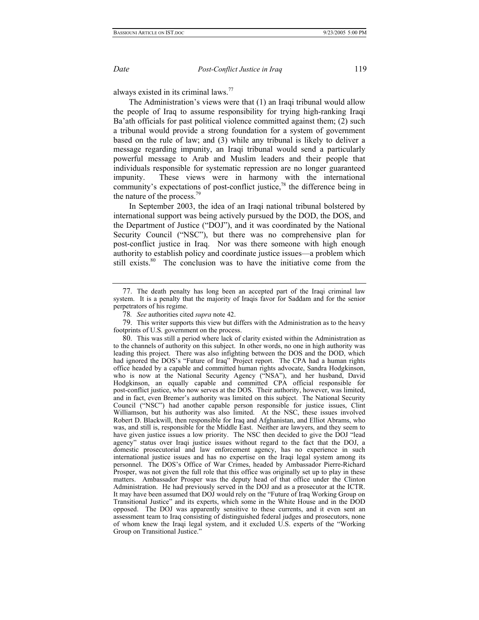always existed in its criminal laws[.77](#page-18-0)

The Administration's views were that (1) an Iraqi tribunal would allow the people of Iraq to assume responsibility for trying high-ranking Iraqi Ba'ath officials for past political violence committed against them; (2) such a tribunal would provide a strong foundation for a system of government based on the rule of law; and (3) while any tribunal is likely to deliver a message regarding impunity, an Iraqi tribunal would send a particularly powerful message to Arab and Muslim leaders and their people that individuals responsible for systematic repression are no longer guaranteed impunity. These views were in harmony with the international community's expectations of post-conflict justice,<sup>78</sup> the difference being in the nature of the process.<sup>79</sup>

In September 2003, the idea of an Iraqi national tribunal bolstered by international support was being actively pursued by the DOD, the DOS, and the Department of Justice ("DOJ"), and it was coordinated by the National Security Council ("NSC"), but there was no comprehensive plan for post-conflict justice in Iraq. Nor was there someone with high enough authority to establish policy and coordinate justice issues—a problem which still exists. $80$  The conclusion was to have the initiative come from the

<span id="page-18-0"></span><sup>77.</sup> The death penalty has long been an accepted part of the Iraqi criminal law system. It is a penalty that the majority of Iraqis favor for Saddam and for the senior perpetrators of his regime.

<span id="page-18-2"></span><span id="page-18-1"></span><sup>78</sup>*. See* authorities cited *supra* note 42.

<sup>79.</sup> This writer supports this view but differs with the Administration as to the heavy footprints of U.S. government on the process.

<span id="page-18-3"></span><sup>80.</sup> This was still a period where lack of clarity existed within the Administration as to the channels of authority on this subject. In other words, no one in high authority was leading this project. There was also infighting between the DOS and the DOD, which had ignored the DOS's "Future of Iraq" Project report. The CPA had a human rights office headed by a capable and committed human rights advocate, Sandra Hodgkinson, who is now at the National Security Agency ("NSA"), and her husband, David Hodgkinson, an equally capable and committed CPA official responsible for post-conflict justice, who now serves at the DOS. Their authority, however, was limited, and in fact, even Bremer's authority was limited on this subject. The National Security Council ("NSC") had another capable person responsible for justice issues, Clint Williamson, but his authority was also limited. At the NSC, these issues involved Robert D. Blackwill, then responsible for Iraq and Afghanistan, and Elliot Abrams, who was, and still is, responsible for the Middle East. Neither are lawyers, and they seem to have given justice issues a low priority. The NSC then decided to give the DOJ "lead agency" status over Iraqi justice issues without regard to the fact that the DOJ, a domestic prosecutorial and law enforcement agency, has no experience in such international justice issues and has no expertise on the Iraqi legal system among its personnel. The DOS's Office of War Crimes, headed by Ambassador Pierre-Richard Prosper, was not given the full role that this office was originally set up to play in these matters. Ambassador Prosper was the deputy head of that office under the Clinton Administration. He had previously served in the DOJ and as a prosecutor at the ICTR. It may have been assumed that DOJ would rely on the "Future of Iraq Working Group on Transitional Justice" and its experts, which some in the White House and in the DOD opposed. The DOJ was apparently sensitive to these currents, and it even sent an assessment team to Iraq consisting of distinguished federal judges and prosecutors, none of whom knew the Iraqi legal system, and it excluded U.S. experts of the "Working Group on Transitional Justice."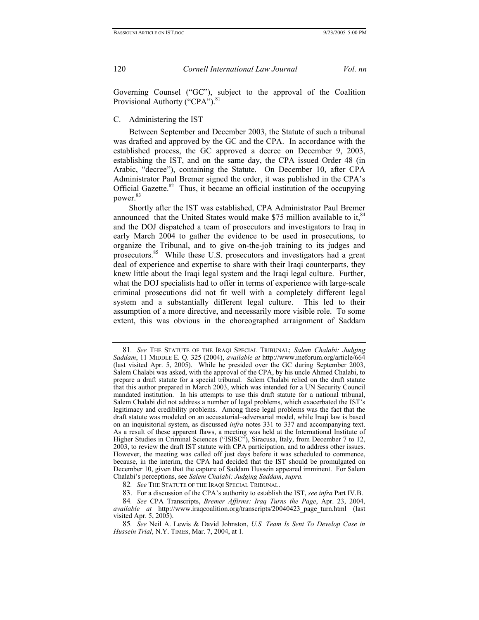Governing Counsel ("GC"), subject to the approval of the Coalition Provisional Authorty ("CPA").<sup>[81](#page-19-0)</sup>

### C. Administering the IST

Between September and December 2003, the Statute of such a tribunal was drafted and approved by the GC and the CPA. In accordance with the established process, the GC approved a decree on December 9, 2003, establishing the IST, and on the same day, the CPA issued Order 48 (in Arabic, "decree"), containing the Statute. On December 10, after CPA Administrator Paul Bremer signed the order, it was published in the CPA's Official Gazette. $82$  Thus, it became an official institution of the occupying power.<sup>[83](#page-19-2)</sup>

Shortly after the IST was established, CPA Administrator Paul Bremer announced that the United States would make \$75 million available to it, $84$ and the DOJ dispatched a team of prosecutors and investigators to Iraq in early March 2004 to gather the evidence to be used in prosecutions, to organize the Tribunal, and to give on-the-job training to its judges and prosecutors[.85](#page-19-4) While these U.S. prosecutors and investigators had a great deal of experience and expertise to share with their Iraqi counterparts, they knew little about the Iraqi legal system and the Iraqi legal culture. Further, what the DOJ specialists had to offer in terms of experience with large-scale criminal prosecutions did not fit well with a completely different legal system and a substantially different legal culture. This led to their assumption of a more directive, and necessarily more visible role. To some extent, this was obvious in the choreographed arraignment of Saddam

<span id="page-19-0"></span><sup>81</sup>*. See* THE STATUTE OF THE IRAQI SPECIAL TRIBUNAL; *Salem Chalabi: Judging Saddam*, 11 MIDDLE E. Q. 325 (2004), *available at* http://www.meforum.org/article/664 (last visited Apr. 5, 2005). While he presided over the GC during September 2003, Salem Chalabi was asked, with the approval of the CPA, by his uncle Ahmed Chalabi, to prepare a draft statute for a special tribunal. Salem Chalabi relied on the draft statute that this author prepared in March 2003, which was intended for a UN Security Council mandated institution. In his attempts to use this draft statute for a national tribunal, Salem Chalabi did not address a number of legal problems, which exacerbated the IST's legitimacy and credibility problems. Among these legal problems was the fact that the draft statute was modeled on an accusatorial–adversarial model, while Iraqi law is based on an inquisitorial system, as discussed *infra* notes 331 to 337 and accompanying text. As a result of these apparent flaws, a meeting was held at the International Institute of Higher Studies in Criminal Sciences ("ISISC"), Siracusa, Italy, from December 7 to 12, 2003, to review the draft IST statute with CPA participation, and to address other issues. However, the meeting was called off just days before it was scheduled to commence, because, in the interim, the CPA had decided that the IST should be promulgated on December 10, given that the capture of Saddam Hussein appeared imminent. For Salem Chalabi's perceptions, see *Salem Chalabi: Judging Saddam*, *supra.*

<span id="page-19-1"></span><sup>82</sup>*. See* THE STATUTE OF THE IRAQI SPECIAL TRIBUNAL.

<span id="page-19-3"></span><span id="page-19-2"></span><sup>83.</sup> For a discussion of the CPA's authority to establish the IST, *see infra* Part IV.B.

<sup>84</sup>*. See* CPA Transcripts, *Bremer Affirms: Iraq Turns the Page*, Apr. 23, 2004, *available at* http://www.iraqcoalition.org/transcripts/20040423\_page\_turn.html (last visited Apr. 5, 2005).

<span id="page-19-4"></span><sup>85</sup>*. See* Neil A. Lewis & David Johnston, *U.S. Team Is Sent To Develop Case in Hussein Trial*, N.Y. TIMES, Mar. 7, 2004, at 1.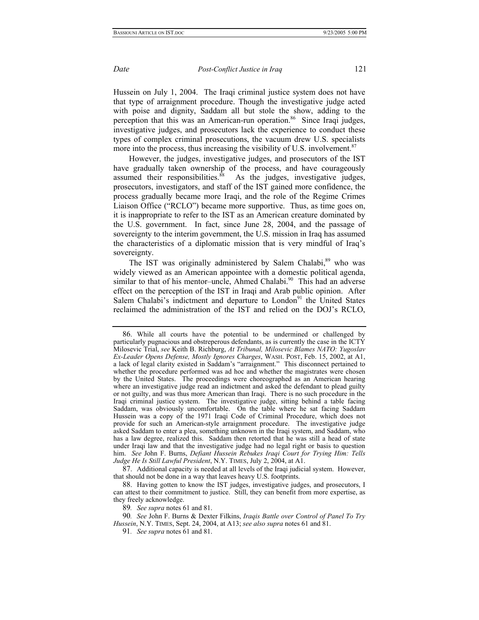Hussein on July 1, 2004. The Iraqi criminal justice system does not have that type of arraignment procedure. Though the investigative judge acted with poise and dignity, Saddam all but stole the show, adding to the perception that this was an American-run operation.<sup>86</sup> Since Iraqi judges, investigative judges, and prosecutors lack the experience to conduct these types of complex criminal prosecutions, the vacuum drew U.S. specialists more into the process, thus increasing the visibility of U.S. involvement.<sup>87</sup>

However, the judges, investigative judges, and prosecutors of the IST have gradually taken ownership of the process, and have courageously assumed their responsibilities. $\frac{8}{8}$  As the judges, investigative judges, prosecutors, investigators, and staff of the IST gained more confidence, the process gradually became more Iraqi, and the role of the Regime Crimes Liaison Office ("RCLO") became more supportive. Thus, as time goes on, it is inappropriate to refer to the IST as an American creature dominated by the U.S. government. In fact, since June 28, 2004, and the passage of sovereignty to the interim government, the U.S. mission in Iraq has assumed the characteristics of a diplomatic mission that is very mindful of Iraq's sovereignty.

The IST was originally administered by Salem Chalabi,<sup>89</sup> who was widely viewed as an American appointee with a domestic political agenda, similar to that of his mentor-uncle, Ahmed Chalabi.<sup>90</sup> This had an adverse effect on the perception of the IST in Iraqi and Arab public opinion. After Salem Chalabi's indictment and departure to London<sup>91</sup> the United States reclaimed the administration of the IST and relied on the DOJ's RCLO,

<span id="page-20-4"></span><span id="page-20-3"></span>89*. See supra* notes 61 and 81.

<span id="page-20-0"></span><sup>86.</sup> While all courts have the potential to be undermined or challenged by particularly pugnacious and obstreperous defendants, as is currently the case in the ICTY Milosevic Trial, *see* Keith B. Richburg, *At Tribunal, Milosevic Blames NATO: Yugoslav Ex-Leader Opens Defense, Mostly Ignores Charges*, WASH. POST, Feb. 15, 2002, at A1, a lack of legal clarity existed in Saddam's "arraignment." This disconnect pertained to whether the procedure performed was ad hoc and whether the magistrates were chosen by the United States. The proceedings were choreographed as an American hearing where an investigative judge read an indictment and asked the defendant to plead guilty or not guilty, and was thus more American than Iraqi. There is no such procedure in the Iraqi criminal justice system. The investigative judge, sitting behind a table facing Saddam, was obviously uncomfortable. On the table where he sat facing Saddam Hussein was a copy of the 1971 Iraqi Code of Criminal Procedure, which does not provide for such an American-style arraignment procedure. The investigative judge asked Saddam to enter a plea, something unknown in the Iraqi system, and Saddam, who has a law degree, realized this. Saddam then retorted that he was still a head of state under Iraqi law and that the investigative judge had no legal right or basis to question him. *See* John F. Burns, *Defiant Hussein Rebukes Iraqi Court for Trying Him: Tells Judge He Is Still Lawful President*, N.Y. TIMES, July 2, 2004, at A1.

<span id="page-20-1"></span><sup>87.</sup> Additional capacity is needed at all levels of the Iraqi judicial system. However, that should not be done in a way that leaves heavy U.S. footprints.

<span id="page-20-2"></span><sup>88.</sup> Having gotten to know the IST judges, investigative judges, and prosecutors, I can attest to their commitment to justice. Still, they can benefit from more expertise, as they freely acknowledge.

<sup>90</sup>*. See* John F. Burns & Dexter Filkins, *Iraqis Battle over Control of Panel To Try Hussein*, N.Y. TIMES, Sept. 24, 2004, at A13; *see also supra* notes 61 and 81.

<span id="page-20-5"></span><sup>91</sup>*. See supra* notes 61 and 81.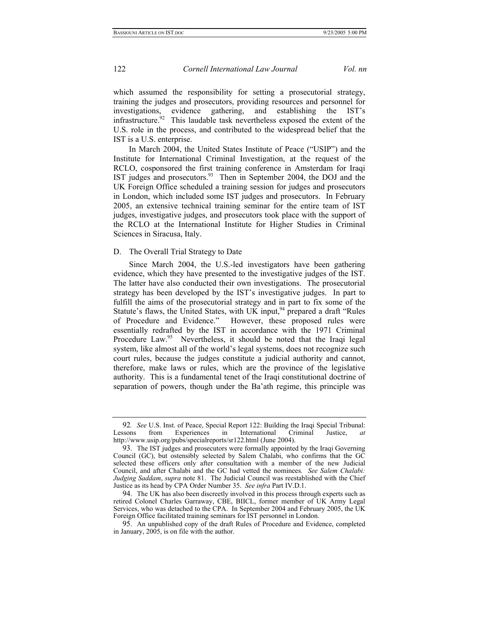which assumed the responsibility for setting a prosecutorial strategy, training the judges and prosecutors, providing resources and personnel for investigations, evidence gathering, and establishing the IST's infrastructure. $92$  This laudable task nevertheless exposed the extent of the U.S. role in the process, and contributed to the widespread belief that the IST is a U.S. enterprise.

In March 2004, the United States Institute of Peace ("USIP") and the Institute for International Criminal Investigation, at the request of the RCLO, cosponsored the first training conference in Amsterdam for Iraqi IST judges and prosecutors[.93](#page-21-1)Then in September 2004, the DOJ and the UK Foreign Office scheduled a training session for judges and prosecutors in London, which included some IST judges and prosecutors. In February 2005, an extensive technical training seminar for the entire team of IST judges, investigative judges, and prosecutors took place with the support of the RCLO at the International Institute for Higher Studies in Criminal Sciences in Siracusa, Italy.

## D. The Overall Trial Strategy to Date

Since March 2004, the U.S.-led investigators have been gathering evidence, which they have presented to the investigative judges of the IST. The latter have also conducted their own investigations. The prosecutorial strategy has been developed by the IST's investigative judges. In part to fulfill the aims of the prosecutorial strategy and in part to fix some of the Statute's flaws, the United States, with UK input,<sup>94</sup> prepared a draft "Rules" of Procedure and Evidence." However, these proposed rules were essentially redrafted by the IST in accordance with the 1971 Criminal Procedure Law.<sup>95</sup> Nevertheless, it should be noted that the Iraqi legal system, like almost all of the world's legal systems, does not recognize such court rules, because the judges constitute a judicial authority and cannot, therefore, make laws or rules, which are the province of the legislative authority. This is a fundamental tenet of the Iraqi constitutional doctrine of separation of powers, though under the Ba'ath regime, this principle was

<span id="page-21-0"></span><sup>92</sup>*. See* U.S. Inst. of Peace, Special Report 122: Building the Iraqi Special Tribunal: Lessons from Experiences in International Criminal Justice, *at*  http://www.usip.org/pubs/specialreports/sr122.html (June 2004).

<span id="page-21-1"></span><sup>93.</sup> The IST judges and prosecutors were formally appointed by the Iraqi Governing Council (GC), but ostensibly selected by Salem Chalabi, who confirms that the GC selected these officers only after consultation with a member of the new Judicial Council, and after Chalabi and the GC had vetted the nominees. *See Salem Chalabi: Judging Saddam*, *supra* note 81. The Judicial Council was reestablished with the Chief Justice as its head by CPA Order Number 35. *See infra* Part IV.D.1.

<span id="page-21-2"></span><sup>94.</sup> The UK has also been discreetly involved in this process through experts such as retired Colonel Charles Garraway, CBE, BIICL, former member of UK Army Legal Services, who was detached to the CPA. In September 2004 and February 2005, the UK Foreign Office facilitated training seminars for IST personnel in London.

<span id="page-21-3"></span><sup>95.</sup> An unpublished copy of the draft Rules of Procedure and Evidence, completed in January, 2005, is on file with the author.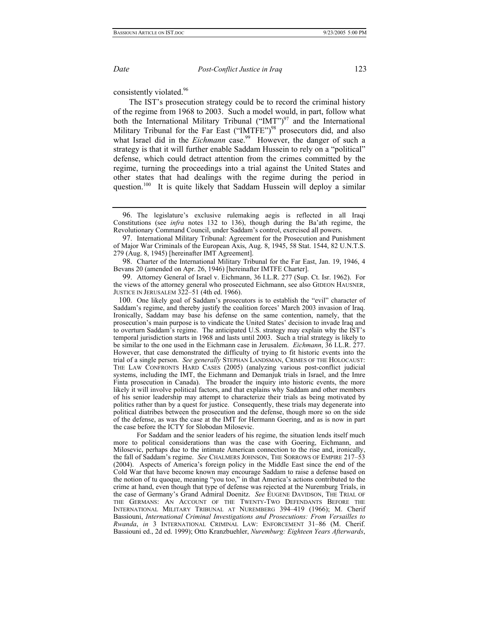consistently violated.<sup>96</sup>

The IST's prosecution strategy could be to record the criminal history of the regime from 1968 to 2003. Such a model would, in part, follow what both the International Military Tribunal ("IMT") $97$  and the International Military Tribunal for the Far East ("IMTFE")<sup>98</sup> prosecutors did, and also what Israel did in the *Eichmann* case.<sup>99</sup> However, the danger of such a strategy is that it will further enable Saddam Hussein to rely on a "political" defense, which could detract attention from the crimes committed by the regime, turning the proceedings into a trial against the United States and other states that had dealings with the regime during the period in question.<sup>100</sup> It is quite likely that Saddam Hussein will deploy a similar

<span id="page-22-2"></span>98. Charter of the International Military Tribunal for the Far East, Jan. 19, 1946, 4 Bevans 20 (amended on Apr. 26, 1946) [hereinafter IMTFE Charter].

<span id="page-22-3"></span>99. Attorney General of Israel v. Eichmann, 36 I.L.R. 277 (Sup. Ct. Isr. 1962). For the views of the attorney general who prosecuted Eichmann, see also GIDEON HAUSNER, JUSTICE IN JERUSALEM 322–51 (4th ed. 1966).

100. One likely goal of Saddam's prosecutors is to establish the "evil" character of Saddam's regime, and thereby justify the coalition forces' March 2003 invasion of Iraq. Ironically, Saddam may base his defense on the same contention, namely, that the prosecution's main purpose is to vindicate the United States' decision to invade Iraq and to overturn Saddam's regime. The anticipated U.S. strategy may explain why the IST's temporal jurisdiction starts in 1968 and lasts until 2003. Such a trial strategy is likely to be similar to the one used in the Eichmann case in Jerusalem. *Eichmann*, 36 I.L.R. 277. However, that case demonstrated the difficulty of trying to fit historic events into the trial of a single person. *See generally* STEPHAN LANDSMAN, CRIMES OF THE HOLOCAUST: THE LAW CONFRONTS HARD CASES (2005) (analyzing various post-conflict judicial systems, including the IMT, the Eichmann and Demanjuk trials in Israel, and the Imre Finta prosecution in Canada). The broader the inquiry into historic events, the more likely it will involve political factors, and that explains why Saddam and other members of his senior leadership may attempt to characterize their trials as being motivated by politics rather than by a quest for justice. Consequently, these trials may degenerate into political diatribes between the prosecution and the defense, though more so on the side of the defense, as was the case at the IMT for Hermann Goering, and as is now in part the case before the ICTY for Slobodan Milosevic.

 For Saddam and the senior leaders of his regime, the situation lends itself much more to political considerations than was the case with Goering, Eichmann, and Milosevic, perhaps due to the intimate American connection to the rise and, ironically, the fall of Saddam's regime. *See* CHALMERS JOHNSON, THE SORROWS OF EMPIRE 217–53 (2004). Aspects of America's foreign policy in the Middle East since the end of the Cold War that have become known may encourage Saddam to raise a defense based on the notion of tu quoque, meaning "you too," in that America's actions contributed to the crime at hand, even though that type of defense was rejected at the Nuremburg Trials, in the case of Germany's Grand Admiral Doenitz. *See* EUGENE DAVIDSON, THE TRIAL OF THE GERMANS: AN ACCOUNT OF THE TWENTY-TWO DEFENDANTS BEFORE THE INTERNATIONAL MILITARY TRIBUNAL AT NUREMBERG 394–419 (1966); M. Cherif Bassiouni, *International Criminal Investigations and Prosecutions: From Versailles to Rwanda*, *in* 3 INTERNATIONAL CRIMINAL LAW: ENFORCEMENT 31–86 (M. Cherif. Bassiouni ed., 2d ed. 1999); Otto Kranzbuehler, *Nuremburg: Eighteen Years Afterwards*,

<span id="page-22-4"></span>

<span id="page-22-0"></span><sup>96.</sup> The legislature's exclusive rulemaking aegis is reflected in all Iraqi Constitutions (see *infra* notes 132 to 136), though during the Ba'ath regime, the Revolutionary Command Council, under Saddam's control, exercised all powers.

<span id="page-22-1"></span><sup>97.</sup> International Military Tribunal: Agreement for the Prosecution and Punishment of Major War Criminals of the European Axis, Aug. 8, 1945, 58 Stat. 1544, 82 U.N.T.S. 279 (Aug. 8, 1945) [hereinafter IMT Agreement].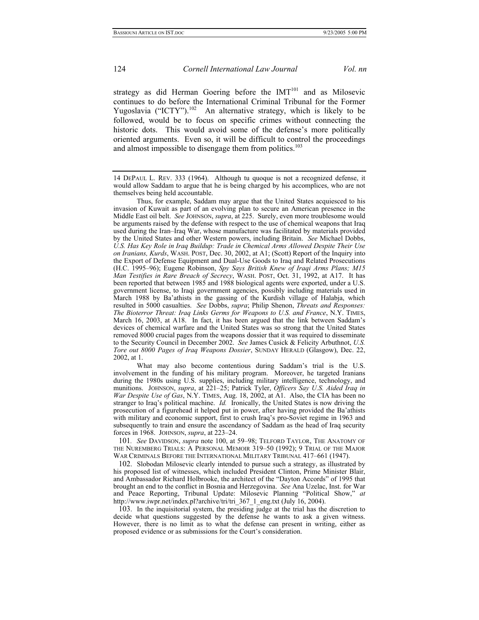strategy as did Herman Goering before the  $IMT<sup>101</sup>$  and as Milosevic continues to do before the International Criminal Tribunal for the Former Yugoslavia ("ICTY").<sup>102</sup> An alternative strategy, which is likely to be followed, would be to focus on specific crimes without connecting the historic dots. This would avoid some of the defense's more politically oriented arguments. Even so, it will be difficult to control the proceedings and almost impossible to disengage them from politics.<sup>103</sup>

 Thus, for example, Saddam may argue that the United States acquiesced to his invasion of Kuwait as part of an evolving plan to secure an American presence in the Middle East oil belt. *See* JOHNSON, *supra*, at 225. Surely, even more troublesome would be arguments raised by the defense with respect to the use of chemical weapons that Iraq used during the Iran–Iraq War, whose manufacture was facilitated by materials provided by the United States and other Western powers, including Britain. *See* Michael Dobbs, *U.S. Has Key Role in Iraq Buildup: Trade in Chemical Arms Allowed Despite Their Use on Iranians, Kurds*, WASH. POST, Dec. 30, 2002, at A1; (Scott) Report of the Inquiry into the Export of Defense Equipment and Dual-Use Goods to Iraq and Related Prosecutions (H.C. 1995–96); Eugene Robinson, *Spy Says British Knew of Iraqi Arms Plans; M15 Man Testifies in Rare Breach of Secrecy*, WASH. POST, Oct. 31, 1992, at A17. It has been reported that between 1985 and 1988 biological agents were exported, under a U.S. government license, to Iraqi government agencies, possibly including materials used in March 1988 by Ba'athists in the gassing of the Kurdish village of Halabja, which resulted in 5000 casualties. *See* Dobbs, *supra*; Philip Shenon, *Threats and Responses: The Bioterror Threat: Iraq Links Germs for Weapons to U.S. and France*, N.Y. TIMES, March 16, 2003, at A18. In fact, it has been argued that the link between Saddam's devices of chemical warfare and the United States was so strong that the United States removed 8000 crucial pages from the weapons dossier that it was required to disseminate to the Security Council in December 2002. *See* James Cusick & Felicity Arbuthnot, *U.S. Tore out 8000 Pages of Iraq Weapons Dossier*, SUNDAY HERALD (Glasgow), Dec. 22, 2002, at 1.

 What may also become contentious during Saddam's trial is the U.S. involvement in the funding of his military program. Moreover, he targeted Iranians during the 1980s using U.S. supplies, including military intelligence, technology, and munitions. JOHNSON, *supra*, at 221–25; Patrick Tyler, *Officers Say U.S. Aided Iraq in War Despite Use of Gas*, N.Y. TIMES, Aug. 18, 2002, at A1. Also, the CIA has been no stranger to Iraq's political machine. *Id.* Ironically, the United States is now driving the prosecution of a figurehead it helped put in power, after having provided the Ba'athists with military and economic support, first to crush Iraq's pro-Soviet regime in 1963 and subsequently to train and ensure the ascendancy of Saddam as the head of Iraq security forces in 1968. JOHNSON, *supra*, at 223–24.

<span id="page-23-0"></span>101*. See* DAVIDSON, *supra* note 100, at 59–98; TELFORD TAYLOR, THE ANATOMY OF THE NUREMBERG TRIALS: A PERSONAL MEMOIR 319–50 (1992); 9 TRIAL OF THE MAJOR WAR CRIMINALS BEFORE THE INTERNATIONAL MILITARY TRIBUNAL 417–661 (1947).

<span id="page-23-1"></span>102. Slobodan Milosevic clearly intended to pursue such a strategy, as illustrated by his proposed list of witnesses, which included President Clinton, Prime Minister Blair, and Ambassador Richard Holbrooke, the architect of the "Dayton Accords" of 1995 that brought an end to the conflict in Bosnia and Herzegovina. *See* Ana Uzelac, Inst. for War and Peace Reporting, Tribunal Update: Milosevic Planning "Political Show," *at* http://www.iwpr.net/index.pl?archive/tri/tri\_367\_1\_eng.txt (July 16, 2004).

<span id="page-23-2"></span>103. In the inquisitorial system, the presiding judge at the trial has the discretion to decide what questions suggested by the defense he wants to ask a given witness. However, there is no limit as to what the defense can present in writing, either as proposed evidence or as submissions for the Court's consideration.

<sup>14</sup> DEPAUL L. REV. 333 (1964). Although tu quoque is not a recognized defense, it would allow Saddam to argue that he is being charged by his accomplices, who are not themselves being held accountable.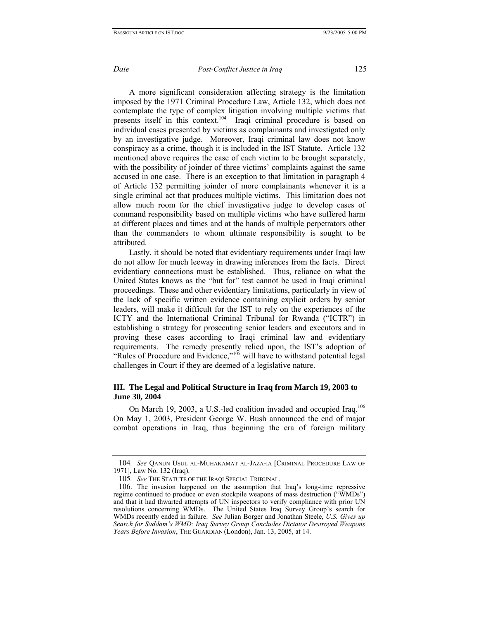A more significant consideration affecting strategy is the limitation imposed by the 1971 Criminal Procedure Law, Article 132, which does not contemplate the type of complex litigation involving multiple victims that presents itself in this context.<sup>104</sup> Iraqi criminal procedure is based on individual cases presented by victims as complainants and investigated only by an investigative judge. Moreover, Iraqi criminal law does not know conspiracy as a crime, though it is included in the IST Statute. Article 132 mentioned above requires the case of each victim to be brought separately, with the possibility of joinder of three victims' complaints against the same accused in one case. There is an exception to that limitation in paragraph 4 of Article 132 permitting joinder of more complainants whenever it is a single criminal act that produces multiple victims. This limitation does not allow much room for the chief investigative judge to develop cases of command responsibility based on multiple victims who have suffered harm at different places and times and at the hands of multiple perpetrators other than the commanders to whom ultimate responsibility is sought to be attributed.

Lastly, it should be noted that evidentiary requirements under Iraqi law do not allow for much leeway in drawing inferences from the facts. Direct evidentiary connections must be established. Thus, reliance on what the United States knows as the "but for" test cannot be used in Iraqi criminal proceedings. These and other evidentiary limitations, particularly in view of the lack of specific written evidence containing explicit orders by senior leaders, will make it difficult for the IST to rely on the experiences of the ICTY and the International Criminal Tribunal for Rwanda ("ICTR") in establishing a strategy for prosecuting senior leaders and executors and in proving these cases according to Iraqi criminal law and evidentiary requirements. The remedy presently relied upon, the IST's adoption of "Rules of Procedure and Evidence,"<sup>105</sup> will have to withstand potential legal challenges in Court if they are deemed of a legislative nature.

## **III. The Legal and Political Structure in Iraq from March 19, 2003 to June 30, 2004**

On March 19, 2003, a U.S.-led coalition invaded and occupied Iraq.<sup>106</sup> On May 1, 2003, President George W. Bush announced the end of major combat operations in Iraq, thus beginning the era of foreign military

<span id="page-24-0"></span><sup>104</sup>*. See* QANUN USUL AL-MUHAKAMAT AL-JAZA-IA [CRIMINAL PROCEDURE LAW OF 1971], Law No. 132 (Iraq).

<span id="page-24-1"></span><sup>105</sup>*. See* THE STATUTE OF THE IRAQI SPECIAL TRIBUNAL.

<span id="page-24-2"></span><sup>106.</sup> The invasion happened on the assumption that Iraq's long-time repressive regime continued to produce or even stockpile weapons of mass destruction ("WMDs") and that it had thwarted attempts of UN inspectors to verify compliance with prior UN resolutions concerning WMDs. The United States Iraq Survey Group's search for WMDs recently ended in failure. *See* Julian Borger and Jonathan Steele, *U.S. Gives up Search for Saddam's WMD: Iraq Survey Group Concludes Dictator Destroyed Weapons Years Before Invasion*, THE GUARDIAN (London), Jan. 13, 2005, at 14.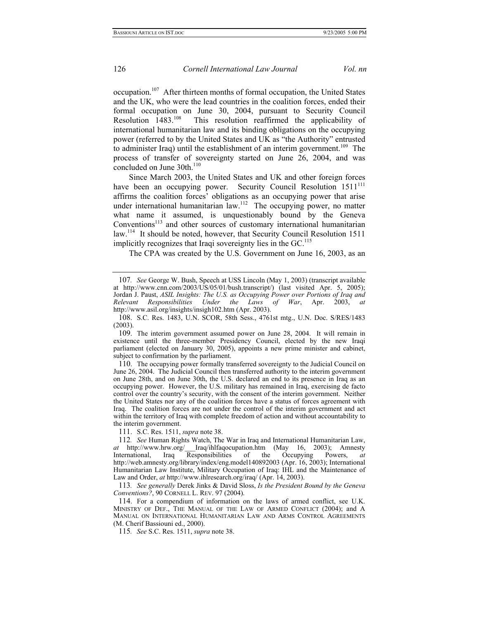occupation.[107](#page-25-0) After thirteen months of formal occupation, the United States and the UK, who were the lead countries in the coalition forces, ended their formal occupation on June 30, 2004, pursuant to Security Council Resolution 1483.<sup>108</sup> This resolution reaffirmed the applicability of international humanitarian law and its binding obligations on the occupying power (referred to by the United States and UK as "the Authority" entrusted to administer Iraq) until the establishment of an interim government.<sup>109</sup> The process of transfer of sovereignty started on June 26, 2004, and was concluded on June  $30th.<sup>110</sup>$ 

Since March 2003, the United States and UK and other foreign forces have been an occupying power. Security Council Resolution 1511<sup>111</sup> affirms the coalition forces' obligations as an occupying power that arise under international humanitarian law.<sup>112</sup> The occupying power, no matter what name it assumed, is unquestionably bound by the Geneva  $Conventions<sup>113</sup>$  and other sources of customary international humanitarian law.<sup>114</sup> It should be noted, however, that Security Council Resolution 1511 implicitly recognizes that Iraqi sovereignty lies in the GC.<sup>115</sup>

The CPA was created by the U.S. Government on June 16, 2003, as an

<span id="page-25-3"></span>110. The occupying power formally transferred sovereignty to the Judicial Council on June 26, 2004. The Judicial Council then transferred authority to the interim government on June 28th, and on June 30th, the U.S. declared an end to its presence in Iraq as an occupying power. However, the U.S. military has remained in Iraq, exercising de facto control over the country's security, with the consent of the interim government. Neither the United States nor any of the coalition forces have a status of forces agreement with Iraq. The coalition forces are not under the control of the interim government and act within the territory of Iraq with complete freedom of action and without accountability to the interim government.

<span id="page-25-4"></span>111. S.C. Res. 1511, *supra* note 38.

<span id="page-25-6"></span>113*. See generally* Derek Jinks & David Sloss, *Is the President Bound by the Geneva Conventions?*, 90 CORNELL L. REV. 97 (2004).

<span id="page-25-0"></span><sup>107</sup>*. See* George W. Bush, Speech at USS Lincoln (May 1, 2003) (transcript available at http://www.cnn.com/2003/US/05/01/bush.transcript/) (last visited Apr. 5, 2005); Jordan J. Paust, *ASIL Insights: The U.S. as Occupying Power over Portions of Iraq and Relevant Responsibilities Under the Laws of War*, Apr. 2003, *at* http://www.asil.org/insights/insigh102.htm (Apr. 2003).

<span id="page-25-1"></span><sup>108.</sup> S.C. Res. 1483, U.N. SCOR, 58th Sess., 4761st mtg., U.N. Doc. S/RES/1483 (2003).

<span id="page-25-2"></span><sup>109.</sup> The interim government assumed power on June 28, 2004. It will remain in existence until the three-member Presidency Council, elected by the new Iraqi parliament (elected on January 30, 2005), appoints a new prime minister and cabinet, subject to confirmation by the parliament.

<span id="page-25-5"></span><sup>112</sup>*. See* Human Rights Watch, The War in Iraq and International Humanitarian Law, *at* http://www.hrw.org/\_\_Iraq/ihlfaqocupation.htm (May 16, 2003); Amnesty International, Iraq Responsibilities of the Occupying Powers, *at* International, Iraq Responsibilities of the Occupying Powers, *at*  http://web.amnesty.org/library/index/eng.model140892003 (Apr. 16, 2003); International Humanitarian Law Institute, Military Occupation of Iraq: IHL and the Maintenance of Law and Order, *at* http://www.ihlresearch.org/iraq/ (Apr. 14, 2003).

<span id="page-25-7"></span><sup>114.</sup> For a compendium of information on the laws of armed conflict, see U.K. MINISTRY OF DEF., THE MANUAL OF THE LAW OF ARMED CONFLICT (2004); and A MANUAL ON INTERNATIONAL HUMANITARIAN LAW AND ARMS CONTROL AGREEMENTS (M. Cherif Bassiouni ed., 2000).

<span id="page-25-8"></span><sup>115</sup>*. See* S.C. Res. 1511, *supra* note 38.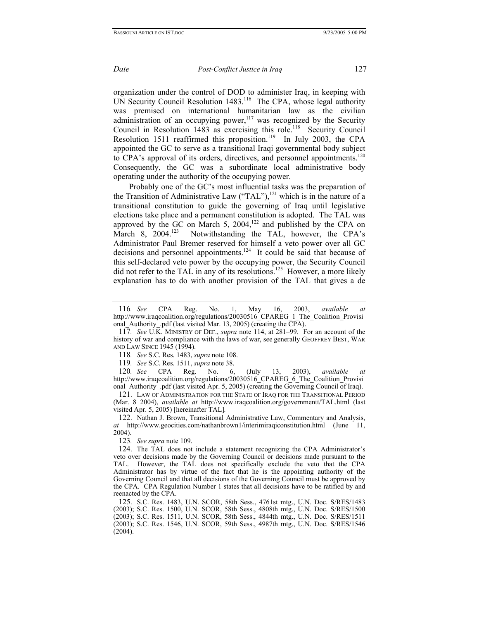organization under the control of DOD to administer Iraq, in keeping with UN Security Council Resolution 1483.<sup>116</sup> The CPA, whose legal authority was premised on international humanitarian law as the civilian administration of an occupying power, $117$  was recognized by the Security Council in Resolution 1483 as exercising this role.<sup>118</sup> Security Council Resolution 1511 reaffirmed this proposition.<sup>119</sup> In July 2003, the CPA appointed the GC to serve as a transitional Iraqi governmental body subject to CPA's approval of its orders, directives, and personnel appointments.<sup>120</sup> Consequently, the GC was a subordinate local administrative body operating under the authority of the occupying power.

Probably one of the GC's most influential tasks was the preparation of the Transition of Administrative Law  $("TAL")$ ,<sup>121</sup> which is in the nature of a transitional constitution to guide the governing of Iraq until legislative elections take place and a permanent constitution is adopted. The TAL was approved by the GC on March 5,  $2004$ ,<sup>122</sup> and published by the CPA on March 8, 2004.<sup>123</sup> Notwithstanding the TAL, however, the CPA's Administrator Paul Bremer reserved for himself a veto power over all GC decisions and personnel appointments[.124](#page-26-8) It could be said that because of this self-declared veto power by the occupying power, the Security Council did not refer to the TAL in any of its resolutions.<sup>125</sup> However, a more likely explanation has to do with another provision of the TAL that gives a de

<span id="page-26-2"></span>118*. See* S.C. Res. 1483, *supra* note 108.

<span id="page-26-3"></span>119*. See* S.C. Res. 1511, *supra* note 38.

<span id="page-26-4"></span>120*. See* CPA Reg. No. 6, (July 13, 2003), *available at*  http://www.iraqcoalition.org/regulations/20030516\_CPAREG\_6\_The\_Coalition\_Provisi onal Authority .pdf (last visited Apr. 5, 2005) (creating the Governing Council of Iraq).

<span id="page-26-5"></span>121. LAW OF ADMINISTRATION FOR THE STATE OF IRAQ FOR THE TRANSITIONAL PERIOD (Mar. 8 2004), *available at* http://www.iraqcoalition.org/governmentt/TAL.html (last visited Apr. 5, 2005) [hereinafter TAL]*.* 

<span id="page-26-6"></span>122. Nathan J. Brown, Transitional Administrative Law, Commentary and Analysis, *at* http://www.geocities.com/nathanbrown1/interimiraqiconstitution.html (June 11, 2004).

<span id="page-26-7"></span>123*. See supra* note 109.

<span id="page-26-8"></span>124. The TAL does not include a statement recognizing the CPA Administrator's veto over decisions made by the Governing Council or decisions made pursuant to the TAL. However, the TAL does not specifically exclude the veto that the CPA Administrator has by virtue of the fact that he is the appointing authority of the Governing Council and that all decisions of the Governing Council must be approved by the CPA. CPA Regulation Number 1 states that all decisions have to be ratified by and reenacted by the CPA.

<span id="page-26-9"></span>125. S.C. Res. 1483, U.N. SCOR, 58th Sess., 4761st mtg., U.N. Doc. S/RES/1483 (2003); S.C. Res. 1500, U.N. SCOR, 58th Sess., 4808th mtg., U.N. Doc. S/RES/1500 (2003); S.C. Res. 1511, U.N. SCOR, 58th Sess., 4844th mtg., U.N. Doc. S/RES/1511 (2003); S.C. Res. 1546, U.N. SCOR, 59th Sess., 4987th mtg., U.N. Doc. S/RES/1546 (2004).

<span id="page-26-0"></span><sup>116</sup>*. See* CPA Reg. No. 1, May 16, 2003, *available at*  http://www.iraqcoalition.org/regulations/20030516\_CPAREG\_1\_The\_Coalition\_Provisi onal\_Authority\_.pdf (last visited Mar. 13, 2005) (creating the CPA).

<span id="page-26-1"></span><sup>117</sup>*. See* U.K. MINISTRY OF DEF., *supra* note 114, at 281–99. For an account of the history of war and compliance with the laws of war, see generally GEOFFREY BEST, WAR AND LAW SINCE 1945 (1994).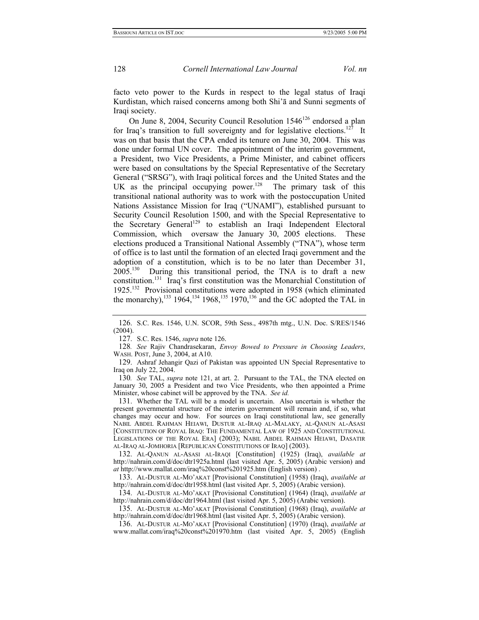<span id="page-27-10"></span>

facto veto power to the Kurds in respect to the legal status of Iraqi Kurdistan, which raised concerns among both Shi'ā and Sunni segments of Iraqi society.

On June 8, 2004, Security Council Resolution 1546<sup>126</sup> endorsed a plan for Iraq's transition to full sovereignty and for legislative elections.<sup>127</sup> It was on that basis that the CPA ended its tenure on June 30, 2004. This was done under formal UN cover. The appointment of the interim government, a President, two Vice Presidents, a Prime Minister, and cabinet officers were based on consultations by the Special Representative of the Secretary General ("SRSG"), with Iraqi political forces and the United States and the UK as the principal occupying power.<sup>128</sup> The primary task of this transitional national authority was to work with the postoccupation United Nations Assistance Mission for Iraq ("UNAMI"), established pursuant to Security Council Resolution 1500, and with the Special Representative to the Secretary General<sup>129</sup> to establish an Iraqi Independent Electoral Commission, which oversaw the January 30, 2005 elections. These elections produced a Transitional National Assembly ("TNA"), whose term of office is to last until the formation of an elected Iraqi government and the adoption of a constitution, which is to be no later than December 31, 2005.[130](#page-27-4) During this transitional period, the TNA is to draft a new constitution[.131](#page-27-5) Iraq's first constitution was the Monarchial Constitution of 1925.[132](#page-27-6) Provisional constitutions were adopted in 1958 (which eliminated the monarchy),<sup>133</sup> 1964,<sup>134</sup> 1968,<sup>135</sup> 1970,<sup>136</sup> and the GC adopted the TAL in

<span id="page-27-2"></span>128*. See* Rajiv Chandrasekaran, *Envoy Bowed to Pressure in Choosing Leaders*, WASH. POST, June 3, 2004, at A10.

<span id="page-27-3"></span>129. Ashraf Jehangir Qazi of Pakistan was appointed UN Special Representative to Iraq on July 22, 2004.

<span id="page-27-4"></span>130*. See* TAL, *supra* note 121, at art. 2. Pursuant to the TAL, the TNA elected on January 30, 2005 a President and two Vice Presidents, who then appointed a Prime Minister, whose cabinet will be approved by the TNA. *See id.* 

<span id="page-27-5"></span>131. Whether the TAL will be a model is uncertain. Also uncertain is whether the present governmental structure of the interim government will remain and, if so, what changes may occur and how. For sources on Iraqi constitutional law, see generally NABIL ABDEL RAHMAN HEIAWI, DUSTUR AL-IRAQ AL-MALAKY, AL-QANUN AL-ASASI [CONSTITUTION OF ROYAL IRAQ: THE FUNDAMENTAL LAW OF 1925 AND CONSTITUTIONAL LEGISLATIONS OF THE ROYAL ERA] (2003); NABIL ABDEL RAHMAN HEIAWI, DASATIR AL-IRAQ AL-JOMHORIA [REPUBLICAN CONSTITUTIONS OF IRAQ] (2003).

<span id="page-27-6"></span>132. AL-QANUN AL-ASASI AL-IRAQI [Constitution] (1925) (Iraq), *available at* http://nahrain.com/d/doc/dtr1925a.html (last visited Apr. 5, 2005) (Arabic version) and *at* http://www.mallat.com/iraq%20const%201925.htm (English version) .

<span id="page-27-7"></span>133. AL-DUSTUR AL-MO'AKAT [Provisional Constitution] (1958) (Iraq), *available at*  http://nahrain.com/d/doc/dtr1958.html (last visited Apr. 5, 2005) (Arabic version).

<span id="page-27-8"></span>134. AL-DUSTUR AL-MO'AKAT [Provisional Constitution] (1964) (Iraq), *available at*  http://nahrain.com/d/doc/dtr1964.html (last visited Apr. 5, 2005) (Arabic version).

<span id="page-27-9"></span>135. AL-DUSTUR AL-MO'AKAT [Provisional Constitution] (1968) (Iraq), *available at*  http://nahrain.com/d/doc/dtr1968.html (last visited Apr. 5, 2005) (Arabic version).

136. AL-DUSTUR AL-MO'AKAT [Provisional Constitution] (1970) (Iraq), *available at*  www.mallat.com/iraq%20const%201970.htm (last visited Apr. 5, 2005) (English

<span id="page-27-0"></span><sup>126.</sup> S.C. Res. 1546, U.N. SCOR, 59th Sess., 4987th mtg., U.N. Doc. S/RES/1546 (2004).

<span id="page-27-1"></span><sup>127.</sup> S.C. Res. 1546, *supra* note 126.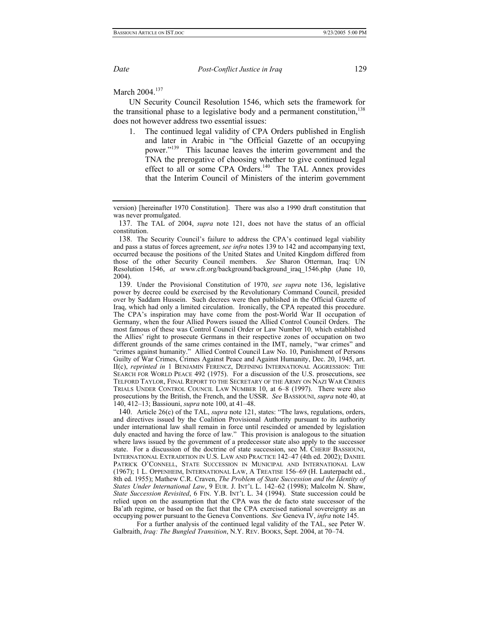March 2004.<sup>[137](#page-28-0)</sup>

UN Security Council Resolution 1546, which sets the framework for the transitional phase to a legislative body and a permanent constitution,  $^{138}$ does not however address two essential issues:

1. The continued legal validity of CPA Orders published in English and later in Arabic in "the Official Gazette of an occupying power."<sup>139</sup> This lacunae leaves the interim government and the TNA the prerogative of choosing whether to give continued legal effect to all or some CPA Orders.<sup>140</sup> The TAL Annex provides that the Interim Council of Ministers of the interim government

<span id="page-28-0"></span>137. The TAL of 2004, *supra* note 121, does not have the status of an official constitution.

<span id="page-28-1"></span>138. The Security Council's failure to address the CPA's continued legal viability and pass a status of forces agreement, *see infra* notes 139 to 142 and accompanying text, occurred because the positions of the United States and United Kingdom differed from those of the other Security Council members. *See* Sharon Otterman, Iraq: UN Resolution 1546, *at* www.cfr.org/background/background\_iraq\_1546.php (June 10, 2004).

<span id="page-28-2"></span>139. Under the Provisional Constitution of 1970, *see supra* note 136, legislative power by decree could be exercised by the Revolutionary Command Council, presided over by Saddam Hussein. Such decrees were then published in the Official Gazette of Iraq, which had only a limited circulation. Ironically, the CPA repeated this procedure. The CPA's inspiration may have come from the post-World War II occupation of Germany, when the four Allied Powers issued the Allied Control Council Orders. The most famous of these was Control Council Order or Law Number 10, which established the Allies' right to prosecute Germans in their respective zones of occupation on two different grounds of the same crimes contained in the IMT, namely, "war crimes" and "crimes against humanity." Allied Control Council Law No. 10, Punishment of Persons Guilty of War Crimes, Crimes Against Peace and Against Humanity, Dec. 20, 1945, art. II(c), *reprinted in* 1 BENJAMIN FERENCZ, DEFINING INTERNATIONAL AGGRESSION: THE SEARCH FOR WORLD PEACE 492 (1975). For a discussion of the U.S. prosecutions, see TELFORD TAYLOR, FINAL REPORT TO THE SECRETARY OF THE ARMY ON NAZI WAR CRIMES TRIALS UNDER CONTROL COUNCIL LAW NUMBER 10, at 6–8 (1997). There were also prosecutions by the British, the French, and the USSR. *See* BASSIOUNI, *supra* note 40, at 140, 412–13; Bassiouni, *supra* note 100, at 41–48.

<span id="page-28-3"></span>140. Article 26(c) of the TAL, *supra* note 121, states: "The laws, regulations, orders, and directives issued by the Coalition Provisional Authority pursuant to its authority under international law shall remain in force until rescinded or amended by legislation duly enacted and having the force of law." This provision is analogous to the situation where laws issued by the government of a predecessor state also apply to the successor state. For a discussion of the doctrine of state succession, see M. CHERIF BASSIOUNI, INTERNATIONAL EXTRADITION IN U.S. LAW AND PRACTICE 142–47 (4th ed. 2002); DANIEL PATRICK O'CONNELL, STATE SUCCESSION IN MUNICIPAL AND INTERNATIONAL LAW (1967); 1 L. OPPENHEIM, INTERNATIONAL LAW, A TREATISE 156–69 (H. Lauterpacht ed., 8th ed. 1955); Mathew C.R. Craven, *The Problem of State Succession and the Identity of States Under International Law*, 9 EUR. J. INT'L L. 142–62 (1998); Malcolm N. Shaw, *State Succession Revisited*, 6 FIN. Y.B. INT'L L. 34 (1994). State succession could be relied upon on the assumption that the CPA was the de facto state successor of the Ba'ath regime, or based on the fact that the CPA exercised national sovereignty as an occupying power pursuant to the Geneva Conventions. *See* Geneva IV, *infra* note 145.

 For a further analysis of the continued legal validity of the TAL, see Peter W. Galbraith, *Iraq: The Bungled Transition*, N.Y. REV. BOOKS, Sept. 2004, at 70–74.

version) [hereinafter 1970 Constitution]. There was also a 1990 draft constitution that was never promulgated.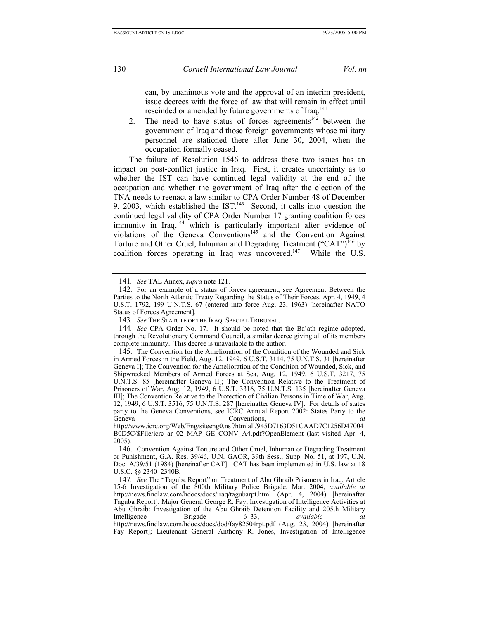can, by unanimous vote and the approval of an interim president, issue decrees with the force of law that will remain in effect until rescinded or amended by future governments of Iraq.<sup>[141](#page-29-0)</sup>

2. The need to have status of forces agreements<sup> $142$ </sup> between the government of Iraq and those foreign governments whose military personnel are stationed there after June 30, 2004, when the occupation formally ceased.

The failure of Resolution 1546 to address these two issues has an impact on post-conflict justice in Iraq. First, it creates uncertainty as to whether the IST can have continued legal validity at the end of the occupation and whether the government of Iraq after the election of the TNA needs to reenact a law similar to CPA Order Number 48 of December 9, 2003, which established the  $IST^{143}$  Second, it calls into question the continued legal validity of CPA Order Number 17 granting coalition forces immunity in Iraq,<sup>144</sup> which is particularly important after evidence of violations of the Geneva Conventions<sup>145</sup> and the Convention Against Torture and Other Cruel, Inhuman and Degrading Treatment ("CAT")<sup>146</sup> by coalition forces operating in Iraq was uncovered.<sup>147</sup> While the U.S.

<span id="page-29-6"></span>

<span id="page-29-0"></span><sup>141</sup>*. See* TAL Annex, *supra* note 121.

<span id="page-29-1"></span><sup>142.</sup> For an example of a status of forces agreement, see Agreement Between the Parties to the North Atlantic Treaty Regarding the Status of Their Forces, Apr. 4, 1949, 4 U.S.T. 1792, 199 U.N.T.S. 67 (entered into force Aug. 23, 1963) [hereinafter NATO Status of Forces Agreement].

<span id="page-29-2"></span><sup>143</sup>*. See* THE STATUTE OF THE IRAQI SPECIAL TRIBUNAL.

<span id="page-29-3"></span><sup>144</sup>*. See* CPA Order No. 17. It should be noted that the Ba'ath regime adopted, through the Revolutionary Command Council, a similar decree giving all of its members complete immunity. This decree is unavailable to the author.

<span id="page-29-4"></span><sup>145.</sup> The Convention for the Amelioration of the Condition of the Wounded and Sick in Armed Forces in the Field, Aug. 12, 1949, 6 U.S.T. 3114, 75 U.N.T.S. 31 [hereinafter Geneva I]; The Convention for the Amelioration of the Condition of Wounded, Sick, and Shipwrecked Members of Armed Forces at Sea, Aug. 12, 1949, 6 U.S.T. 3217, 75 U.N.T.S. 85 [hereinafter Geneva II]; The Convention Relative to the Treatment of Prisoners of War, Aug. 12, 1949, 6 U.S.T. 3316, 75 U.N.T.S. 135 [hereinafter Geneva III]; The Convention Relative to the Protection of Civilian Persons in Time of War, Aug. 12, 1949, 6 U.S.T. 3516, 75 U.N.T.S. 287 [hereinafter Geneva IV]. For details of states party to the Geneva Conventions, see ICRC Annual Report 2002: States Party to the Geneva Conventions, *at* http://www.icrc.org/Web/Eng/siteeng0.nsf/htmlall/945D7163D51CAAD7C1256D47004

B0D5C/\$File/icrc\_ar\_02\_MAP\_GE\_CONV\_A4.pdf?OpenElement (last visited Apr. 4, 2005)*.*

<span id="page-29-5"></span><sup>146.</sup> Convention Against Torture and Other Cruel, Inhuman or Degrading Treatment or Punishment, G.A. Res. 39/46, U.N. GAOR, 39th Sess., Supp. No. 51, at 197, U.N. Doc. A/39/51 (1984) [hereinafter CAT]. CAT has been implemented in U.S. law at 18 U.S.C. §§ 2340–2340B*.* 

<sup>147</sup>*. See* The "Taguba Report" on Treatment of Abu Ghraib Prisoners in Iraq, Article 15-6 Investigation of the 800th Military Police Brigade, Mar. 2004, *available at*  http://news.findlaw.com/hdocs/docs/iraq/tagubarpt.html (Apr. 4, 2004) [hereinafter Taguba Report]; Major General George R. Fay, Investigation of Intelligence Activities at Abu Ghraib: Investigation of the Abu Ghraib Detention Facility and 205th Military Intelligence Brigade 6–33, *available at*  http://news.findlaw.com/hdocs/docs/dod/fay82504rpt.pdf (Aug. 23, 2004) [hereinafter Fay Report]; Lieutenant General Anthony R. Jones, Investigation of Intelligence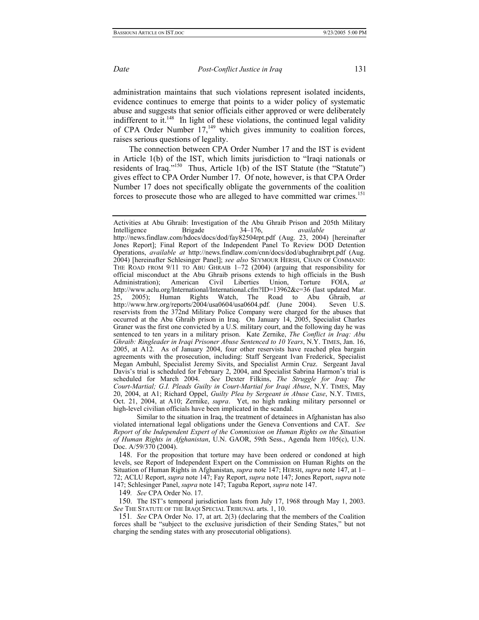administration maintains that such violations represent isolated incidents, evidence continues to emerge that points to a wider policy of systematic abuse and suggests that senior officials either approved or were deliberately indifferent to it.<sup>148</sup> In light of these violations, the continued legal validity of CPA Order Number  $17<sub>149</sub>$  which gives immunity to coalition forces, raises serious questions of legality.

The connection between CPA Order Number 17 and the IST is evident in Article 1(b) of the IST, which limits jurisdiction to "Iraqi nationals or residents of Iraq.["150](#page-30-2) Thus, Article 1(b) of the IST Statute (the "Statute") gives effect to CPA Order Number 17. Of note, however, is that CPA Order Number 17 does not specifically obligate the governments of the coalition forces to prosecute those who are alleged to have committed war crimes.<sup>151</sup>

<span id="page-30-1"></span>149*. See* CPA Order No. 17.

<span id="page-30-2"></span>150. The IST's temporal jurisdiction lasts from July 17, 1968 through May 1, 2003. *See* THE STATUTE OF THE IRAQI SPECIAL TRIBUNAL arts. 1, 10.

Activities at Abu Ghraib: Investigation of the Abu Ghraib Prison and 205th Military Intelligence Brigade 34–176, *available at* Intelligence Brigade 34–176, *available at* http://news.findlaw.com/hdocs/docs/dod/fay82504rpt.pdf (Aug. 23, 2004) [hereinafter Jones Report]; Final Report of the Independent Panel To Review DOD Detention Operations, *available at* http://news.findlaw.com/cnn/docs/dod/abughraibrpt.pdf (Aug. 2004) [hereinafter Schlesinger Panel]; *see also* SEYMOUR HERSH, CHAIN OF COMMAND: THE ROAD FROM 9/11 TO ABU GHRAIB 1–72 (2004) (arguing that responsibility for official misconduct at the Abu Ghraib prisons extends to high officials in the Bush Administration); American Civil Liberties Union, Torture FOIA, *at*  http://www.aclu.org/International/International.cfm?ID=13962&c=36 (last updated Mar. 25, 2005); Human Rights Watch, The Road to Abu Ghraib, *at*  http://www.hrw.org/reports/2004/usa0604/usa0604.pdf. (June 2004). Seven U.S. reservists from the 372nd Military Police Company were charged for the abuses that occurred at the Abu Ghraib prison in Iraq. On January 14, 2005, Specialist Charles Graner was the first one convicted by a U.S. military court, and the following day he was sentenced to ten years in a military prison. Kate Zernike, *The Conflict in Iraq: Abu Ghraib: Ringleader in Iraqi Prisoner Abuse Sentenced to 10 Years*, N.Y. TIMES, Jan. 16, 2005, at A12. As of January 2004, four other reservists have reached plea bargain agreements with the prosecution, including: Staff Sergeant Ivan Frederick, Specialist Megan Ambuhl, Specialist Jeremy Sivits, and Specialist Armin Cruz. Sergeant Javal Davis's trial is scheduled for February 2, 2004, and Specialist Sabrina Harmon's trial is scheduled for March 2004. *See* Dexter Filkins, *The Struggle for Iraq: The Court-Martial; G.I. Pleads Guilty in Court-Martial for Iraqi Abuse*, N.Y. TIMES, May 20, 2004, at A1; Richard Oppel, *Guilty Plea by Sergeant in Abuse Case*, N.Y. TIMES, Oct. 21, 2004, at A10; Zernike, *supra*. Yet, no high ranking military personnel or high-level civilian officials have been implicated in the scandal.

Similar to the situation in Iraq, the treatment of detainees in Afghanistan has also violated international legal obligations under the Geneva Conventions and CAT. *See Report of the Independent Expert of the Commission on Human Rights on the Situation of Human Rights in Afghanistan*, U.N. GAOR, 59th Sess., Agenda Item 105(c), U.N. Doc. A/59/370 (2004).

<span id="page-30-0"></span><sup>148.</sup> For the proposition that torture may have been ordered or condoned at high levels, see Report of Independent Expert on the Commission on Human Rights on the Situation of Human Rights in Afghanistan, *supra* note 147; HERSH, *supra* note 147, at 1– 72; ACLU Report, *supra* note 147; Fay Report, *supra* note 147; Jones Report, *supra* note 147; Schlesinger Panel, *supra* note 147; Taguba Report, *supra* note 147.

<span id="page-30-3"></span><sup>151</sup>*. See* CPA Order No. 17, at art. 2(3) (declaring that the members of the Coalition forces shall be "subject to the exclusive jurisdiction of their Sending States," but not charging the sending states with any prosecutorial obligations).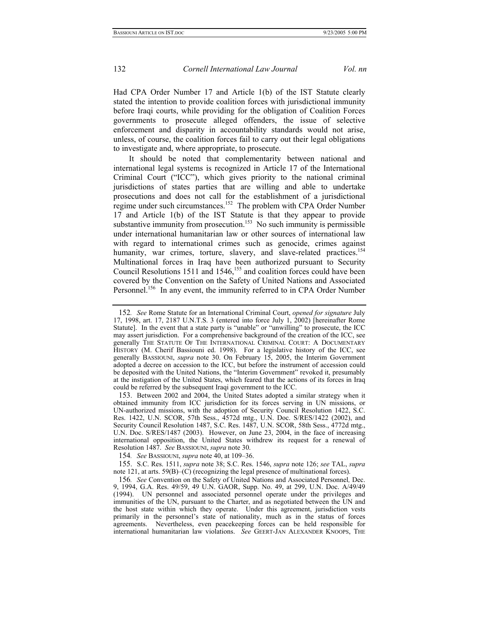Had CPA Order Number 17 and Article 1(b) of the IST Statute clearly stated the intention to provide coalition forces with jurisdictional immunity before Iraqi courts, while providing for the obligation of Coalition Forces governments to prosecute alleged offenders, the issue of selective enforcement and disparity in accountability standards would not arise, unless, of course, the coalition forces fail to carry out their legal obligations to investigate and, where appropriate, to prosecute.

It should be noted that complementarity between national and international legal systems is recognized in Article 17 of the International Criminal Court ("ICC"), which gives priority to the national criminal jurisdictions of states parties that are willing and able to undertake prosecutions and does not call for the establishment of a jurisdictional regime under such circumstances.<sup>152</sup> The problem with CPA Order Number 17 and Article 1(b) of the IST Statute is that they appear to provide substantive immunity from prosecution.<sup>153</sup> No such immunity is permissible under international humanitarian law or other sources of international law with regard to international crimes such as genocide, crimes against humanity, war crimes, torture, slavery, and slave-related practices.<sup>154</sup> Multinational forces in Iraq have been authorized pursuant to Security Council Resolutions 1511 and 1546,<sup>155</sup> and coalition forces could have been covered by the Convention on the Safety of United Nations and Associated Personnel.<sup>156</sup> In any event, the immunity referred to in CPA Order Number

<span id="page-31-4"></span>

<span id="page-31-0"></span><sup>152</sup>*. See* Rome Statute for an International Criminal Court, *opened for signature* July 17, 1998, art. 17, 2187 U.N.T.S. 3 (entered into force July 1, 2002) [hereinafter Rome Statute]. In the event that a state party is "unable" or "unwilling" to prosecute, the ICC may assert jurisdiction. For a comprehensive background of the creation of the ICC, see generally THE STATUTE OF THE INTERNATIONAL CRIMINAL COURT: A DOCUMENTARY HISTORY (M. Cherif Bassiouni ed. 1998). For a legislative history of the ICC, see generally BASSIOUNI, *supra* note 30. On February 15, 2005, the Interim Government adopted a decree on accession to the ICC, but before the instrument of accession could be deposited with the United Nations, the "Interim Government" revoked it, presumably at the instigation of the United States, which feared that the actions of its forces in Iraq could be referred by the subsequent Iraqi government to the ICC.

<span id="page-31-1"></span><sup>153.</sup> Between 2002 and 2004, the United States adopted a similar strategy when it obtained immunity from ICC jurisdiction for its forces serving in UN missions, or UN-authorized missions, with the adoption of Security Council Resolution 1422, S.C. Res. 1422, U.N. SCOR, 57th Sess., 4572d mtg., U.N. Doc. S/RES/1422 (2002), and Security Council Resolution 1487, S.C. Res. 1487, U.N. SCOR, 58th Sess., 4772d mtg., U.N. Doc. S/RES/1487 (2003). However, on June 23, 2004, in the face of increasing international opposition, the United States withdrew its request for a renewal of Resolution 1487. *See* BASSIOUNI, *supra* note 30.

<span id="page-31-2"></span><sup>154</sup>*. See* BASSIOUNI, *supra* note 40, at 109–36.

<span id="page-31-3"></span><sup>155.</sup> S.C. Res. 1511, *supra* note 38; S.C. Res. 1546, *supra* note 126; *see* TAL, *supra* note 121, at arts. 59(B)–(C) (recognizing the legal presence of multinational forces).

<sup>156</sup>*. See* Convention on the Safety of United Nations and Associated Personnel*,* Dec. 9, 1994, G.A. Res. 49/59, 49 U.N. GAOR, Supp. No. 49, at 299, U.N. Doc. A/49/49 (1994). UN personnel and associated personnel operate under the privileges and immunities of the UN, pursuant to the Charter, and as negotiated between the UN and the host state within which they operate. Under this agreement, jurisdiction vests primarily in the personnel's state of nationality, much as in the status of forces agreements. Nevertheless, even peacekeeping forces can be held responsible for international humanitarian law violations. *See* GEERT-JAN ALEXANDER KNOOPS, THE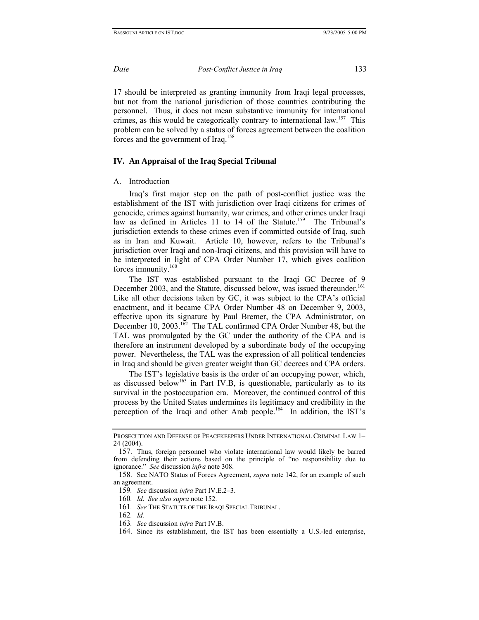<span id="page-32-7"></span>

17 should be interpreted as granting immunity from Iraqi legal processes, but not from the national jurisdiction of those countries contributing the personnel. Thus, it does not mean substantive immunity for international crimes, as this would be categorically contrary to international law.<sup>157</sup> This problem can be solved by a status of forces agreement between the coalition forces and the government of Iraq.<sup>158</sup>

## **IV. An Appraisal of the Iraq Special Tribunal**

## A. Introduction

Iraq's first major step on the path of post-conflict justice was the establishment of the IST with jurisdiction over Iraqi citizens for crimes of genocide, crimes against humanity, war crimes, and other crimes under Iraqi law as defined in Articles 11 to 14 of the Statute.<sup>159</sup> The Tribunal's jurisdiction extends to these crimes even if committed outside of Iraq, such as in Iran and Kuwait. Article 10, however, refers to the Tribunal's jurisdiction over Iraqi and non-Iraqi citizens, and this provision will have to be interpreted in light of CPA Order Number 17, which gives coalition forces immunity.<sup>[160](#page-32-3)</sup>

The IST was established pursuant to the Iraqi GC Decree of 9 December 2003, and the Statute, discussed below, was issued thereunder.<sup>161</sup> Like all other decisions taken by GC, it was subject to the CPA's official enactment, and it became CPA Order Number 48 on December 9, 2003, effective upon its signature by Paul Bremer, the CPA Administrator, on December 10, 2003.<sup>162</sup> The TAL confirmed CPA Order Number 48, but the TAL was promulgated by the GC under the authority of the CPA and is therefore an instrument developed by a subordinate body of the occupying power. Nevertheless, the TAL was the expression of all political tendencies in Iraq and should be given greater weight than GC decrees and CPA orders.

The IST's legislative basis is the order of an occupying power, which, as discussed below<sup>163</sup> in Part IV.B, is questionable, particularly as to its survival in the postoccupation era. Moreover, the continued control of this process by the United States undermines its legitimacy and credibility in the perception of the Iraqi and other Arab people.<sup>164</sup> In addition, the IST's

PROSECUTION AND DEFENSE OF PEACEKEEPERS UNDER INTERNATIONAL CRIMINAL LAW 1– 24 (2004).

<span id="page-32-0"></span><sup>157.</sup> Thus, foreign personnel who violate international law would likely be barred from defending their actions based on the principle of "no responsibility due to ignorance." *See* discussion *infra* note 308.

<span id="page-32-1"></span><sup>158.</sup> See NATO Status of Forces Agreement, *supra* note 142, for an example of such an agreement.

<span id="page-32-2"></span><sup>159</sup>*. See* discussion *infra* Part IV.E.2–3.

<span id="page-32-3"></span><sup>160</sup>*. Id*. *See also supra* note 152.

<span id="page-32-4"></span><sup>161</sup>*. See* THE STATUTE OF THE IRAQI SPECIAL TRIBUNAL.

<span id="page-32-5"></span><sup>162</sup>*. Id.* 

<span id="page-32-6"></span><sup>163</sup>*. See* discussion *infra* Part IV.B.

<sup>164.</sup> Since its establishment, the IST has been essentially a U.S.-led enterprise,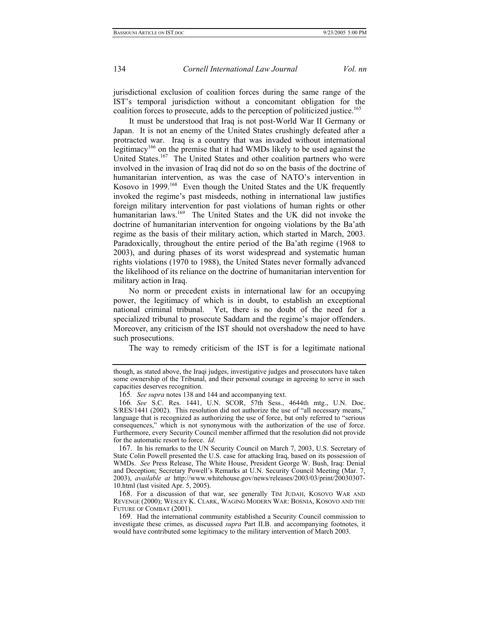jurisdictional exclusion of coalition forces during the same range of the IST's temporal jurisdiction without a concomitant obligation for the coalition forces to prosecute, adds to the perception of politicized justice.<sup>165</sup>

It must be understood that Iraq is not post-World War II Germany or Japan. It is not an enemy of the United States crushingly defeated after a protracted war. Iraq is a country that was invaded without international legitimacy<sup>166</sup> on the premise that it had WMDs likely to be used against the United States.<sup>167</sup> The United States and other coalition partners who were involved in the invasion of Iraq did not do so on the basis of the doctrine of humanitarian intervention, as was the case of NATO's intervention in Kosovo in 1999.<sup>168</sup> Even though the United States and the UK frequently invoked the regime's past misdeeds, nothing in international law justifies foreign military intervention for past violations of human rights or other humanitarian laws.<sup>169</sup> The United States and the UK did not invoke the doctrine of humanitarian intervention for ongoing violations by the Ba'ath regime as the basis of their military action, which started in March, 2003. Paradoxically, throughout the entire period of the Ba'ath regime (1968 to 2003), and during phases of its worst widespread and systematic human rights violations (1970 to 1988), the United States never formally advanced the likelihood of its reliance on the doctrine of humanitarian intervention for military action in Iraq.

No norm or precedent exists in international law for an occupying power, the legitimacy of which is in doubt, to establish an exceptional national criminal tribunal. Yet, there is no doubt of the need for a specialized tribunal to prosecute Saddam and the regime's major offenders. Moreover, any criticism of the IST should not overshadow the need to have such prosecutions.

The way to remedy criticism of the IST is for a legitimate national

though, as stated above, the Iraqi judges, investigative judges and prosecutors have taken some ownership of the Tribunal, and their personal courage in agreeing to serve in such capacities deserves recognition.

<span id="page-33-0"></span><sup>165</sup>*. See supra* notes 138 and 144 and accompanying text.

<span id="page-33-1"></span><sup>166</sup>*. See* S.C. Res. 1441, U.N. SCOR, 57th Sess., 4644th mtg., U.N. Doc. S/RES/1441 (2002). This resolution did not authorize the use of "all necessary means," language that is recognized as authorizing the use of force, but only referred to "serious consequences," which is not synonymous with the authorization of the use of force. Furthermore, every Security Council member affirmed that the resolution did not provide for the automatic resort to force. *Id.* 

<span id="page-33-2"></span><sup>167.</sup> In his remarks to the UN Security Council on March 7, 2003, U.S. Secretary of State Colin Powell presented the U.S. case for attacking Iraq, based on its possession of WMDs. *See* Press Release, The White House, President George W. Bush, Iraq: Denial and Deception; Secretary Powell's Remarks at U.N. Security Council Meeting (Mar. 7, 2003), *available at* http://www.whitehouse.gov/news/releases/2003/03/print/20030307- 10.html (last visited Apr. 5, 2005).

<span id="page-33-3"></span><sup>168.</sup> For a discussion of that war, see generally TIM JUDAH, KOSOVO WAR AND REVENGE (2000); WESLEY K. CLARK, WAGING MODERN WAR: BOSNIA, KOSOVO AND THE FUTURE OF COMBAT (2001).

<span id="page-33-4"></span><sup>169.</sup> Had the international community established a Security Council commission to investigate these crimes, as discussed *supra* Part II.B. and accompanying footnotes, it would have contributed some legitimacy to the military intervention of March 2003.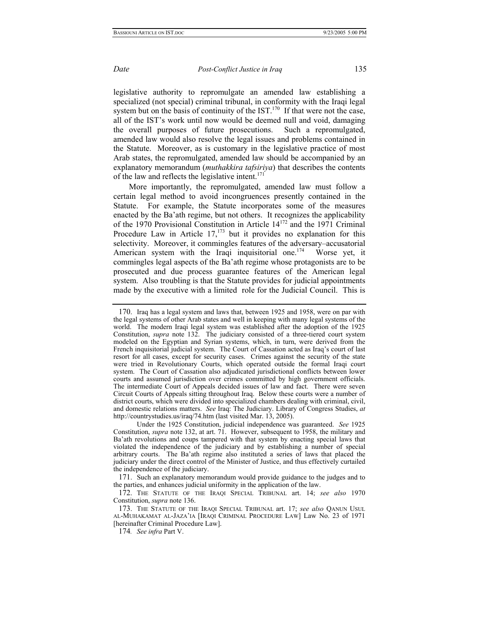legislative authority to repromulgate an amended law establishing a specialized (not special) criminal tribunal, in conformity with the Iraqi legal system but on the basis of continuity of the  $IST<sup>170</sup>$  If that were not the case, all of the IST's work until now would be deemed null and void, damaging the overall purposes of future prosecutions. Such a repromulgated, amended law would also resolve the legal issues and problems contained in the Statute. Moreover, as is customary in the legislative practice of most Arab states, the repromulgated, amended law should be accompanied by an explanatory memorandum (*muthakkira tafsiriya*) that describes the contents of the law and reflects the legislative intent.<sup>[171](#page-34-1)</sup>

More importantly, the repromulgated, amended law must follow a certain legal method to avoid incongruences presently contained in the Statute. For example, the Statute incorporates some of the measures enacted by the Ba'ath regime, but not others. It recognizes the applicability of the 1970 Provisional Constitution in Article 14[172 a](#page-34-2)nd the 1971 Criminal Procedure Law in Article  $17$ ,<sup>173</sup> but it provides no explanation for this selectivity. Moreover, it commingles features of the adversary–accusatorial American system with the Iraqi inquisitorial one.<sup>174</sup> Worse yet, it commingles legal aspects of the Ba'ath regime whose protagonists are to be prosecuted and due process guarantee features of the American legal system. Also troubling is that the Statute provides for judicial appointments made by the executive with a limited role for the Judicial Council. This is

<span id="page-34-0"></span><sup>170.</sup> Iraq has a legal system and laws that, between 1925 and 1958, were on par with the legal systems of other Arab states and well in keeping with many legal systems of the world. The modern Iraqi legal system was established after the adoption of the 1925 Constitution, *supra* note 132. The judiciary consisted of a three-tiered court system modeled on the Egyptian and Syrian systems, which, in turn, were derived from the French inquisitorial judicial system. The Court of Cassation acted as Iraq's court of last resort for all cases, except for security cases. Crimes against the security of the state were tried in Revolutionary Courts, which operated outside the formal Iraqi court system. The Court of Cassation also adjudicated jurisdictional conflicts between lower courts and assumed jurisdiction over crimes committed by high government officials. The intermediate Court of Appeals decided issues of law and fact. There were seven Circuit Courts of Appeals sitting throughout Iraq. Below these courts were a number of district courts, which were divided into specialized chambers dealing with criminal, civil, and domestic relations matters. *See* Iraq: The Judiciary. Library of Congress Studies, *at*  http://countrystudies.us/iraq/74.htm (last visited Mar. 13, 2005).

Under the 1925 Constitution, judicial independence was guaranteed. *See* 1925 Constitution, *supra* note 132, at art. 71. However, subsequent to 1958, the military and Ba'ath revolutions and coups tampered with that system by enacting special laws that violated the independence of the judiciary and by establishing a number of special arbitrary courts. The Ba'ath regime also instituted a series of laws that placed the judiciary under the direct control of the Minister of Justice, and thus effectively curtailed the independence of the judiciary.

<span id="page-34-1"></span><sup>171.</sup> Such an explanatory memorandum would provide guidance to the judges and to the parties, and enhances judicial uniformity in the application of the law.

<span id="page-34-2"></span><sup>172.</sup> THE STATUTE OF THE IRAQI SPECIAL TRIBUNAL art. 14; *see also* 1970 Constitution, *supra* note 136.

<span id="page-34-3"></span><sup>173.</sup> THE STATUTE OF THE IRAQI SPECIAL TRIBUNAL art. 17; *see also* QANUN USUL AL-MUHAKAMAT AL-JAZA'IA [IRAQI CRIMINAL PROCEDURE LAW] Law No. 23 of 1971 [hereinafter Criminal Procedure Law].

<span id="page-34-4"></span><sup>174</sup>*. See infra* Part V.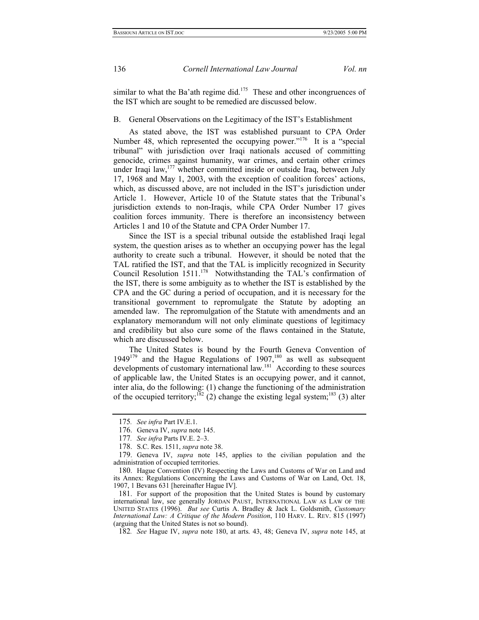<span id="page-35-7"></span>

similar to what the Ba'ath regime did.<sup>175</sup> These and other incongruences of the IST which are sought to be remedied are discussed below.

B. General Observations on the Legitimacy of the IST's Establishment

As stated above, the IST was established pursuant to CPA Order Number 48, which represented the occupying power."<sup>176</sup> It is a "special tribunal" with jurisdiction over Iraqi nationals accused of committing genocide, crimes against humanity, war crimes, and certain other crimes under Iraqi law,<sup>177</sup> whether committed inside or outside Iraq, between July 17, 1968 and May 1, 2003, with the exception of coalition forces' actions, which, as discussed above, are not included in the IST's jurisdiction under Article 1. However, Article 10 of the Statute states that the Tribunal's jurisdiction extends to non-Iraqis, while CPA Order Number 17 gives coalition forces immunity. There is therefore an inconsistency between Articles 1 and 10 of the Statute and CPA Order Number 17.

Since the IST is a special tribunal outside the established Iraqi legal system, the question arises as to whether an occupying power has the legal authority to create such a tribunal. However, it should be noted that the TAL ratified the IST, and that the TAL is implicitly recognized in Security Council Resolution 1511.<sup>178</sup> Notwithstanding the TAL's confirmation of the IST, there is some ambiguity as to whether the IST is established by the CPA and the GC during a period of occupation, and it is necessary for the transitional government to repromulgate the Statute by adopting an amended law. The repromulgation of the Statute with amendments and an explanatory memorandum will not only eliminate questions of legitimacy and credibility but also cure some of the flaws contained in the Statute, which are discussed below.

<span id="page-35-8"></span>The United States is bound by the Fourth Geneva Convention of 1949 $179$  and the Hague Regulations of 1907, $180$  as well as subsequent developments of customary international law.<sup>181</sup> According to these sources of applicable law, the United States is an occupying power, and it cannot, inter alia, do the following: (1) change the functioning of the administration of the occupied territory;<sup>182</sup> (2) change the existing legal system;<sup>183</sup> (3) alter

<span id="page-35-0"></span><sup>175</sup>*. See infra* Part IV.E.1.

<span id="page-35-1"></span><sup>176.</sup> Geneva IV, *supra* note 145.

<span id="page-35-2"></span><sup>177</sup>*. See infra* Parts IV.E. 2–3.

<span id="page-35-3"></span><sup>178.</sup> S.C. Res. 1511, *supra* note 38.

<span id="page-35-4"></span><sup>179.</sup> Geneva IV, *supra* note 145, applies to the civilian population and the administration of occupied territories.

<span id="page-35-5"></span><sup>180.</sup> Hague Convention (IV) Respecting the Laws and Customs of War on Land and its Annex: Regulations Concerning the Laws and Customs of War on Land, Oct. 18, 1907, 1 Bevans 631 [hereinafter Hague IV].

<span id="page-35-6"></span><sup>181.</sup> For support of the proposition that the United States is bound by customary international law, see generally JORDAN PAUST, INTERNATIONAL LAW AS LAW OF THE UNITED STATES (1996). *But see* Curtis A. Bradley & Jack L. Goldsmith, *Customary International Law: A Critique of the Modern Position*, 110 HARV. L. REV. 815 (1997) (arguing that the United States is not so bound).

<sup>182</sup>*. See* Hague IV, *supra* note 180, at arts. 43, 48; Geneva IV, *supra* note 145, at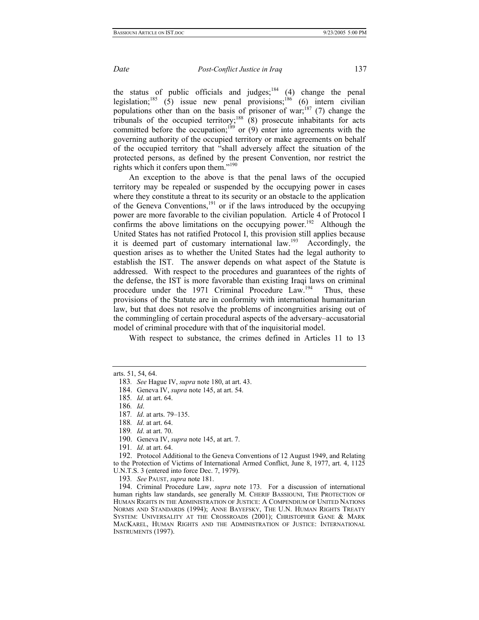the status of public officials and judges;<sup>184</sup> (4) change the penal legislation;<sup>185</sup> (5) issue new penal provisions;<sup>186</sup> (6) intern civilian populations other than on the basis of prisoner of war;<sup>187</sup> (7) change the tribunals of the occupied territory;<sup>188</sup> (8) prosecute inhabitants for acts committed before the occupation;<sup>189</sup> or  $(9)$  enter into agreements with the governing authority of the occupied territory or make agreements on behalf of the occupied territory that "shall adversely affect the situation of the protected persons, as defined by the present Convention, nor restrict the rights which it confers upon them."[190](#page-36-6)

An exception to the above is that the penal laws of the occupied territory may be repealed or suspended by the occupying power in cases where they constitute a threat to its security or an obstacle to the application of the Geneva Conventions, $191$  or if the laws introduced by the occupying power are more favorable to the civilian population. Article 4 of Protocol I confirms the above limitations on the occupying power.<sup>192</sup> Although the United States has not ratified Protocol I, this provision still applies because it is deemed part of customary international law.<sup>193</sup> Accordingly, the question arises as to whether the United States had the legal authority to establish the IST. The answer depends on what aspect of the Statute is addressed. With respect to the procedures and guarantees of the rights of the defense, the IST is more favorable than existing Iraqi laws on criminal procedure under the 1971 Criminal Procedure Law.<sup>194</sup> Thus, these provisions of the Statute are in conformity with international humanitarian law, but that does not resolve the problems of incongruities arising out of the commingling of certain procedural aspects of the adversary–accusatorial model of criminal procedure with that of the inquisitorial model.

With respect to substance, the crimes defined in Articles 11 to 13

<span id="page-36-9"></span>193*. See* PAUST, *supra* note 181.

<span id="page-36-10"></span>194. Criminal Procedure Law, *supra* note 173. For a discussion of international human rights law standards, see generally M. CHERIF BASSIOUNI, THE PROTECTION OF HUMAN RIGHTS IN THE ADMINISTRATION OF JUSTICE: A COMPENDIUM OF UNITED NATIONS NORMS AND STANDARDS (1994); ANNE BAYEFSKY, THE U.N. HUMAN RIGHTS TREATY SYSTEM: UNIVERSALITY AT THE CROSSROADS (2001); CHRISTOPHER GANE & MARK MACKAREL, HUMAN RIGHTS AND THE ADMINISTRATION OF JUSTICE: INTERNATIONAL INSTRUMENTS (1997).

arts. 51, 54, 64.

<sup>183</sup>*. See* Hague IV, *supra* note 180, at art. 43.

<span id="page-36-0"></span><sup>184.</sup> Geneva IV, *supra* note 145, at art. 54.

<span id="page-36-1"></span><sup>185</sup>*. Id*. at art. 64.

<span id="page-36-2"></span><sup>186</sup>*. Id*.

<span id="page-36-3"></span><sup>187</sup>*. Id*. at arts. 79–135.

<span id="page-36-4"></span><sup>188</sup>*. Id*. at art. 64.

<span id="page-36-5"></span><sup>189</sup>*. Id*. at art. 70.

<span id="page-36-6"></span><sup>190.</sup> Geneva IV, *supra* note 145, at art. 7.

<span id="page-36-7"></span><sup>191</sup>*. Id*. at art. 64.

<span id="page-36-8"></span><sup>192.</sup> Protocol Additional to the Geneva Conventions of 12 August 1949, and Relating to the Protection of Victims of International Armed Conflict, June 8, 1977, art. 4, 1125 U.N.T.S. 3 (entered into force Dec. 7, 1979).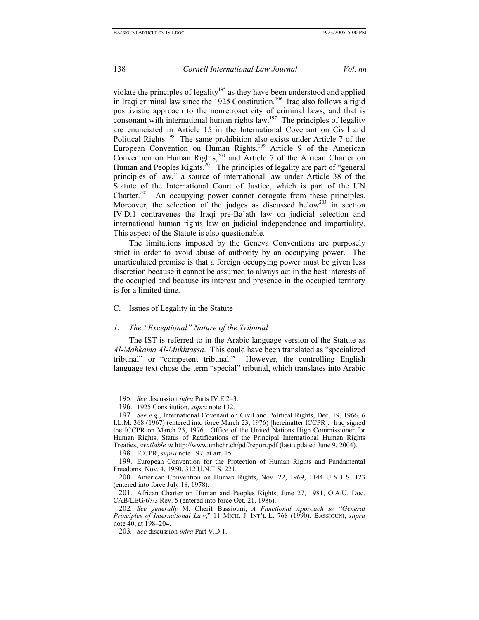violate the principles of legality<sup>195</sup> as they have been understood and applied in Iraqi criminal law since the 1925 Constitution.<sup>196</sup> Iraq also follows a rigid positivistic approach to the nonretroactivity of criminal laws, and that is consonant with international human rights law.<sup>197</sup> The principles of legality are enunciated in Article 15 in the International Covenant on Civil and Political Rights.<sup>198</sup> The same prohibition also exists under Article 7 of the European Convention on Human Rights,<sup>199</sup> Article 9 of the American Convention on Human Rights,<sup>200</sup> and Article 7 of the African Charter on Human and Peoples Rights.<sup>201</sup> The principles of legality are part of "general principles of law," a source of international law under Article 38 of the Statute of the International Court of Justice, which is part of the UN Charter.<sup>202</sup> An occupying power cannot derogate from these principles. Moreover, the selection of the judges as discussed below<sup>203</sup> in section IV.D.1 contravenes the Iraqi pre-Ba'ath law on judicial selection and international human rights law on judicial independence and impartiality. This aspect of the Statute is also questionable.

The limitations imposed by the Geneva Conventions are purposely strict in order to avoid abuse of authority by an occupying power. The unarticulated premise is that a foreign occupying power must be given less discretion because it cannot be assumed to always act in the best interests of the occupied and because its interest and presence in the occupied territory is for a limited time.

## C. Issues of Legality in the Statute

### *1. The "Exceptional" Nature of the Tribunal*

The IST is referred to in the Arabic language version of the Statute as *Al-Mahkama Al-Mukhtassa*. This could have been translated as "specialized tribunal" or "competent tribunal." However, the controlling English language text chose the term "special" tribunal, which translates into Arabic

<span id="page-37-0"></span><sup>195</sup>*. See* discussion *infra* Parts IV.E.2–3.

<span id="page-37-1"></span><sup>196. 1925</sup> Constitution, *supra* note 132.

<span id="page-37-2"></span><sup>197</sup>*. See e.g*., International Covenant on Civil and Political Rights, Dec. 19, 1966, 6 I.L.M. 368 (1967) (entered into force March 23, 1976) [hereinafter ICCPR]. Iraq signed the ICCPR on March 23, 1976. Office of the United Nations High Commissioner for Human Rights, Status of Ratifications of the Principal International Human Rights Treaties, *available at* http://www.unhchr.ch/pdf/report.pdf (last updated June 9, 2004).

<span id="page-37-3"></span><sup>198.</sup> ICCPR, *supra* note 197, at art. 15.

<span id="page-37-4"></span><sup>199.</sup> European Convention for the Protection of Human Rights and Fundamental Freedoms, Nov. 4, 1950, 312 U.N.T.S. 221.

<span id="page-37-5"></span><sup>200.</sup> American Convention on Human Rights, Nov. 22, 1969, 1144 U.N.T.S. 123 (entered into force July 18, 1978).

<span id="page-37-6"></span><sup>201.</sup> African Charter on Human and Peoples Rights, June 27, 1981, O.A.U. Doc. CAB/LEG/67/3 Rev. 5 (entered into force Oct. 21, 1986).

<span id="page-37-7"></span><sup>202</sup>*. See generally* M. Cherif Bassiouni, *A Functional Approach to "General Principles of International Law*," 11 MICH. J. INT'L L. 768 (1990); BASSIOUNI, *supra* note 40, at 198–204.

<span id="page-37-8"></span><sup>203</sup>*. See* discussion *infra* Part V.D.1.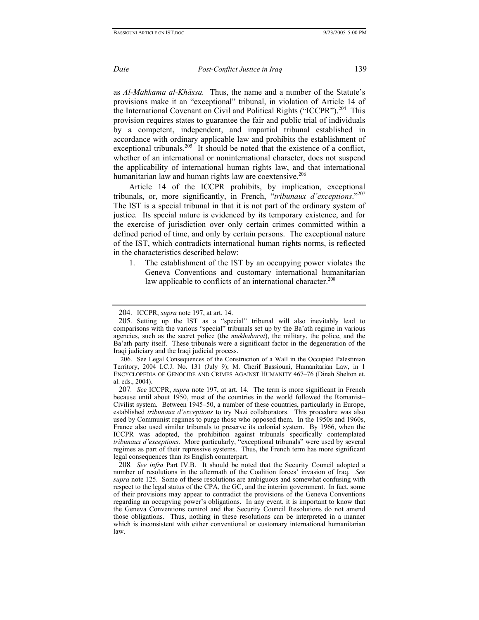as *Al-Mahkama al-Khāssa.* Thus, the name and a number of the Statute's provisions make it an "exceptional" tribunal, in violation of Article 14 of the International Covenant on Civil and Political Rights ("ICCPR").<sup>204</sup> This provision requires states to guarantee the fair and public trial of individuals by a competent, independent, and impartial tribunal established in accordance with ordinary applicable law and prohibits the establishment of exceptional tribunals.<sup>205</sup> It should be noted that the existence of a conflict, whether of an international or noninternational character, does not suspend the applicability of international human rights law, and that international humanitarian law and human rights law are coextensive.<sup>[206](#page-38-2)</sup>

Article 14 of the ICCPR prohibits, by implication, exceptional tribunals, or, more significantly, in French, "*tribunaux d'exceptions*.["207](#page-38-3)  The IST is a special tribunal in that it is not part of the ordinary system of justice. Its special nature is evidenced by its temporary existence, and for the exercise of jurisdiction over only certain crimes committed within a defined period of time, and only by certain persons. The exceptional nature of the IST, which contradicts international human rights norms, is reflected in the characteristics described below:

1. The establishment of the IST by an occupying power violates the Geneva Conventions and customary international humanitarian law applicable to conflicts of an international character.<sup>208</sup>

<span id="page-38-0"></span><sup>204.</sup> ICCPR, *supra* note 197, at art. 14.

<span id="page-38-1"></span><sup>205.</sup> Setting up the IST as a "special" tribunal will also inevitably lead to comparisons with the various "special" tribunals set up by the Ba'ath regime in various agencies, such as the secret police (the *mukhabarat*), the military, the police, and the Ba'ath party itself. These tribunals were a significant factor in the degeneration of the Iraqi judiciary and the Iraqi judicial process.

<span id="page-38-2"></span> <sup>206.</sup> See Legal Consequences of the Construction of a Wall in the Occupied Palestinian Territory, 2004 I.C.J. No. 131 (July 9); M. Cherif Bassiouni, Humanitarian Law, in 1 ENCYCLOPEDIA OF GENOCIDE AND CRIMES AGAINST HUMANITY 467–76 (Dinah Shelton et. al. eds., 2004).

<span id="page-38-3"></span><sup>207</sup>*. See* ICCPR, *supra* note 197, at art. 14. The term is more significant in French because until about 1950, most of the countries in the world followed the Romanist– Civilist system. Between 1945–50, a number of these countries, particularly in Europe, established *tribunaux d'exceptions* to try Nazi collaborators. This procedure was also used by Communist regimes to purge those who opposed them. In the 1950s and 1960s, France also used similar tribunals to preserve its colonial system. By 1966, when the ICCPR was adopted, the prohibition against tribunals specifically contemplated *tribunaux d'exceptions*. More particularly, "exceptional tribunals" were used by several regimes as part of their repressive systems. Thus, the French term has more significant legal consequences than its English counterpart.

<span id="page-38-4"></span><sup>208</sup>*. See infra* Part IV.B. It should be noted that the Security Council adopted a number of resolutions in the aftermath of the Coalition forces' invasion of Iraq. *See supra* note 125. Some of these resolutions are ambiguous and somewhat confusing with respect to the legal status of the CPA, the GC, and the interim government. In fact, some of their provisions may appear to contradict the provisions of the Geneva Conventions regarding an occupying power's obligations. In any event, it is important to know that the Geneva Conventions control and that Security Council Resolutions do not amend those obligations. Thus, nothing in these resolutions can be interpreted in a manner which is inconsistent with either conventional or customary international humanitarian law.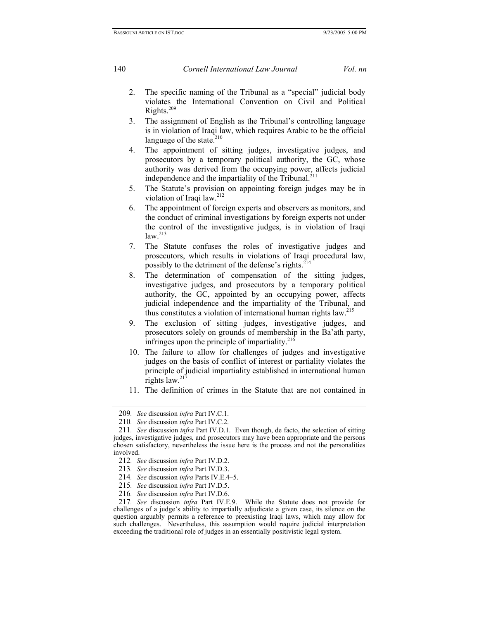- 2. The specific naming of the Tribunal as a "special" judicial body violates the International Convention on Civil and Political Rights[.209](#page-39-0)
- 3. The assignment of English as the Tribunal's controlling language is in violation of Iraqi law, which requires Arabic to be the official language of the state. $210$
- 4. The appointment of sitting judges, investigative judges, and prosecutors by a temporary political authority, the GC, whose authority was derived from the occupying power, affects judicial independence and the impartiality of the Tribunal.<sup>211</sup>
- 5. The Statute's provision on appointing foreign judges may be in violation of Iraqi law[.212](#page-39-3)
- 6. The appointment of foreign experts and observers as monitors, and the conduct of criminal investigations by foreign experts not under the control of the investigative judges, is in violation of Iraqi  $law.<sup>213</sup>$
- 7. The Statute confuses the roles of investigative judges and prosecutors, which results in violations of Iraqi procedural law, possibly to the detriment of the defense's rights.<sup>[214](#page-39-5)</sup>
- 8. The determination of compensation of the sitting judges, investigative judges, and prosecutors by a temporary political authority, the GC, appointed by an occupying power, affects judicial independence and the impartiality of the Tribunal, and thus constitutes a violation of international human rights law[.215](#page-39-6)
- 9. The exclusion of sitting judges, investigative judges, and prosecutors solely on grounds of membership in the Ba'ath party, infringes upon the principle of impartiality. $216$
- 10. The failure to allow for challenges of judges and investigative judges on the basis of conflict of interest or partiality violates the principle of judicial impartiality established in international human rights law. $217$
- 11. The definition of crimes in the Statute that are not contained in

<span id="page-39-0"></span><sup>209</sup>*. See* discussion *infra* Part IV.C.1.

<span id="page-39-1"></span><sup>210</sup>*. See* discussion *infra* Part IV.C.2.

<span id="page-39-2"></span><sup>211</sup>*. See* discussion *infra* Part IV.D.1. Even though, de facto, the selection of sitting judges, investigative judges, and prosecutors may have been appropriate and the persons chosen satisfactory, nevertheless the issue here is the process and not the personalities involved.

<span id="page-39-3"></span><sup>212</sup>*. See* discussion *infra* Part IV.D.2.

<span id="page-39-4"></span><sup>213</sup>*. See* discussion *infra* Part IV.D.3.

<span id="page-39-5"></span><sup>214</sup>*. See* discussion *infra* Parts IV.E.4–5.

<span id="page-39-6"></span><sup>215</sup>*. See* discussion *infra* Part IV.D.5.

<span id="page-39-7"></span><sup>216</sup>*. See* discussion *infra* Part IV.D.6.

<span id="page-39-8"></span><sup>217</sup>*. See* discussion *infra* Part IV.E.9. While the Statute does not provide for challenges of a judge's ability to impartially adjudicate a given case, its silence on the question arguably permits a reference to preexisting Iraqi laws, which may allow for such challenges. Nevertheless, this assumption would require judicial interpretation exceeding the traditional role of judges in an essentially positivistic legal system.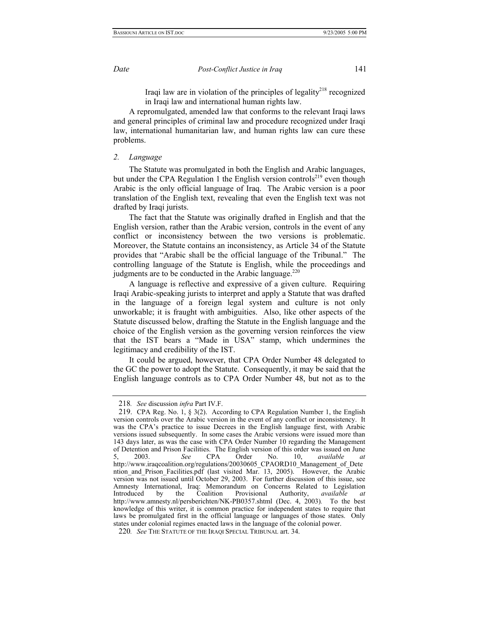Iraqi law are in violation of the principles of legality $2^{18}$  recognized in Iraqi law and international human rights law.

A repromulgated, amended law that conforms to the relevant Iraqi laws and general principles of criminal law and procedure recognized under Iraqi law, international humanitarian law, and human rights law can cure these problems.

## *2. Language*

The Statute was promulgated in both the English and Arabic languages, but under the CPA Regulation 1 the English version controls<sup>219</sup> even though Arabic is the only official language of Iraq. The Arabic version is a poor translation of the English text, revealing that even the English text was not drafted by Iraqi jurists.

The fact that the Statute was originally drafted in English and that the English version, rather than the Arabic version, controls in the event of any conflict or inconsistency between the two versions is problematic. Moreover, the Statute contains an inconsistency, as Article 34 of the Statute provides that "Arabic shall be the official language of the Tribunal." The controlling language of the Statute is English, while the proceedings and judgments are to be conducted in the Arabic language. $220$ 

A language is reflective and expressive of a given culture. Requiring Iraqi Arabic-speaking jurists to interpret and apply a Statute that was drafted in the language of a foreign legal system and culture is not only unworkable; it is fraught with ambiguities. Also, like other aspects of the Statute discussed below, drafting the Statute in the English language and the choice of the English version as the governing version reinforces the view that the IST bears a "Made in USA" stamp, which undermines the legitimacy and credibility of the IST.

It could be argued, however, that CPA Order Number 48 delegated to the GC the power to adopt the Statute. Consequently, it may be said that the English language controls as to CPA Order Number 48, but not as to the

<span id="page-40-0"></span><sup>218</sup>*. See* discussion *infra* Part IV.F.

<span id="page-40-1"></span><sup>219.</sup> CPA Reg. No. 1, § 3(2). According to CPA Regulation Number 1, the English version controls over the Arabic version in the event of any conflict or inconsistency. It was the CPA's practice to issue Decrees in the English language first, with Arabic versions issued subsequently. In some cases the Arabic versions were issued more than 143 days later, as was the case with CPA Order Number 10 regarding the Management of Detention and Prison Facilities. The English version of this order was issued on June 5, 2003. *See* CPA Order No. 10, *available at* http://www.iraqcoalition.org/regulations/20030605\_CPAORD10\_Management\_of\_Dete ntion\_and\_Prison\_Facilities.pdf (last visited Mar. 13, 2005). However, the Arabic version was not issued until October 29, 2003. For further discussion of this issue, see Amnesty International, Iraq: Memorandum on Concerns Related to Legislation Introduced by the Coalition Provisional Authority, *available at*  http://www.amnesty.nl/persberichten/NK-PB0357.shtml (Dec. 4, 2003)*.* To the best knowledge of this writer, it is common practice for independent states to require that laws be promulgated first in the official language or languages of those states. Only states under colonial regimes enacted laws in the language of the colonial power.

<span id="page-40-2"></span><sup>220</sup>*. See* THE STATUTE OF THE IRAQI SPECIAL TRIBUNAL art. 34.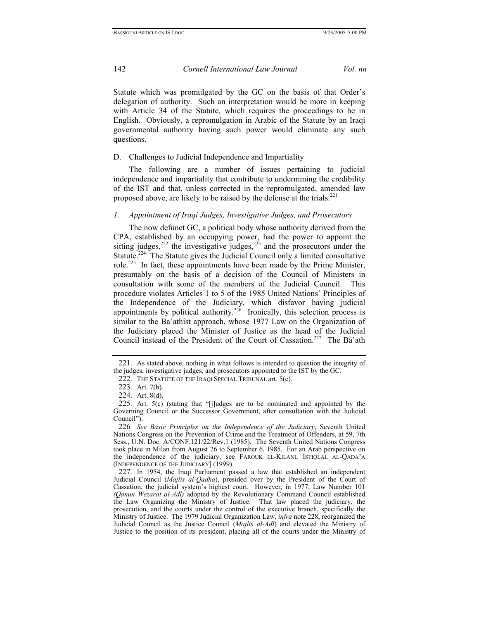<span id="page-41-6"></span>Statute which was promulgated by the GC on the basis of that Order's delegation of authority. Such an interpretation would be more in keeping with Article 34 of the Statute, which requires the proceedings to be in English. Obviously, a repromulgation in Arabic of the Statute by an Iraqi governmental authority having such power would eliminate any such questions.

## D. Challenges to Judicial Independence and Impartiality

The following are a number of issues pertaining to judicial independence and impartiality that contribute to undermining the credibility of the IST and that, unless corrected in the repromulgated, amended law proposed above, are likely to be raised by the defense at the trials.<sup>221</sup>

## *1. Appointment of Iraqi Judges, Investigative Judges, and Prosecutors*

The now defunct GC, a political body whose authority derived from the CPA, established by an occupying power, had the power to appoint the sitting judges, $222$  the investigative judges, $223$  and the prosecutors under the Statute.<sup>224</sup> The Statute gives the Judicial Council only a limited consultative role[.225](#page-41-4) In fact, these appointments have been made by the Prime Minister, presumably on the basis of a decision of the Council of Ministers in consultation with some of the members of the Judicial Council. This procedure violates Articles 1 to 5 of the 1985 United Nations' Principles of the Independence of the Judiciary, which disfavor having judicial appointments by political authority.<sup>226</sup> Ironically, this selection process is similar to the Ba'athist approach, whose 1977 Law on the Organization of the Judiciary placed the Minister of Justice as the head of the Judicial Council instead of the President of the Court of Cassation.<sup>227</sup> The Ba'ath

<span id="page-41-0"></span><sup>221.</sup> As stated above, nothing in what follows is intended to question the integrity of the judges, investigative judges, and prosecutors appointed to the IST by the GC.

<span id="page-41-1"></span><sup>222.</sup> THE STATUTE OF THE IRAQI SPECIAL TRIBUNAL art. 5(c).

<span id="page-41-2"></span><sup>223.</sup> Art. 7(b).

<span id="page-41-3"></span><sup>224.</sup> Art. 8(d).

<span id="page-41-4"></span><sup>225.</sup> Art. 5(c) (stating that "[j]udges are to be nominated and appointed by the Governing Council or the Successor Government, after consultation with the Judicial Council").

<span id="page-41-5"></span><sup>226</sup>*. See Basic Principles on the Independence of the Judiciary*, Seventh United Nations Congress on the Prevention of Crime and the Treatment of Offenders, at 59, 7th Sess., U.N. Doc. A/CONF.121/22/Rev.1 (1985). The Seventh United Nations Congress took place in Milan from August 26 to September 6, 1985. For an Arab perspective on the independence of the judiciary, see FAROUK EL-KILANI, ISTIQLAL AL-QADA'A (INDEPENDENCE OF THE JUDICIARY] (1999).

<sup>227.</sup> In 1954, the Iraqi Parliament passed a law that established an independent Judicial Council (*Majlis al-Qadha*), presided over by the President of the Court of Cassation, the judicial system's highest court. However, in 1977, Law Number 101 *(Qanun Wezarat al-Adl)* adopted by the Revolutionary Command Council established the Law Organizing the Ministry of Justice. That law placed the judiciary, the prosecution, and the courts under the control of the executive branch, specifically the Ministry of Justice. The 1979 Judicial Organization Law, *infra* note 228, reorganized the Judicial Council as the Justice Council (*Majlis al-Adl*) and elevated the Ministry of Justice to the position of its president, placing all of the courts under the Ministry of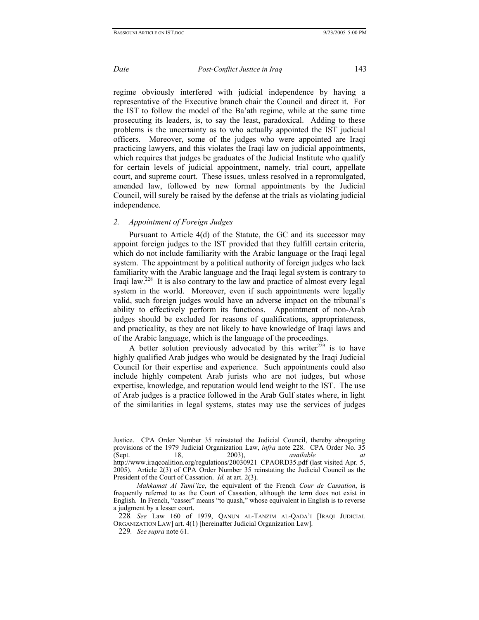regime obviously interfered with judicial independence by having a representative of the Executive branch chair the Council and direct it. For the IST to follow the model of the Ba'ath regime, while at the same time prosecuting its leaders, is, to say the least, paradoxical. Adding to these problems is the uncertainty as to who actually appointed the IST judicial officers. Moreover, some of the judges who were appointed are Iraqi practicing lawyers, and this violates the Iraqi law on judicial appointments, which requires that judges be graduates of the Judicial Institute who qualify for certain levels of judicial appointment, namely, trial court, appellate court, and supreme court. These issues, unless resolved in a repromulgated, amended law, followed by new formal appointments by the Judicial Council, will surely be raised by the defense at the trials as violating judicial independence.

## *2. Appointment of Foreign Judges*

Pursuant to Article 4(d) of the Statute, the GC and its successor may appoint foreign judges to the IST provided that they fulfill certain criteria, which do not include familiarity with the Arabic language or the Iraqi legal system. The appointment by a political authority of foreign judges who lack familiarity with the Arabic language and the Iraqi legal system is contrary to Iraqi law[.228](#page-42-0) It is also contrary to the law and practice of almost every legal system in the world. Moreover, even if such appointments were legally valid, such foreign judges would have an adverse impact on the tribunal's ability to effectively perform its functions. Appointment of non-Arab judges should be excluded for reasons of qualifications, appropriateness, and practicality, as they are not likely to have knowledge of Iraqi laws and of the Arabic language, which is the language of the proceedings.

A better solution previously advocated by this writer<sup>229</sup> is to have highly qualified Arab judges who would be designated by the Iraqi Judicial Council for their expertise and experience. Such appointments could also include highly competent Arab jurists who are not judges, but whose expertise, knowledge, and reputation would lend weight to the IST. The use of Arab judges is a practice followed in the Arab Gulf states where, in light of the similarities in legal systems, states may use the services of judges

Justice. CPA Order Number 35 reinstated the Judicial Council, thereby abrogating provisions of the 1979 Judicial Organization Law, *infra* note 228. CPA Order No. 35 (Sept. 18, 2003), *available at*  http://www.iraqcoalition.org/regulations/20030921\_CPAORD35.pdf (last visited Apr. 5,  $2005$ ). Article  $2(3)$  of CPA Order Number 35 reinstating the Judicial Council as the President of the Court of Cassation. *Id.* at art. 2(3).

*Mahkamat Al Tami'ize*, the equivalent of the French *Cour de Cassation*, is frequently referred to as the Court of Cassation, although the term does not exist in English. In French, "casser" means "to quash," whose equivalent in English is to reverse a judgment by a lesser court.

<span id="page-42-0"></span><sup>228</sup>*. See* Law 160 of 1979, QANUN AL-TANZIM AL-QADA'I [IRAQI JUDICIAL ORGANIZATION LAW] art. 4(1) [hereinafter Judicial Organization Law].

<span id="page-42-1"></span><sup>229</sup>*. See supra* note 61.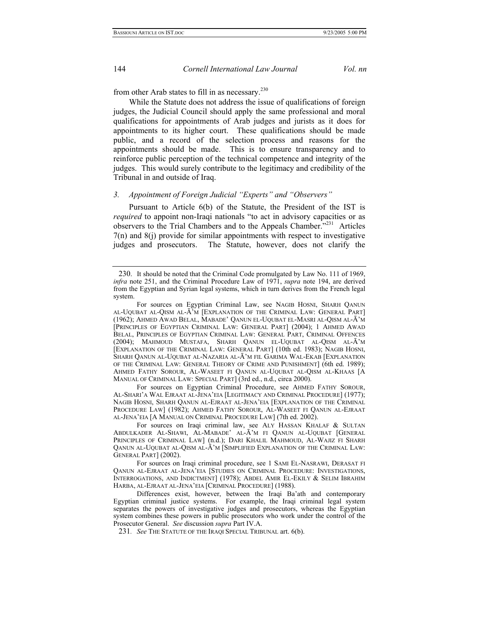from other Arab states to fill in as necessary. $230$ 

While the Statute does not address the issue of qualifications of foreign judges, the Judicial Council should apply the same professional and moral qualifications for appointments of Arab judges and jurists as it does for appointments to its higher court.These qualifications should be made public, and a record of the selection process and reasons for the appointments should be made. This is to ensure transparency and to reinforce public perception of the technical competence and integrity of the judges. This would surely contribute to the legitimacy and credibility of the Tribunal in and outside of Iraq.

## *3. Appointment of Foreign Judicial "Experts" and "Observers"*

Pursuant to Article 6(b) of the Statute, the President of the IST is *required* to appoint non-Iraqi nationals "to act in advisory capacities or as observers to the Trial Chambers and to the Appeals Chamber."<sup>231</sup> Articles 7(n) and 8(j) provide for similar appointments with respect to investigative judges and prosecutors. The Statute, however, does not clarify the

 For sources on Egyptian Criminal Procedure, see AHMED FATHY SOROUR, AL-SHARI'A WAL EJRAAT AL-JENA'EIA [LEGITIMACY AND CRIMINAL PROCEDURE] (1977); NAGIB HOSNI, SHARH QANUN AL-EJRAAT AL-JENA'EIA [EXPLANATION OF THE CRIMINAL PROCEDURE LAW] (1982); AHMED FATHY SOROUR, AL-WASEET FI QANUN AL-EJRAAT AL-JENA'EIA [A MANUAL ON CRIMINAL PROCEDURE LAW] (7th ed. 2002).

 For sources on Iraqi criminal law, see ALY HASSAN KHALAF & SULTAN ABDULKADER AL-SHAWI, AL-MABADE' AL-Ā'M FI QANUN AL-UQUBAT [GENERAL PRINCIPLES OF CRIMINAL LAW] (n.d.); DARI KHALIL MAHMOUD, AL-WAJIZ FI SHARH QANUN AL-UQUBAT AL-QISM AL-Ā'M [SIMPLIFIED EXPLANATION OF THE CRIMINAL LAW: GENERAL PART] (2002).

 For sources on Iraqi criminal procedure, see 1 SAMI EL-NASRAWI, DERASAT FI QANUN AL-EJRAAT AL-JENA'EIA [STUDIES ON CRIMINAL PROCEDURE: INVESTIGATIONS, INTERROGATIONS, AND INDICTMENT] (1978); ABDEL AMIR EL-EKILY & SELIM IBRAHIM HARBA, AL-EJRAAT AL-JENA'EIA [CRIMINAL PROCEDURE] (1988).

 Differences exist, however, between the Iraqi Ba'ath and contemporary Egyptian criminal justice systems. For example, the Iraqi criminal legal system separates the powers of investigative judges and prosecutors, whereas the Egyptian system combines these powers in public prosecutors who work under the control of the Prosecutor General. *See* discussion *supra* Part IV.A.

<span id="page-43-1"></span>231*. See* THE STATUTE OF THE IRAQI SPECIAL TRIBUNAL art. 6(b).

<span id="page-43-0"></span><sup>230.</sup> It should be noted that the Criminal Code promulgated by Law No. 111 of 1969, *infra* note 251, and the Criminal Procedure Law of 1971, *supra* note 194, are derived from the Egyptian and Syrian legal systems, which in turn derives from the French legal system.

For sources on Egyptian Criminal Law, see NAGIB HOSNI, SHARH QANUN AL-UQUBAT AL-QISM AL-Ā'M [EXPLANATION OF THE CRIMINAL LAW: GENERAL PART] (1962); AHMED AWAD BELAL, MABADE' QANUN EL-UQUBAT EL-MASRI AL-QISM AL-Ā'M [PRINCIPLES OF EGYPTIAN CRIMINAL LAW: GENERAL PART] (2004); 1 AHMED AWAD BELAL, PRINCIPLES OF EGYPTIAN CRIMINAL LAW: GENERAL PART, CRIMINAL OFFENCES (2004); MAHMOUD MUSTAFA, SHARH QANUN EL-UQUBAT AL-QISM AL-Ā'M [EXPLANATION OF THE CRIMINAL LAW: GENERAL PART] (10th ed. 1983); NAGIB HOSNI, SHARH QANUN AL-UQUBAT AL-NAZARIA AL-Ā'M FIL GARIMA WAL-EKAB [EXPLANATION OF THE CRIMINAL LAW: GENERAL THEORY OF CRIME AND PUNISHMENT] (6th ed. 1989); AHMED FATHY SOROUR, AL-WASEET FI QANUN AL-UQUBAT AL-QISM AL-KHAAS [A MANUAL OF CRIMINAL LAW: SPECIAL PART] (3rd ed., n.d., circa 2000).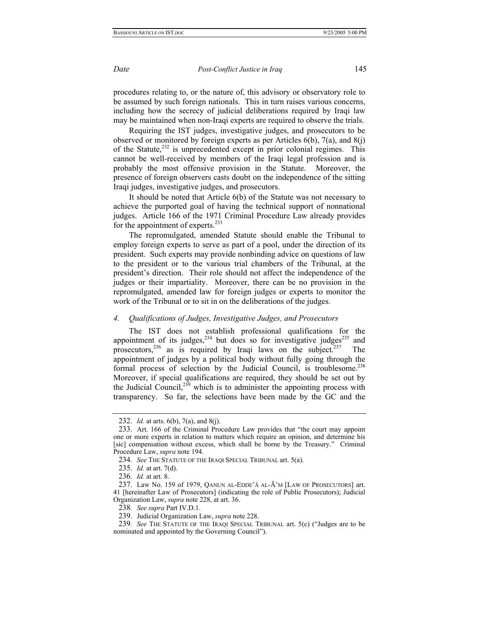procedures relating to, or the nature of, this advisory or observatory role to be assumed by such foreign nationals. This in turn raises various concerns, including how the secrecy of judicial deliberations required by Iraqi law may be maintained when non-Iraqi experts are required to observe the trials.

Requiring the IST judges, investigative judges, and prosecutors to be observed or monitored by foreign experts as per Articles  $6(b)$ ,  $7(a)$ , and  $8(i)$ of the Statute, $232$  is unprecedented except in prior colonial regimes. This cannot be well-received by members of the Iraqi legal profession and is probably the most offensive provision in the Statute. Moreover, the presence of foreign observers casts doubt on the independence of the sitting Iraqi judges, investigative judges, and prosecutors.

It should be noted that Article 6(b) of the Statute was not necessary to achieve the purported goal of having the technical support of nonnational judges. Article 166 of the 1971 Criminal Procedure Law already provides for the appointment of experts.<sup>[233](#page-44-1)</sup>

The repromulgated, amended Statute should enable the Tribunal to employ foreign experts to serve as part of a pool, under the direction of its president. Such experts may provide nonbinding advice on questions of law to the president or to the various trial chambers of the Tribunal, at the president's direction. Their role should not affect the independence of the judges or their impartiality. Moreover, there can be no provision in the repromulgated, amended law for foreign judges or experts to monitor the work of the Tribunal or to sit in on the deliberations of the judges.

## *4. Qualifications of Judges, Investigative Judges, and Prosecutors*

The IST does not establish professional qualifications for the appointment of its judges, $234$  but does so for investigative judges $235$  and prosecutors, $236$  as is required by Iraqi laws on the subject. $237$  The appointment of judges by a political body without fully going through the formal process of selection by the Judicial Council, is troublesome.<sup>238</sup> Moreover, if special qualifications are required, they should be set out by the Judicial Council, $239$  which is to administer the appointing process with transparency. So far, the selections have been made by the GC and the

<span id="page-44-0"></span><sup>232.</sup> *Id.* at arts. 6(b), 7(a), and 8(j).

<span id="page-44-1"></span><sup>233.</sup> Art. 166 of the Criminal Procedure Law provides that "the court may appoint one or more experts in relation to matters which require an opinion, and determine his [sic] compensation without excess, which shall be borne by the Treasury." Criminal Procedure Law, *supra* note 194.

<span id="page-44-2"></span><sup>234</sup>*. See* THE STATUTE OF THE IRAQI SPECIAL TRIBUNAL art. 5(a).

<span id="page-44-3"></span><sup>235.</sup> *Id.* at art. 7(d).

<span id="page-44-4"></span><sup>236.</sup> *Id.* at art. 8.

<span id="page-44-5"></span><sup>237.</sup> Law No. 159 of 1979, QANUN AL-EDDE'Ā AL-Ā'M [LAW OF PROSECUTORS] art. 41 [hereinafter Law of Prosecutors] (indicating the role of Public Prosecutors); Judicial Organization Law, *supra* note 228, at art. 36.

<span id="page-44-6"></span><sup>238</sup>*. See supra* Part IV.D.1.

<span id="page-44-7"></span><sup>239.</sup> Judicial Organization Law, *supra* note 228.

<sup>239</sup>*. See* THE STATUTE OF THE IRAQI SPECIAL TRIBUNAL art. 5(c) ("Judges are to be nominated and appointed by the Governing Council").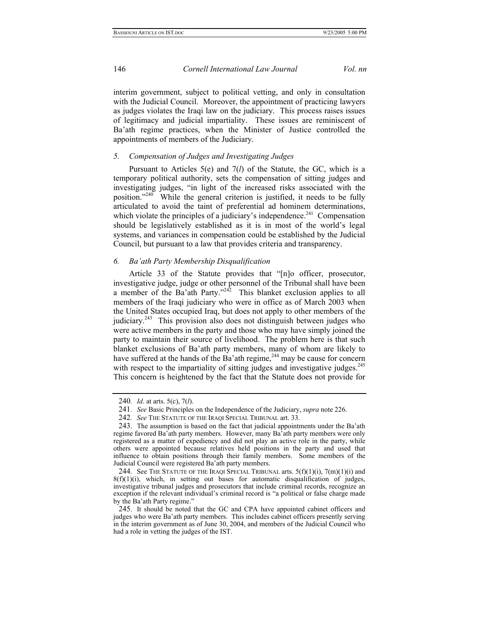interim government, subject to political vetting, and only in consultation with the Judicial Council. Moreover, the appointment of practicing lawyers as judges violates the Iraqi law on the judiciary. This process raises issues of legitimacy and judicial impartiality. These issues are reminiscent of Ba'ath regime practices, when the Minister of Justice controlled the appointments of members of the Judiciary.

## *5. Compensation of Judges and Investigating Judges*

Pursuant to Articles 5(e) and 7(*l*) of the Statute, the GC, which is a temporary political authority, sets the compensation of sitting judges and investigating judges, "in light of the increased risks associated with the position.["240](#page-45-0) While the general criterion is justified, it needs to be fully articulated to avoid the taint of preferential ad hominem determinations, which violate the principles of a judiciary's independence.<sup>241</sup> Compensation should be legislatively established as it is in most of the world's legal systems, and variances in compensation could be established by the Judicial Council, but pursuant to a law that provides criteria and transparency.

## *6. Ba'ath Party Membership Disqualification*

Article 33 of the Statute provides that "[n]o officer, prosecutor, investigative judge, judge or other personnel of the Tribunal shall have been a member of the Ba'ath Party."<sup>242</sup> This blanket exclusion applies to all members of the Iraqi judiciary who were in office as of March 2003 when the United States occupied Iraq, but does not apply to other members of the judiciary.<sup>243</sup> This provision also does not distinguish between judges who were active members in the party and those who may have simply joined the party to maintain their source of livelihood. The problem here is that such blanket exclusions of Ba'ath party members, many of whom are likely to have suffered at the hands of the Ba'ath regime,  $244$  may be cause for concern with respect to the impartiality of sitting judges and investigative judges.<sup>245</sup> This concern is heightened by the fact that the Statute does not provide for

<span id="page-45-0"></span><sup>240</sup>*. Id*. at arts. 5(c), 7(*l*).

<span id="page-45-1"></span><sup>241</sup>*. See* Basic Principles on the Independence of the Judiciary, *supra* note 226.

<span id="page-45-2"></span><sup>242</sup>*. See* THE STATUTE OF THE IRAQI SPECIAL TRIBUNAL art. 33.

<span id="page-45-3"></span><sup>243.</sup> The assumption is based on the fact that judicial appointments under the Ba'ath regime favored Ba'ath party members. However, many Ba'ath party members were only registered as a matter of expediency and did not play an active role in the party, while others were appointed because relatives held positions in the party and used that influence to obtain positions through their family members. Some members of the Judicial Council were registered Ba'ath party members.

<span id="page-45-4"></span><sup>244.</sup> See THE STATUTE OF THE IRAQI SPECIAL TRIBUNAL arts.  $5(f)(1)(i)$ ,  $7(m)(1)(i)$  and  $8(f)(1)(i)$ , which, in setting out bases for automatic disqualification of judges, investigative tribunal judges and prosecutors that include criminal records, recognize an exception if the relevant individual's criminal record is "a political or false charge made by the Ba'ath Party regime."

<span id="page-45-5"></span><sup>245.</sup> It should be noted that the GC and CPA have appointed cabinet officers and judges who were Ba'ath party members. This includes cabinet officers presently serving in the interim government as of June 30, 2004, and members of the Judicial Council who had a role in vetting the judges of the IST.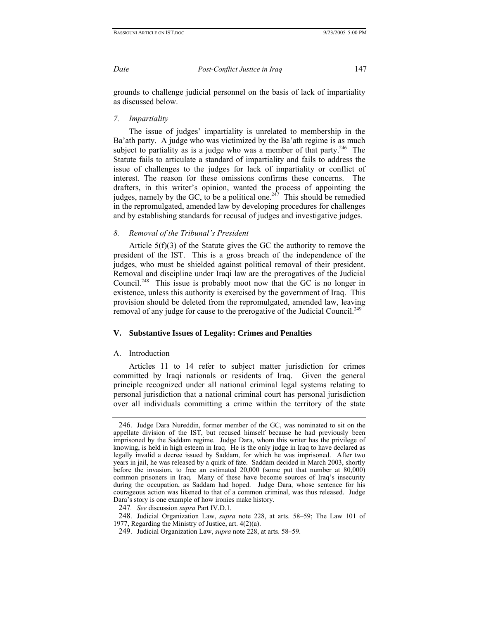grounds to challenge judicial personnel on the basis of lack of impartiality as discussed below.

### *7. Impartiality*

The issue of judges' impartiality is unrelated to membership in the Ba'ath party. A judge who was victimized by the Ba'ath regime is as much subject to partiality as is a judge who was a member of that party.<sup>246</sup> The Statute fails to articulate a standard of impartiality and fails to address the issue of challenges to the judges for lack of impartiality or conflict of interest. The reason for these omissions confirms these concerns. The drafters, in this writer's opinion, wanted the process of appointing the judges, namely by the GC, to be a political one.<sup>247</sup> This should be remedied in the repromulgated, amended law by developing procedures for challenges and by establishing standards for recusal of judges and investigative judges.

## *8. Removal of the Tribunal's President*

Article 5(f)(3) of the Statute gives the GC the authority to remove the president of the IST. This is a gross breach of the independence of the judges, who must be shielded against political removal of their president. Removal and discipline under Iraqi law are the prerogatives of the Judicial Council.<sup>248</sup> This issue is probably moot now that the GC is no longer in existence, unless this authority is exercised by the government of Iraq. This provision should be deleted from the repromulgated, amended law, leaving removal of any judge for cause to the prerogative of the Judicial Council.<sup>249</sup>

## **V. Substantive Issues of Legality: Crimes and Penalties**

## A. Introduction

Articles 11 to 14 refer to subject matter jurisdiction for crimes committed by Iraqi nationals or residents of Iraq. Given the general principle recognized under all national criminal legal systems relating to personal jurisdiction that a national criminal court has personal jurisdiction over all individuals committing a crime within the territory of the state

<span id="page-46-0"></span><sup>246.</sup> Judge Dara Nureddin, former member of the GC, was nominated to sit on the appellate division of the IST, but recused himself because he had previously been imprisoned by the Saddam regime. Judge Dara, whom this writer has the privilege of knowing, is held in high esteem in Iraq. He is the only judge in Iraq to have declared as legally invalid a decree issued by Saddam, for which he was imprisoned. After two years in jail, he was released by a quirk of fate. Saddam decided in March 2003, shortly before the invasion, to free an estimated 20,000 (some put that number at 80,000) common prisoners in Iraq. Many of these have become sources of Iraq's insecurity during the occupation, as Saddam had hoped. Judge Dara, whose sentence for his courageous action was likened to that of a common criminal, was thus released. Judge Dara's story is one example of how ironies make history.

<span id="page-46-1"></span><sup>247</sup>*. See* discussion *supra* Part IV.D.1.

<span id="page-46-2"></span><sup>248.</sup> Judicial Organization Law, *supra* note 228, at arts. 58–59; The Law 101 of 1977, Regarding the Ministry of Justice, art. 4(2)(a).

<span id="page-46-3"></span><sup>249.</sup> Judicial Organization Law, *supra* note 228, at arts. 58–59.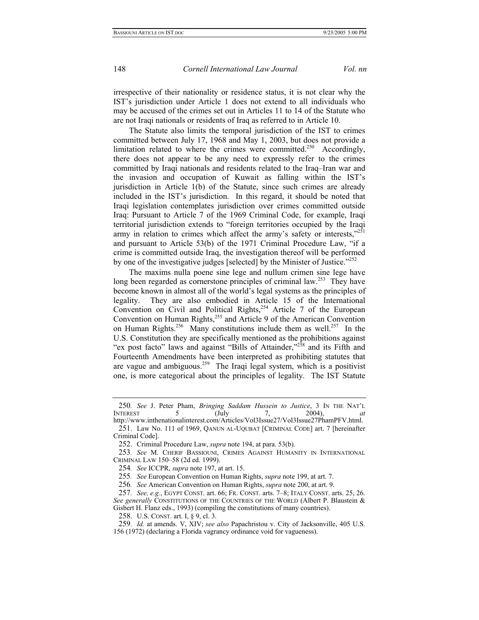irrespective of their nationality or residence status, it is not clear why the IST's jurisdiction under Article 1 does not extend to all individuals who may be accused of the crimes set out in Articles 11 to 14 of the Statute who are not Iraqi nationals or residents of Iraq as referred to in Article 10.

The Statute also limits the temporal jurisdiction of the IST to crimes committed between July 17, 1968 and May 1, 2003, but does not provide a limitation related to where the crimes were committed.<sup>250</sup> Accordingly, there does not appear to be any need to expressly refer to the crimes committed by Iraqi nationals and residents related to the Iraq–Iran war and the invasion and occupation of Kuwait as falling within the IST's jurisdiction in Article 1(b) of the Statute, since such crimes are already included in the IST's jurisdiction. In this regard, it should be noted that Iraqi legislation contemplates jurisdiction over crimes committed outside Iraq: Pursuant to Article 7 of the 1969 Criminal Code, for example, Iraqi territorial jurisdiction extends to "foreign territories occupied by the Iraqi army in relation to crimes which affect the army's safety or interests," $251$ and pursuant to Article 53(b) of the 1971 Criminal Procedure Law, "if a crime is committed outside Iraq, the investigation thereof will be performed by one of the investigative judges [selected] by the Minister of Justice.<sup>7252</sup>

The maxims nulla poene sine lege and nullum crimen sine lege have long been regarded as cornerstone principles of criminal law.<sup>253</sup> They have become known in almost all of the world's legal systems as the principles of legality. They are also embodied in Article 15 of the International Convention on Civil and Political Rights,<sup>254</sup> Article 7 of the European Convention on Human Rights,[255 a](#page-47-5)nd Article 9 of the American Convention on Human Rights.<sup>256</sup> Many constitutions include them as well.<sup>257</sup> In the U.S. Constitution they are specifically mentioned as the prohibitions against "ex post facto" laws and against "Bills of Attainder,"<sup>258</sup> and its Fifth and Fourteenth Amendments have been interpreted as prohibiting statutes that are vague and ambiguous.<sup>259</sup> The Iraqi legal system, which is a positivist one, is more categorical about the principles of legality. The IST Statute

<span id="page-47-6"></span>256*. See* American Convention on Human Rights, *supra* note 200, at art. 9.

<span id="page-47-8"></span>258. U.S. CONST. art. I, § 9, cl. 3.

<span id="page-47-0"></span><sup>250</sup>*. See* J. Peter Pham, *Bringing Saddam Hussein to Justice*, 3 IN THE NAT'L INTEREST 5 (July 7, 2004), *at* http://www.inthenationalinterest.com/Articles/Vol3Issue27/Vol3Issue27PhamPFV.html.

<span id="page-47-1"></span><sup>251.</sup> Law No. 111 of 1969, QANUN AL-UQUBAT [CRIMINAL CODE] art. 7 [hereinafter Criminal Code].

<span id="page-47-2"></span><sup>252.</sup> Criminal Procedure Law, *supra* note 194, at para. 53(b).

<span id="page-47-3"></span><sup>253</sup>*. See* M. CHERIF BASSIOUNI, CRIMES AGAINST HUMANITY IN INTERNATIONAL CRIMINAL LAW 150–58 (2d ed. 1999).

<span id="page-47-4"></span><sup>254</sup>*. See* ICCPR, *supra* note 197, at art. 15.

<span id="page-47-5"></span><sup>255</sup>*. See* European Convention on Human Rights, *supra* note 199, at art. 7.

<span id="page-47-7"></span><sup>257</sup>*. See, e.g.*, EGYPT CONST. art. 66; FR. CONST. arts. 7–8; ITALY CONST. arts. 25, 26. *See generally* CONSTITUTIONS OF THE COUNTRIES OF THE WORLD (Albert P. Blaustein & Gisbert H. Flanz eds., 1993) (compiling the constitutions of many countries).

<span id="page-47-9"></span><sup>259</sup>*. Id.* at amends. V, XIV; *see also* Papachristou v. City of Jacksonville, 405 U.S. 156 (1972) (declaring a Florida vagrancy ordinance void for vagueness).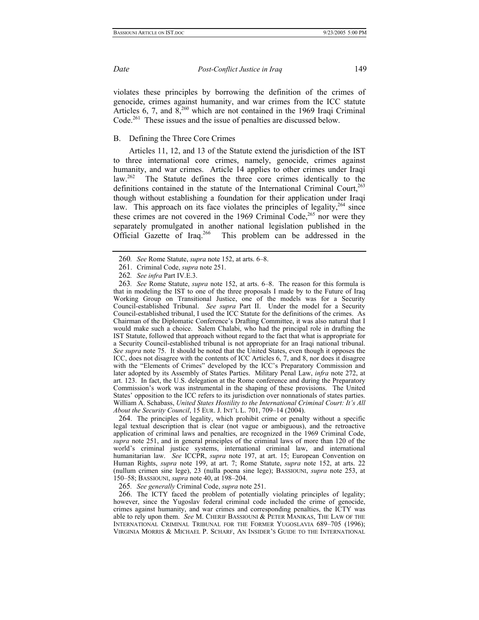<span id="page-48-6"></span>

violates these principles by borrowing the definition of the crimes of genocide, crimes against humanity, and war crimes from the ICC statute Articles 6, 7, and  $8,^{260}$  which are not contained in the 1969 Iraqi Criminal Code.<sup>261</sup> These issues and the issue of penalties are discussed below.

## B. Defining the Three Core Crimes

Articles 11, 12, and 13 of the Statute extend the jurisdiction of the IST to three international core crimes, namely, genocide, crimes against humanity, and war crimes. Article 14 applies to other crimes under Iraqi law.<sup>262</sup> The Statute defines the three core crimes identically to the The Statute defines the three core crimes identically to the definitions contained in the statute of the International Criminal Court,  $^{263}$ though without establishing a foundation for their application under Iraqi law. This approach on its face violates the principles of legality,  $264$  since these crimes are not covered in the 1969 Criminal Code,<sup>265</sup> nor were they separately promulgated in another national legislation published in the Official Gazette of Iraq.<sup>266</sup> This problem can be addressed in the

<span id="page-48-4"></span>264. The principles of legality, which prohibit crime or penalty without a specific legal textual description that is clear (not vague or ambiguous), and the retroactive application of criminal laws and penalties, are recognized in the 1969 Criminal Code, *supra* note 251, and in general principles of the criminal laws of more than 120 of the world's criminal justice systems, international criminal law, and international humanitarian law. *See* ICCPR, *supra* note 197, at art. 15; European Convention on Human Rights, *supra* note 199, at art. 7; Rome Statute, *supra* note 152, at arts. 22 (nullum crimen sine lege), 23 (nulla poena sine lege); BASSIOUNI, *supra* note 253, at 150–58; BASSIOUNI, *supra* note 40, at 198–204.

<span id="page-48-5"></span>265*. See generally* Criminal Code, *supra* note 251.

266. The ICTY faced the problem of potentially violating principles of legality; however, since the Yugoslav federal criminal code included the crime of genocide, crimes against humanity, and war crimes and corresponding penalties, the ICTY was able to rely upon them. *See* M. CHERIF BASSIOUNI & PETER MANIKAS, THE LAW OF THE INTERNATIONAL CRIMINAL TRIBUNAL FOR THE FORMER YUGOSLAVIA 689–705 (1996); VIRGINIA MORRIS & MICHAEL P. SCHARF, AN INSIDER'S GUIDE TO THE INTERNATIONAL

<span id="page-48-0"></span><sup>260</sup>*. See* Rome Statute, *supra* note 152, at arts. 6–8.

<span id="page-48-1"></span><sup>261.</sup> Criminal Code, *supra* note 251.

<span id="page-48-2"></span><sup>262</sup>*. See infra* Part IV.E.3.

<span id="page-48-3"></span><sup>263</sup>*. See* Rome Statute, *supra* note 152, at arts. 6–8. The reason for this formula is that in modeling the IST to one of the three proposals I made by to the Future of Iraq Working Group on Transitional Justice, one of the models was for a Security Council-established Tribunal. *See supra* Part II. Under the model for a Security Council-established tribunal, I used the ICC Statute for the definitions of the crimes. As Chairman of the Diplomatic Conference's Drafting Committee, it was also natural that I would make such a choice. Salem Chalabi, who had the principal role in drafting the IST Statute, followed that approach without regard to the fact that what is appropriate for a Security Council-established tribunal is not appropriate for an Iraqi national tribunal. *See supra* note 75. It should be noted that the United States, even though it opposes the ICC, does not disagree with the contents of ICC Articles 6, 7, and 8, nor does it disagree with the "Elements of Crimes" developed by the ICC's Preparatory Commission and later adopted by its Assembly of States Parties. Military Penal Law, *infra* note 272, at art. 123. In fact, the U.S. delegation at the Rome conference and during the Preparatory Commission's work was instrumental in the shaping of these provisions. The United States' opposition to the ICC refers to its jurisdiction over nonnationals of states parties. William A. Schabass, *United States Hostility to the International Criminal Court: It's All About the Security Council*, 15 EUR. J. INT'L L. 701, 709–14 (2004).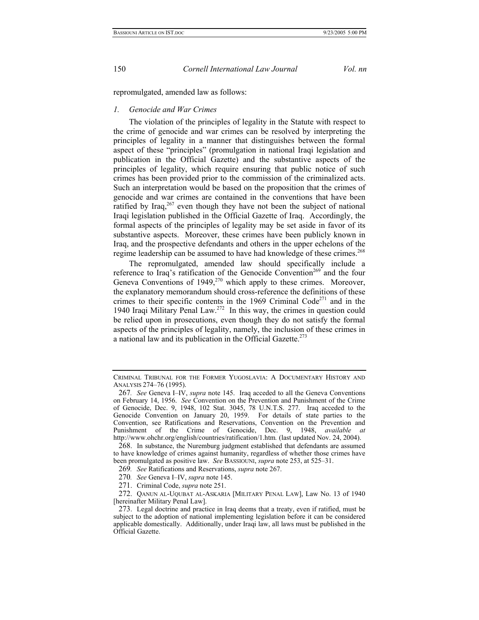repromulgated, amended law as follows:

## *1. Genocide and War Crimes*

The violation of the principles of legality in the Statute with respect to the crime of genocide and war crimes can be resolved by interpreting the principles of legality in a manner that distinguishes between the formal aspect of these "principles" (promulgation in national Iraqi legislation and publication in the Official Gazette) and the substantive aspects of the principles of legality, which require ensuring that public notice of such crimes has been provided prior to the commission of the criminalized acts. Such an interpretation would be based on the proposition that the crimes of genocide and war crimes are contained in the conventions that have been ratified by Iraq,  $267$  even though they have not been the subject of national Iraqi legislation published in the Official Gazette of Iraq. Accordingly, the formal aspects of the principles of legality may be set aside in favor of its substantive aspects. Moreover, these crimes have been publicly known in Iraq, and the prospective defendants and others in the upper echelons of the regime leadership can be assumed to have had knowledge of these crimes.<sup>[268](#page-49-1)</sup>

The repromulgated, amended law should specifically include a reference to Iraq's ratification of the Genocide Convention<sup>269</sup> and the four Geneva Conventions of  $1949$ <sup>270</sup> which apply to these crimes. Moreover, the explanatory memorandum should cross-reference the definitions of these crimes to their specific contents in the 1969 Criminal Code<sup>271</sup> and in the 1940 Iraqi Military Penal Law.<sup>[272](#page-49-5)</sup> In this way, the crimes in question could be relied upon in prosecutions, even though they do not satisfy the formal aspects of the principles of legality, namely, the inclusion of these crimes in a national law and its publication in the Official Gazette.<sup>273</sup>

CRIMINAL TRIBUNAL FOR THE FORMER YUGOSLAVIA: A DOCUMENTARY HISTORY AND ANALYSIS 274–76 (1995).

<span id="page-49-0"></span><sup>267</sup>*. See* Geneva I–IV, *supra* note 145. Iraq acceded to all the Geneva Conventions on February 14, 1956. *See* Convention on the Prevention and Punishment of the Crime of Genocide, Dec. 9, 1948, 102 Stat. 3045, 78 U.N.T.S. 277. Iraq acceded to the Genocide Convention on January 20, 1959. For details of state parties to the Convention, see Ratifications and Reservations, Convention on the Prevention and Punishment of the Crime of Genocide, Dec. 9, 1948, *available at*  http://www.ohchr.org/english/countries/ratification/1.htm*.* (last updated Nov. 24, 2004).

<span id="page-49-1"></span><sup>268.</sup> In substance, the Nuremburg judgment established that defendants are assumed to have knowledge of crimes against humanity, regardless of whether those crimes have been promulgated as positive law. *See* BASSIOUNI, *supra* note 253, at 525–31.

<span id="page-49-2"></span><sup>269</sup>*. See* Ratifications and Reservations, *supra* note 267.

<span id="page-49-3"></span><sup>270</sup>*. See* Geneva I–IV, *supra* note 145.

<span id="page-49-4"></span><sup>271.</sup> Criminal Code, *supra* note 251.

<span id="page-49-5"></span><sup>272.</sup> QANUN AL-UQUBAT AL-ASKARIA [MILITARY PENAL LAW], Law No. 13 of 1940 [hereinafter Military Penal Law].

<span id="page-49-6"></span><sup>273.</sup> Legal doctrine and practice in Iraq deems that a treaty, even if ratified, must be subject to the adoption of national implementing legislation before it can be considered applicable domestically. Additionally, under Iraqi law, all laws must be published in the Official Gazette.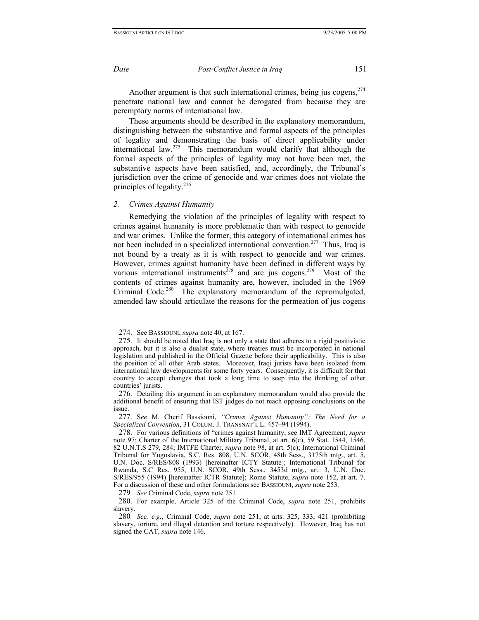Another argument is that such international crimes, being jus cogens, <sup>[274](#page-50-0)</sup> penetrate national law and cannot be derogated from because they are peremptory norms of international law.

These arguments should be described in the explanatory memorandum, distinguishing between the substantive and formal aspects of the principles of legality and demonstrating the basis of direct applicability under international law.[275](#page-50-1) This memorandum would clarify that although the formal aspects of the principles of legality may not have been met, the substantive aspects have been satisfied, and, accordingly, the Tribunal's jurisdiction over the crime of genocide and war crimes does not violate the principles of legality. $276$ 

### *2. Crimes Against Humanity*

Remedying the violation of the principles of legality with respect to crimes against humanity is more problematic than with respect to genocide and war crimes. Unlike the former, this category of international crimes has not been included in a specialized international convention.<sup>277</sup> Thus, Iraq is not bound by a treaty as it is with respect to genocide and war crimes. However, crimes against humanity have been defined in different ways by various international instruments<sup>278</sup> and are jus cogens.<sup>279</sup> Most of the contents of crimes against humanity are, however, included in the 1969 Criminal Code.<sup>280</sup> The explanatory memorandum of the repromulgated, amended law should articulate the reasons for the permeation of jus cogens

<span id="page-50-5"></span>279*. See* Criminal Code, *supra* note 251

<span id="page-50-0"></span><sup>274.</sup> See BASSIOUNI, *supra* note 40, at 167.

<span id="page-50-1"></span><sup>275.</sup> It should be noted that Iraq is not only a state that adheres to a rigid positivistic approach, but it is also a dualist state, where treaties must be incorporated in national legislation and published in the Official Gazette before their applicability. This is also the position of all other Arab states. Moreover, Iraqi jurists have been isolated from international law developments for some forty years. Consequently, it is difficult for that country to accept changes that took a long time to seep into the thinking of other countries' jurists.

<span id="page-50-2"></span><sup>276.</sup> Detailing this argument in an explanatory memorandum would also provide the additional benefit of ensuring that IST judges do not reach opposing conclusions on the issue.

<span id="page-50-3"></span><sup>277.</sup> S*ee* M. Cherif Bassiouni, *"Crimes Against Humanity": The Need for a Specialized Convention*, 31 COLUM. J. TRANSNAT'L L. 457–94 (1994).

<span id="page-50-4"></span><sup>278.</sup> For various definitions of "crimes against humanity, see IMT Agreement, *supra*  note 97; Charter of the International Military Tribunal, at art. 6(c), 59 Stat. 1544, 1546, 82 U.N.T.S 279, 284; IMTFE Charter, *supra* note 98, at art. 5(c); International Criminal Tribunal for Yugoslavia, S.C. Res. 808, U.N. SCOR, 48th Sess., 3175th mtg., art. 5, U.N. Doc. S/RES/808 (1993) [hereinafter ICTY Statute]; International Tribunal for Rwanda, S.C Res. 955, U.N. SCOR, 49th Sess., 3453d mtg., art. 3, U.N. Doc. S/RES/955 (1994) [hereinafter ICTR Statute]; Rome Statute, *supra* note 152, at art. 7. For a discussion of these and other formulations see BASSIOUNI, *supra* note 253.

<span id="page-50-6"></span><sup>280.</sup> For example, Article 325 of the Criminal Code, *supra* note 251, prohibits slavery.

<sup>280</sup>*. See, e.g.*, Criminal Code, *supra* note 251, at arts. 325, 333, 421 (prohibiting slavery, torture, and illegal detention and torture respectively). However, Iraq has not signed the CAT, *supra* note 146.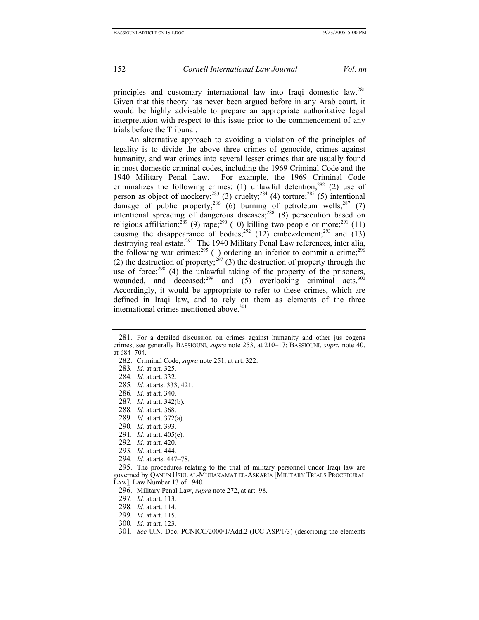<span id="page-51-20"></span>

principles and customary international law into Iraqi domestic law.<sup>281</sup> Given that this theory has never been argued before in any Arab court, it would be highly advisable to prepare an appropriate authoritative legal interpretation with respect to this issue prior to the commencement of any trials before the Tribunal.

An alternative approach to avoiding a violation of the principles of legality is to divide the above three crimes of genocide, crimes against humanity, and war crimes into several lesser crimes that are usually found in most domestic criminal codes, including the 1969 Criminal Code and the 1940 Military Penal Law. For example, the 1969 Criminal Code criminalizes the following crimes: (1) unlawful detention;<sup>282</sup> (2) use of person as object of mockery;<sup>283</sup> (3) cruelty;<sup>284</sup> (4) torture;<sup>285</sup> (5) intentional damage of public property;<sup>286</sup> (6) burning of petroleum wells;<sup>287</sup> (7) intentional spreading of dangerous diseases;<sup>288</sup> (8) persecution based on religious affiliation;<sup>289</sup> (9) rape;<sup>290</sup> (10) killing two people or more;<sup>291</sup> (11) causing the disappearance of bodies;<sup>292</sup> (12) embezzlement;<sup>293</sup> and (13) destroying real estate.<sup>294</sup> The 1940 Military Penal Law references, inter alia, the following war crimes:  $295$  (1) ordering an inferior to commit a crime;  $296$ (2) the destruction of property;<sup>297</sup> (3) the destruction of property through the use of force; $298$  (4) the unlawful taking of the property of the prisoners, wounded, and deceased;<sup>299</sup> and  $(5)$  overlooking criminal acts.<sup>300</sup> Accordingly, it would be appropriate to refer to these crimes, which are defined in Iraqi law, and to rely on them as elements of the three international crimes mentioned above.<sup>301</sup>

<span id="page-51-0"></span><sup>281.</sup> For a detailed discussion on crimes against humanity and other jus cogens crimes, see generally BASSIOUNI, *supra* note 253, at 210–17; BASSIOUNI, *supra* note 40, at 684–704.

<span id="page-51-1"></span><sup>282.</sup> Criminal Code, *supra* note 251, at art. 322.

<span id="page-51-2"></span><sup>283</sup>*. Id.* at art. 325.

<span id="page-51-3"></span><sup>284</sup>*. Id.* at art. 332.

<span id="page-51-4"></span><sup>285</sup>*. Id.* at arts. 333, 421.

<span id="page-51-5"></span><sup>286</sup>*. Id.* at art. 340.

<span id="page-51-6"></span><sup>287</sup>*. Id.* at art. 342(b).

<span id="page-51-7"></span><sup>288</sup>*. Id.* at art. 368.

<span id="page-51-8"></span><sup>289</sup>*. Id.* at art. 372(a).

<span id="page-51-9"></span><sup>290</sup>*. Id.* at art. 393.

<span id="page-51-10"></span><sup>291</sup>*. Id.* at art. 405(e).

<span id="page-51-11"></span><sup>292</sup>*. Id.* at art. 420.

<span id="page-51-12"></span><sup>293</sup>*. Id*. at art. 444.

<span id="page-51-13"></span><sup>294</sup>*. Id.* at arts. 447–78.

<span id="page-51-14"></span><sup>295.</sup> The procedures relating to the trial of military personnel under Iraqi law are governed by QANUN USUL AL-MUHAKAMAT EL-ASKARIA [MILITARY TRIALS PROCEDURAL LAW], Law Number 13 of 1940*.* 

<span id="page-51-15"></span><sup>296.</sup> Military Penal Law, *supra* note 272, at art. 98.

<span id="page-51-16"></span><sup>297</sup>*. Id.* at art. 113.

<span id="page-51-17"></span><sup>298</sup>*. Id.* at art. 114.

<span id="page-51-18"></span><sup>299</sup>*. Id.* at art. 115.

<span id="page-51-19"></span><sup>300</sup>*. Id.* at art. 123.

<sup>301</sup>*. See* U.N. Doc. PCNICC/2000/1/Add.2 (ICC-ASP/1/3) (describing the elements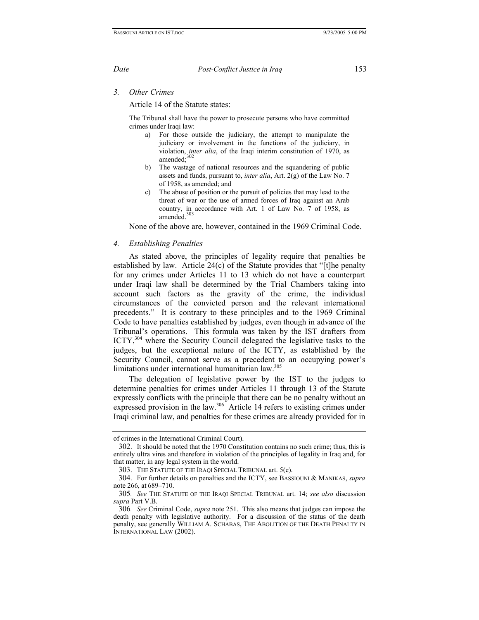*3. Other Crimes* 

Article 14 of the Statute states:

The Tribunal shall have the power to prosecute persons who have committed crimes under Iraqi law:

- a) For those outside the judiciary, the attempt to manipulate the judiciary or involvement in the functions of the judiciary, in violation, *inter alia*, of the Iraqi interim constitution of 1970, as amended:<sup>[302](#page-52-0)</sup>
- b) The wastage of national resources and the squandering of public assets and funds, pursuant to, *inter alia*, Art. 2(g) of the Law No. 7 of 1958, as amended; and
- c) The abuse of position or the pursuit of policies that may lead to the threat of war or the use of armed forces of Iraq against an Arab country, in accordance with Art. 1 of Law No. 7 of 1958, as amended.<sup>303</sup>

None of the above are, however, contained in the 1969 Criminal Code.

#### *4. Establishing Penalties*

As stated above, the principles of legality require that penalties be established by law. Article 24(c) of the Statute provides that "[t]he penalty for any crimes under Articles 11 to 13 which do not have a counterpart under Iraqi law shall be determined by the Trial Chambers taking into account such factors as the gravity of the crime, the individual circumstances of the convicted person and the relevant international precedents." It is contrary to these principles and to the 1969 Criminal Code to have penalties established by judges, even though in advance of the Tribunal's operations. This formula was taken by the IST drafters from ICTY,[304](#page-52-2) where the Security Council delegated the legislative tasks to the judges, but the exceptional nature of the ICTY, as established by the Security Council, cannot serve as a precedent to an occupying power's limitations under international humanitarian law.<sup>305</sup>

The delegation of legislative power by the IST to the judges to determine penalties for crimes under Articles 11 through 13 of the Statute expressly conflicts with the principle that there can be no penalty without an expressed provision in the law.<sup>306</sup> Article 14 refers to existing crimes under Iraqi criminal law, and penalties for these crimes are already provided for in

of crimes in the International Criminal Court).

<span id="page-52-0"></span><sup>302.</sup> It should be noted that the 1970 Constitution contains no such crime; thus, this is entirely ultra vires and therefore in violation of the principles of legality in Iraq and, for that matter, in any legal system in the world.

<span id="page-52-1"></span><sup>303.</sup> THE STATUTE OF THE IRAQI SPECIAL TRIBUNAL art. 5(e).

<span id="page-52-2"></span><sup>304.</sup> For further details on penalties and the ICTY, see BASSIOUNI & MANIKAS, *supra* note 266, at 689–710.

<span id="page-52-3"></span><sup>305</sup>*. See* THE STATUTE OF THE IRAQI SPECIAL TRIBUNAL art. 14; *see also* discussion *supra* Part V.B.

<span id="page-52-4"></span><sup>306</sup>*. See* Criminal Code, *supra* note 251. This also means that judges can impose the death penalty with legislative authority. For a discussion of the status of the death penalty, see generally WILLIAM A. SCHABAS, THE ABOLITION OF THE DEATH PENALTY IN INTERNATIONAL LAW (2002).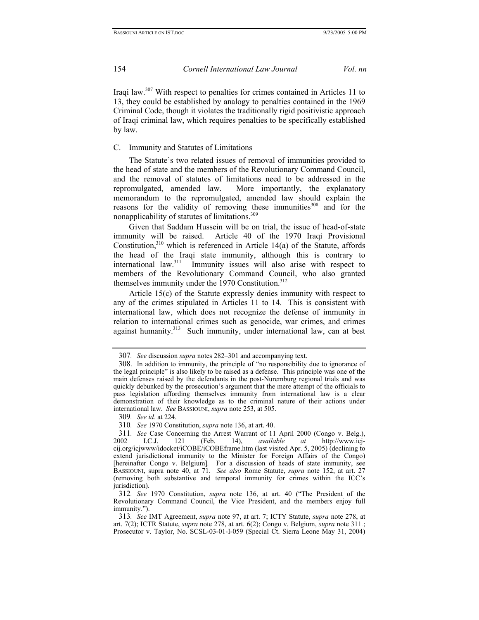<span id="page-53-6"></span>Iraqi law.[307 W](#page-53-0)ith respect to penalties for crimes contained in Articles 11 to 13, they could be established by analogy to penalties contained in the 1969 Criminal Code, though it violates the traditionally rigid positivistic approach of Iraqi criminal law, which requires penalties to be specifically established by law.

## C. Immunity and Statutes of Limitations

The Statute's two related issues of removal of immunities provided to the head of state and the members of the Revolutionary Command Council, and the removal of statutes of limitations need to be addressed in the repromulgated, amended law. More importantly, the explanatory memorandum to the repromulgated, amended law should explain the reasons for the validity of removing these immunities<sup>308</sup> and for the nonapplicability of statutes of limitations.<sup>309</sup>

Given that Saddam Hussein will be on trial, the issue of head-of-state immunity will be raised. Article 40 of the 1970 Iraqi Provisional Constitution, $310$  which is referenced in Article 14(a) of the Statute, affords the head of the Iraqi state immunity, although this is contrary to international law.<sup>311</sup> Immunity issues will also arise with respect to members of the Revolutionary Command Council, who also granted themselves immunity under the 1970 Constitution.<sup>[312](#page-53-5)</sup>

Article 15(c) of the Statute expressly denies immunity with respect to any of the crimes stipulated in Articles 11 to 14. This is consistent with international law, which does not recognize the defense of immunity in relation to international crimes such as genocide, war crimes, and crimes against humanity.<sup>313</sup> Such immunity, under international law, can at best

<span id="page-53-2"></span>309*. See id.* at 224.

<span id="page-53-3"></span>310*. See* 1970 Constitution, *supra* note 136, at art. 40.

<span id="page-53-0"></span><sup>307</sup>*. See* discussion *supra* notes 282–301 and accompanying text.

<span id="page-53-1"></span><sup>308.</sup> In addition to immunity, the principle of "no responsibility due to ignorance of the legal principle" is also likely to be raised as a defense. This principle was one of the main defenses raised by the defendants in the post-Nuremburg regional trials and was quickly debunked by the prosecution's argument that the mere attempt of the officials to pass legislation affording themselves immunity from international law is a clear demonstration of their knowledge as to the criminal nature of their actions under international law. *See* BASSIOUNI, *supra* note 253, at 505.

<span id="page-53-4"></span><sup>311</sup>*. See* Case Concerning the Arrest Warrant of 11 April 2000 (Congo v. Belg.), 2002 I.C.J. 121 (Feb. 14), *available at* http://www.icjcij.org/icjwww/idocket/iCOBE/iCOBEframe.htm (last visited Apr. 5, 2005) (declining to extend jurisdictional immunity to the Minister for Foreign Affairs of the Congo) [hereinafter Congo v. Belgium]*.* For a discussion of heads of state immunity, see BASSIOUNI, supra note 40, at 71. *See also* Rome Statute, *supra* note 152, at art. 27 (removing both substantive and temporal immunity for crimes within the ICC's jurisdiction).

<span id="page-53-5"></span><sup>312</sup>*. See* 1970 Constitution, *supra* note 136, at art. 40 ("The President of the Revolutionary Command Council, the Vice President, and the members enjoy full immunity.").

<sup>313</sup>*. See* IMT Agreement, *supra* note 97, at art. 7; ICTY Statute, *supra* note 278, at art. 7(2); ICTR Statute, *supra* note 278, at art. 6(2); Congo v. Belgium, *supra* note 311*.*; Prosecutor v. Taylor, No. SCSL-03-01-I-059 (Special Ct. Sierra Leone May 31, 2004)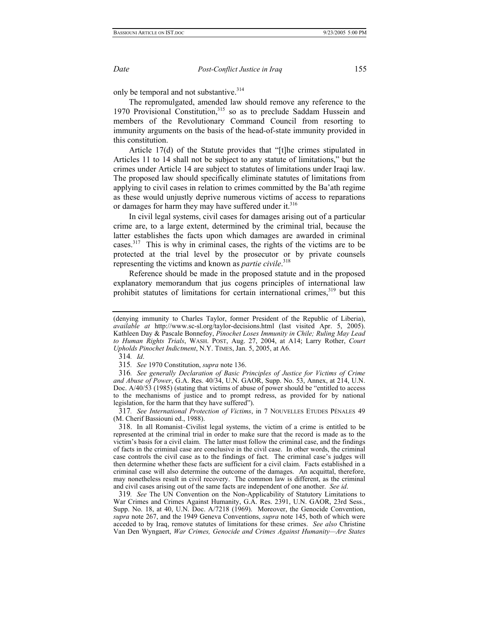<span id="page-54-5"></span>

only be temporal and not substantive.<sup>314</sup>

The repromulgated, amended law should remove any reference to the 1970 Provisional Constitution,<sup>315</sup> so as to preclude Saddam Hussein and members of the Revolutionary Command Council from resorting to immunity arguments on the basis of the head-of-state immunity provided in this constitution.

Article 17(d) of the Statute provides that "[t]he crimes stipulated in Articles 11 to 14 shall not be subject to any statute of limitations," but the crimes under Article 14 are subject to statutes of limitations under Iraqi law. The proposed law should specifically eliminate statutes of limitations from applying to civil cases in relation to crimes committed by the Ba'ath regime as these would unjustly deprive numerous victims of access to reparations or damages for harm they may have suffered under it.<sup>[316](#page-54-2)</sup>

In civil legal systems, civil cases for damages arising out of a particular crime are, to a large extent, determined by the criminal trial, because the latter establishes the facts upon which damages are awarded in criminal cases.[317](#page-54-3) This is why in criminal cases, the rights of the victims are to be protected at the trial level by the prosecutor or by private counsels representing the victims and known as *partie civile*. [318](#page-54-4)

Reference should be made in the proposed statute and in the proposed explanatory memorandum that jus cogens principles of international law prohibit statutes of limitations for certain international crimes,<sup>319</sup> but this

<span id="page-54-0"></span>314*. Id*.

<span id="page-54-1"></span>315*. See* 1970 Constitution, *supra* note 136.

<span id="page-54-2"></span>316*. See generally Declaration of Basic Principles of Justice for Victims of Crime and Abuse of Power*, G.A. Res. 40/34, U.N. GAOR, Supp. No. 53, Annex, at 214, U.N. Doc. A/40/53 (1985) (stating that victims of abuse of power should be "entitled to access to the mechanisms of justice and to prompt redress, as provided for by national legislation, for the harm that they have suffered").

<span id="page-54-3"></span>317*. See International Protection of Victims*, in 7 NOUVELLES ETUDES PÉNALES 49 (M. Cherif Bassiouni ed., 1988).

<span id="page-54-4"></span>318. In all Romanist–Civilist legal systems, the victim of a crime is entitled to be represented at the criminal trial in order to make sure that the record is made as to the victim's basis for a civil claim. The latter must follow the criminal case, and the findings of facts in the criminal case are conclusive in the civil case. In other words, the criminal case controls the civil case as to the findings of fact. The criminal case's judges will then determine whether these facts are sufficient for a civil claim. Facts established in a criminal case will also determine the outcome of the damages. An acquittal, therefore, may nonetheless result in civil recovery. The common law is different, as the criminal and civil cases arising out of the same facts are independent of one another. *See id*.

319*. See* The UN Convention on the Non-Applicability of Statutory Limitations to War Crimes and Crimes Against Humanity, G.A. Res. 2391, U.N. GAOR, 23rd Sess., Supp. No. 18, at 40, U.N. Doc. A/7218 (1969). Moreover, the Genocide Convention, *supra* note 267, and the 1949 Geneva Conventions, *supra* note 145, both of which were acceded to by Iraq, remove statutes of limitations for these crimes. *See also* Christine Van Den Wyngaert, *War Crimes, Genocide and Crimes Against Humanity—Are States* 

<sup>(</sup>denying immunity to Charles Taylor, former President of the Republic of Liberia), *available at* http://www.sc-sl.org/taylor-decisions.html (last visited Apr. 5, 2005). Kathleen Day & Pascale Bonnefoy, *Pinochet Loses Immunity in Chile; Ruling May Lead to Human Rights Trials*, WASH. POST, Aug. 27, 2004, at A14; Larry Rother, *Court Upholds Pinochet Indictment*, N.Y. TIMES, Jan. 5, 2005, at A6.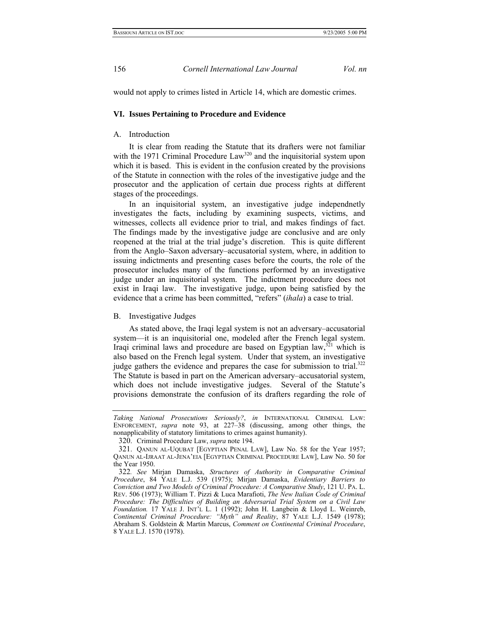would not apply to crimes listed in Article 14, which are domestic crimes.

### **VI. Issues Pertaining to Procedure and Evidence**

## A. Introduction

It is clear from reading the Statute that its drafters were not familiar with the 1971 Criminal Procedure  $Law<sup>320</sup>$  and the inquisitorial system upon which it is based. This is evident in the confusion created by the provisions of the Statute in connection with the roles of the investigative judge and the prosecutor and the application of certain due process rights at different stages of the proceedings.

In an inquisitorial system, an investigative judge independnetly investigates the facts, including by examining suspects, victims, and witnesses, collects all evidence prior to trial, and makes findings of fact. The findings made by the investigative judge are conclusive and are only reopened at the trial at the trial judge's discretion. This is quite different from the Anglo–Saxon adversary–accusatorial system, where, in addition to issuing indictments and presenting cases before the courts, the role of the prosecutor includes many of the functions performed by an investigative judge under an inquisitorial system. The indictment procedure does not exist in Iraqi law. The investigative judge, upon being satisfied by the evidence that a crime has been committed, "refers" (*ihala*) a case to trial.

### B. Investigative Judges

As stated above, the Iraqi legal system is not an adversary–accusatorial system—it is an inquisitorial one, modeled after the French legal system. Iraqi criminal laws and procedure are based on Egyptian law, $321$  which is also based on the French legal system. Under that system, an investigative judge gathers the evidence and prepares the case for submission to trial.<sup>322</sup> The Statute is based in part on the American adversary–accusatorial system, which does not include investigative judges. Several of the Statute's provisions demonstrate the confusion of its drafters regarding the role of

*Taking National Prosecutions Seriously?*, *in* INTERNATIONAL CRIMINAL LAW: ENFORCEMENT, *supra* note 93, at 227–38 (discussing, among other things, the nonapplicability of statutory limitations to crimes against humanity).

<span id="page-55-0"></span><sup>320.</sup> Criminal Procedure Law, *supra* note 194.

<span id="page-55-1"></span><sup>321.</sup> QANUN AL-UQUBAT [EGYPTIAN PENAL LAW], Law No. 58 for the Year 1957; QANUN AL-IJRAAT AL-JENA'EIA [EGYPTIAN CRIMINAL PROCEDURE LAW], Law No. 50 for the Year 1950.

<span id="page-55-2"></span><sup>322</sup>*. See* Mirjan Damaska, *Structures of Authority in Comparative Criminal Procedure*, 84 YALE L.J. 539 (1975); Mirjan Damaska, *Evidentiary Barriers to Conviction and Two Models of Criminal Procedure: A Comparative Study*, 121 U. PA. L. REV. 506 (1973); William T. Pizzi & Luca Marafioti, *The New Italian Code of Criminal Procedure: The Difficulties of Building an Adversarial Trial System on a Civil Law Foundation.* 17 YALE J. INT'L L. 1 (1992); John H. Langbein & Lloyd L. Weinreb, *Continental Criminal Procedure: "Myth" and Reality*, 87 YALE L.J. 1549 (1978); Abraham S. Goldstein & Martin Marcus, *Comment on Continental Criminal Procedure*, 8 YALE L.J. 1570 (1978).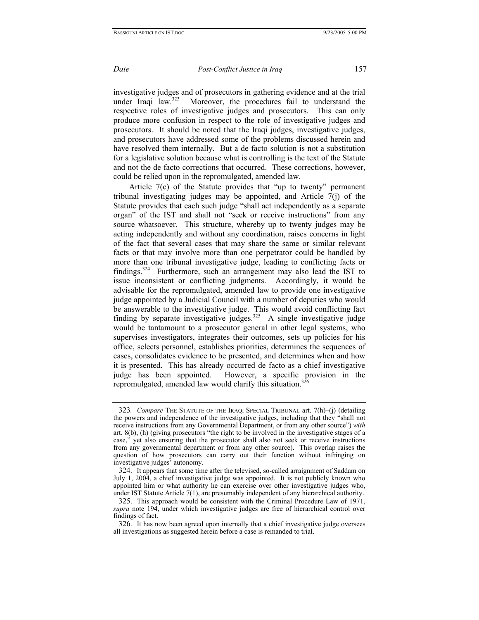investigative judges and of prosecutors in gathering evidence and at the trial under Iraqi law. $323$  Moreover, the procedures fail to understand the respective roles of investigative judges and prosecutors. This can only produce more confusion in respect to the role of investigative judges and prosecutors. It should be noted that the Iraqi judges, investigative judges, and prosecutors have addressed some of the problems discussed herein and have resolved them internally. But a de facto solution is not a substitution for a legislative solution because what is controlling is the text of the Statute and not the de facto corrections that occurred. These corrections, however, could be relied upon in the repromulgated, amended law.

Article 7(c) of the Statute provides that "up to twenty" permanent tribunal investigating judges may be appointed, and Article 7(j) of the Statute provides that each such judge "shall act independently as a separate organ" of the IST and shall not "seek or receive instructions" from any source whatsoever. This structure, whereby up to twenty judges may be acting independently and without any coordination, raises concerns in light of the fact that several cases that may share the same or similar relevant facts or that may involve more than one perpetrator could be handled by more than one tribunal investigative judge, leading to conflicting facts or findings. $324$  Furthermore, such an arrangement may also lead the IST to issue inconsistent or conflicting judgments. Accordingly, it would be advisable for the repromulgated, amended law to provide one investigative judge appointed by a Judicial Council with a number of deputies who would be answerable to the investigative judge. This would avoid conflicting fact finding by separate investigative judges.<sup>325</sup> A single investigative judge would be tantamount to a prosecutor general in other legal systems, who supervises investigators, integrates their outcomes, sets up policies for his office, selects personnel, establishes priorities, determines the sequences of cases, consolidates evidence to be presented, and determines when and how it is presented. This has already occurred de facto as a chief investigative judge has been appointed. However, a specific provision in the repromulgated, amended law would clarify this situation.<sup>[326](#page-56-3)</sup>

<span id="page-56-0"></span><sup>323</sup>*. Compare* THE STATUTE OF THE IRAQI SPECIAL TRIBUNAL art. 7(h)–(j) (detailing the powers and independence of the investigative judges, including that they "shall not receive instructions from any Governmental Department, or from any other source") *with* art. 8(b), (h) (giving prosecutors "the right to be involved in the investigative stages of a case," yet also ensuring that the prosecutor shall also not seek or receive instructions from any governmental department or from any other source). This overlap raises the question of how prosecutors can carry out their function without infringing on investigative judges' autonomy.

<span id="page-56-1"></span><sup>324.</sup> It appears that some time after the televised, so-called arraignment of Saddam on July 1, 2004, a chief investigative judge was appointed. It is not publicly known who appointed him or what authority he can exercise over other investigative judges who, under IST Statute Article 7(1), are presumably independent of any hierarchical authority.

<span id="page-56-2"></span><sup>325.</sup> This approach would be consistent with the Criminal Procedure Law of 1971, *supra* note 194, under which investigative judges are free of hierarchical control over findings of fact.

<span id="page-56-3"></span><sup>326.</sup> It has now been agreed upon internally that a chief investigative judge oversees all investigations as suggested herein before a case is remanded to trial.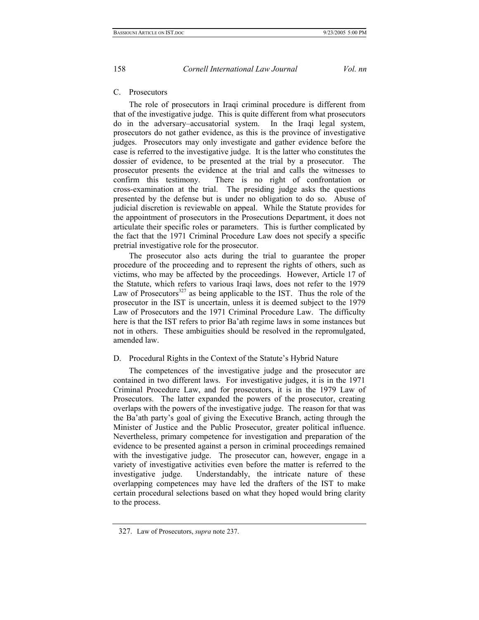## C. Prosecutors

The role of prosecutors in Iraqi criminal procedure is different from that of the investigative judge. This is quite different from what prosecutors do in the adversary–accusatorial system. In the Iraqi legal system, prosecutors do not gather evidence, as this is the province of investigative judges. Prosecutors may only investigate and gather evidence before the case is referred to the investigative judge. It is the latter who constitutes the dossier of evidence, to be presented at the trial by a prosecutor. The prosecutor presents the evidence at the trial and calls the witnesses to confirm this testimony. There is no right of confrontation or cross-examination at the trial. The presiding judge asks the questions presented by the defense but is under no obligation to do so. Abuse of judicial discretion is reviewable on appeal. While the Statute provides for the appointment of prosecutors in the Prosecutions Department, it does not articulate their specific roles or parameters. This is further complicated by the fact that the 1971 Criminal Procedure Law does not specify a specific pretrial investigative role for the prosecutor.

The prosecutor also acts during the trial to guarantee the proper procedure of the proceeding and to represent the rights of others, such as victims, who may be affected by the proceedings. However, Article 17 of the Statute, which refers to various Iraqi laws, does not refer to the 1979 Law of Prosecutors<sup>327</sup> as being applicable to the IST. Thus the role of the prosecutor in the IST is uncertain, unless it is deemed subject to the 1979 Law of Prosecutors and the 1971 Criminal Procedure Law. The difficulty here is that the IST refers to prior Ba'ath regime laws in some instances but not in others. These ambiguities should be resolved in the repromulgated, amended law.

## D. Procedural Rights in the Context of the Statute's Hybrid Nature

The competences of the investigative judge and the prosecutor are contained in two different laws. For investigative judges, it is in the 1971 Criminal Procedure Law, and for prosecutors, it is in the 1979 Law of Prosecutors. The latter expanded the powers of the prosecutor, creating overlaps with the powers of the investigative judge. The reason for that was the Ba'ath party's goal of giving the Executive Branch, acting through the Minister of Justice and the Public Prosecutor, greater political influence. Nevertheless, primary competence for investigation and preparation of the evidence to be presented against a person in criminal proceedings remained with the investigative judge. The prosecutor can, however, engage in a variety of investigative activities even before the matter is referred to the investigative judge. Understandably, the intricate nature of these overlapping competences may have led the drafters of the IST to make certain procedural selections based on what they hoped would bring clarity to the process.

<span id="page-57-0"></span><sup>327.</sup> Law of Prosecutors, *supra* note 237.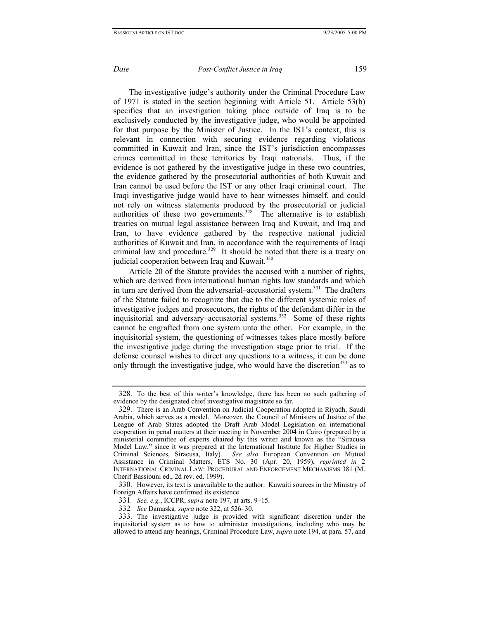<span id="page-58-5"></span>

The investigative judge's authority under the Criminal Procedure Law of 1971 is stated in the section beginning with Article 51. Article 53(b) specifies that an investigation taking place outside of Iraq is to be exclusively conducted by the investigative judge, who would be appointed for that purpose by the Minister of Justice. In the IST's context, this is relevant in connection with securing evidence regarding violations committed in Kuwait and Iran, since the IST's jurisdiction encompasses crimes committed in these territories by Iraqi nationals. Thus, if the evidence is not gathered by the investigative judge in these two countries, the evidence gathered by the prosecutorial authorities of both Kuwait and Iran cannot be used before the IST or any other Iraqi criminal court. The Iraqi investigative judge would have to hear witnesses himself, and could not rely on witness statements produced by the prosecutorial or judicial authorities of these two governments.<sup>328</sup> The alternative is to establish treaties on mutual legal assistance between Iraq and Kuwait, and Iraq and Iran, to have evidence gathered by the respective national judicial authorities of Kuwait and Iran, in accordance with the requirements of Iraqi criminal law and procedure.<sup>329</sup> It should be noted that there is a treaty on judicial cooperation between Iraq and Kuwait.<sup>[330](#page-58-2)</sup>

Article 20 of the Statute provides the accused with a number of rights, which are derived from international human rights law standards and which in turn are derived from the adversarial–accusatorial system.<sup>331</sup> The drafters of the Statute failed to recognize that due to the different systemic roles of investigative judges and prosecutors, the rights of the defendant differ in the inquisitorial and adversary–accusatorial systems.[332](#page-58-4)Some of these rights cannot be engrafted from one system unto the other. For example, in the inquisitorial system, the questioning of witnesses takes place mostly before the investigative judge during the investigation stage prior to trial. If the defense counsel wishes to direct any questions to a witness, it can be done only through the investigative judge, who would have the discretion<sup>333</sup> as to

<span id="page-58-0"></span><sup>328.</sup> To the best of this writer's knowledge, there has been no such gathering of evidence by the designated chief investigative magistrate so far.

<span id="page-58-1"></span><sup>329.</sup> There is an Arab Convention on Judicial Cooperation adopted in Riyadh, Saudi Arabia, which serves as a model. Moreover, the Council of Ministers of Justice of the League of Arab States adopted the Draft Arab Model Legislation on international cooperation in penal matters at their meeting in November 2004 in Cairo (prepared by a ministerial committee of experts chaired by this writer and known as the "Siracusa Model Law," since it was prepared at the International Institute for Higher Studies in Criminal Sciences, Siracusa, Italy). *See also* European Convention on Mutual Assistance in Criminal Matters, ETS No. 30 (Apr. 20, 1959), *reprinted in* 2 INTERNATIONAL CRIMINAL LAW: PROCEDURAL AND ENFORCEMENT MECHANISMS 381 (M. Cherif Bassiouni ed., 2d rev. ed. 1999).

<span id="page-58-2"></span><sup>330.</sup> However, its text is unavailable to the author. Kuwaiti sources in the Ministry of Foreign Affairs have confirmed its existence.

<span id="page-58-3"></span><sup>331</sup>*. See, e.g.*, ICCPR, *supra* note 197, at arts. 9–15.

<span id="page-58-4"></span><sup>332</sup>*. See* Damaska*, supra* note 322, at 526–30.

<sup>333.</sup> The investigative judge is provided with significant discretion under the inquisitorial system as to how to administer investigations, including who may be allowed to attend any hearings, Criminal Procedure Law, *supra* note 194, at para. 57, and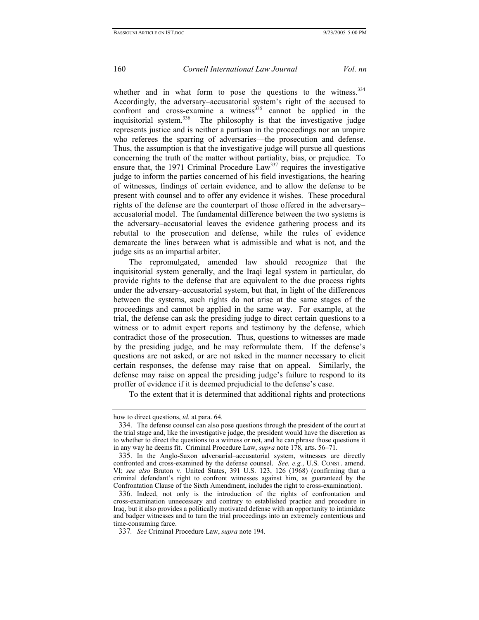whether and in what form to pose the questions to the witness.<sup>334</sup> Accordingly, the adversary–accusatorial system's right of the accused to confront and cross-examine a witness<sup>335</sup> cannot be applied in the inquisitorial system.<sup>336</sup> The philosophy is that the investigative judge represents justice and is neither a partisan in the proceedings nor an umpire who referees the sparring of adversaries—the prosecution and defense. Thus, the assumption is that the investigative judge will pursue all questions concerning the truth of the matter without partiality, bias, or prejudice. To ensure that, the 1971 Criminal Procedure  $Law<sup>337</sup>$  requires the investigative judge to inform the parties concerned of his field investigations, the hearing of witnesses, findings of certain evidence, and to allow the defense to be present with counsel and to offer any evidence it wishes. These procedural rights of the defense are the counterpart of those offered in the adversary– accusatorial model. The fundamental difference between the two systems is the adversary–accusatorial leaves the evidence gathering process and its rebuttal to the prosecution and defense, while the rules of evidence demarcate the lines between what is admissible and what is not, and the judge sits as an impartial arbiter.

The repromulgated, amended law should recognize that the inquisitorial system generally, and the Iraqi legal system in particular, do provide rights to the defense that are equivalent to the due process rights under the adversary–accusatorial system, but that, in light of the differences between the systems, such rights do not arise at the same stages of the proceedings and cannot be applied in the same way. For example, at the trial, the defense can ask the presiding judge to direct certain questions to a witness or to admit expert reports and testimony by the defense, which contradict those of the prosecution. Thus, questions to witnesses are made by the presiding judge, and he may reformulate them. If the defense's questions are not asked, or are not asked in the manner necessary to elicit certain responses, the defense may raise that on appeal. Similarly, the defense may raise on appeal the presiding judge's failure to respond to its proffer of evidence if it is deemed prejudicial to the defense's case.

To the extent that it is determined that additional rights and protections

how to direct questions, *id.* at para. 64.

<span id="page-59-0"></span><sup>334.</sup> The defense counsel can also pose questions through the president of the court at the trial stage and, like the investigative judge, the president would have the discretion as to whether to direct the questions to a witness or not, and he can phrase those questions it in any way he deems fit. Criminal Procedure Law, *supra* note 178, arts. 56–71.

<span id="page-59-1"></span><sup>335.</sup> In the Anglo-Saxon adversarial–accusatorial system, witnesses are directly confronted and cross-examined by the defense counsel. *See. e.g.*, U.S. CONST. amend. VI; *see also* Bruton v. United States, 391 U.S. 123, 126 (1968) (confirming that a criminal defendant's right to confront witnesses against him, as guaranteed by the Confrontation Clause of the Sixth Amendment, includes the right to cross-examination).

<span id="page-59-2"></span><sup>336.</sup> Indeed, not only is the introduction of the rights of confrontation and cross-examination unnecessary and contrary to established practice and procedure in Iraq, but it also provides a politically motivated defense with an opportunity to intimidate and badger witnesses and to turn the trial proceedings into an extremely contentious and time-consuming farce.

<span id="page-59-3"></span><sup>337</sup>*. See* Criminal Procedure Law, *supra* note 194.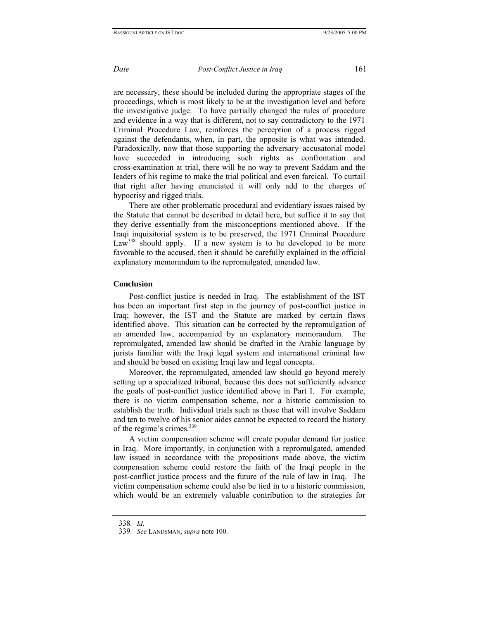are necessary, these should be included during the appropriate stages of the proceedings, which is most likely to be at the investigation level and before the investigative judge. To have partially changed the rules of procedure and evidence in a way that is different, not to say contradictory to the 1971 Criminal Procedure Law, reinforces the perception of a process rigged against the defendants, when, in part, the opposite is what was intended. Paradoxically, now that those supporting the adversary–accusatorial model have succeeded in introducing such rights as confrontation and cross-examination at trial, there will be no way to prevent Saddam and the leaders of his regime to make the trial political and even farcical. To curtail that right after having enunciated it will only add to the charges of hypocrisy and rigged trials.

There are other problematic procedural and evidentiary issues raised by the Statute that cannot be described in detail here, but suffice it to say that they derive essentially from the misconceptions mentioned above. If the Iraqi inquisitorial system is to be preserved, the 1971 Criminal Procedure  $Law<sup>338</sup>$  should apply. If a new system is to be developed to be more favorable to the accused, then it should be carefully explained in the official explanatory memorandum to the repromulgated, amended law.

## **Conclusion**

Post-conflict justice is needed in Iraq. The establishment of the IST has been an important first step in the journey of post-conflict justice in Iraq; however, the IST and the Statute are marked by certain flaws identified above. This situation can be corrected by the repromulgation of an amended law, accompanied by an explanatory memorandum. The repromulgated, amended law should be drafted in the Arabic language by jurists familiar with the Iraqi legal system and international criminal law and should be based on existing Iraqi law and legal concepts.

Moreover, the repromulgated, amended law should go beyond merely setting up a specialized tribunal, because this does not sufficiently advance the goals of post-conflict justice identified above in Part I. For example, there is no victim compensation scheme, nor a historic commission to establish the truth. Individual trials such as those that will involve Saddam and ten to twelve of his senior aides cannot be expected to record the history of the regime's crimes.<sup>[339](#page-60-1)</sup>

A victim compensation scheme will create popular demand for justice in Iraq. More importantly, in conjunction with a repromulgated, amended law issued in accordance with the propositions made above, the victim compensation scheme could restore the faith of the Iraqi people in the post-conflict justice process and the future of the rule of law in Iraq. The victim compensation scheme could also be tied in to a historic commission, which would be an extremely valuable contribution to the strategies for

<span id="page-60-0"></span><sup>338</sup>*. Id*.

<span id="page-60-1"></span><sup>339</sup>*. See* LANDSMAN, *supra* note 100.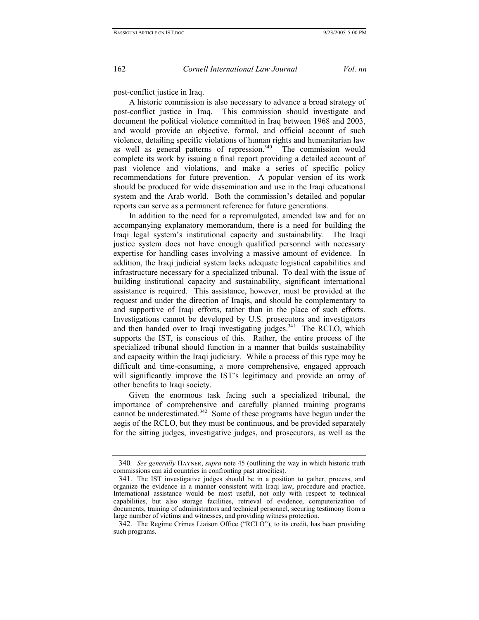post-conflict justice in Iraq.

A historic commission is also necessary to advance a broad strategy of post-conflict justice in Iraq. This commission should investigate and document the political violence committed in Iraq between 1968 and 2003, and would provide an objective, formal, and official account of such violence, detailing specific violations of human rights and humanitarian law as well as general patterns of repression.<sup>340</sup> The commission would complete its work by issuing a final report providing a detailed account of past violence and violations, and make a series of specific policy recommendations for future prevention. A popular version of its work should be produced for wide dissemination and use in the Iraqi educational system and the Arab world. Both the commission's detailed and popular reports can serve as a permanent reference for future generations.

In addition to the need for a repromulgated, amended law and for an accompanying explanatory memorandum, there is a need for building the Iraqi legal system's institutional capacity and sustainability. The Iraqi justice system does not have enough qualified personnel with necessary expertise for handling cases involving a massive amount of evidence. In addition, the Iraqi judicial system lacks adequate logistical capabilities and infrastructure necessary for a specialized tribunal.To deal with the issue of building institutional capacity and sustainability, significant international assistance is required. This assistance, however, must be provided at the request and under the direction of Iraqis, and should be complementary to and supportive of Iraqi efforts, rather than in the place of such efforts. Investigations cannot be developed by U.S. prosecutors and investigators and then handed over to Iraqi investigating judges.<sup>341</sup> The RCLO, which supports the IST, is conscious of this. Rather, the entire process of the specialized tribunal should function in a manner that builds sustainability and capacity within the Iraqi judiciary. While a process of this type may be difficult and time-consuming, a more comprehensive, engaged approach will significantly improve the IST's legitimacy and provide an array of other benefits to Iraqi society.

Given the enormous task facing such a specialized tribunal, the importance of comprehensive and carefully planned training programs cannot be underestimated.<sup>342</sup> Some of these programs have begun under the aegis of the RCLO, but they must be continuous, and be provided separately for the sitting judges, investigative judges, and prosecutors, as well as the

<span id="page-61-0"></span><sup>340</sup>*. See generally* HAYNER, *supra* note 45 (outlining the way in which historic truth commissions can aid countries in confronting past atrocities).

<span id="page-61-1"></span><sup>341.</sup> The IST investigative judges should be in a position to gather, process, and organize the evidence in a manner consistent with Iraqi law, procedure and practice. International assistance would be most useful, not only with respect to technical capabilities, but also storage facilities, retrieval of evidence, computerization of documents, training of administrators and technical personnel, securing testimony from a large number of victims and witnesses, and providing witness protection.

<span id="page-61-2"></span><sup>342.</sup> The Regime Crimes Liaison Office ("RCLO"), to its credit, has been providing such programs.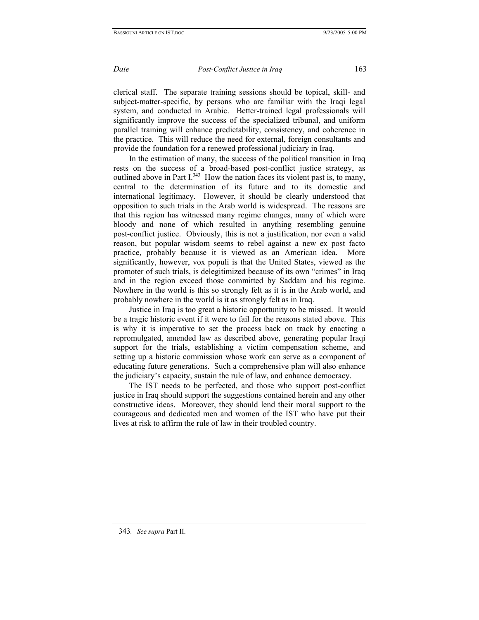clerical staff. The separate training sessions should be topical, skill- and subject-matter-specific, by persons who are familiar with the Iraqi legal system, and conducted in Arabic. Better-trained legal professionals will significantly improve the success of the specialized tribunal, and uniform parallel training will enhance predictability, consistency, and coherence in the practice. This will reduce the need for external, foreign consultants and provide the foundation for a renewed professional judiciary in Iraq.

In the estimation of many, the success of the political transition in Iraq rests on the success of a broad-based post-conflict justice strategy, as outlined above in Part I. $343$  How the nation faces its violent past is, to many, central to the determination of its future and to its domestic and international legitimacy. However, it should be clearly understood that opposition to such trials in the Arab world is widespread. The reasons are that this region has witnessed many regime changes, many of which were bloody and none of which resulted in anything resembling genuine post-conflict justice. Obviously, this is not a justification, nor even a valid reason, but popular wisdom seems to rebel against a new ex post facto practice, probably because it is viewed as an American idea. More significantly, however, vox populi is that the United States, viewed as the promoter of such trials, is delegitimized because of its own "crimes" in Iraq and in the region exceed those committed by Saddam and his regime. Nowhere in the world is this so strongly felt as it is in the Arab world, and probably nowhere in the world is it as strongly felt as in Iraq.

Justice in Iraq is too great a historic opportunity to be missed. It would be a tragic historic event if it were to fail for the reasons stated above. This is why it is imperative to set the process back on track by enacting a repromulgated, amended law as described above, generating popular Iraqi support for the trials, establishing a victim compensation scheme, and setting up a historic commission whose work can serve as a component of educating future generations. Such a comprehensive plan will also enhance the judiciary's capacity, sustain the rule of law, and enhance democracy.

<span id="page-62-0"></span>The IST needs to be perfected, and those who support post-conflict justice in Iraq should support the suggestions contained herein and any other constructive ideas. Moreover, they should lend their moral support to the courageous and dedicated men and women of the IST who have put their lives at risk to affirm the rule of law in their troubled country.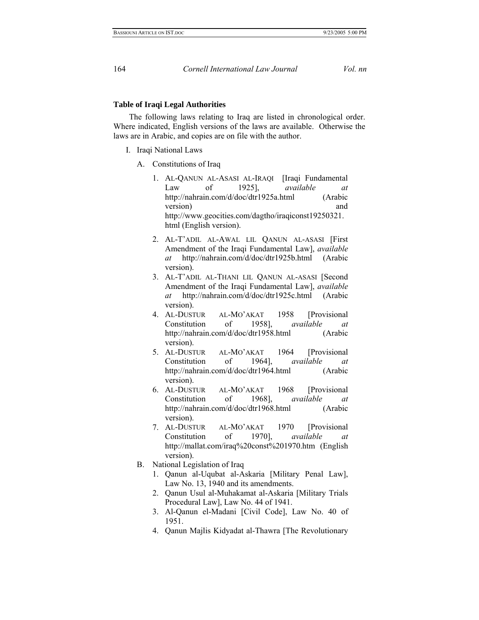## **Table of Iraqi Legal Authorities**

The following laws relating to Iraq are listed in chronological order. Where indicated, English versions of the laws are available. Otherwise the laws are in Arabic, and copies are on file with the author.

- I. Iraqi National Laws
	- A. Constitutions of Iraq
		- 1. AL-QANUN AL-ASASI AL-IRAQI [Iraqi Fundamental Law of 1925], *available at*  http://nahrain.com/d/doc/dtr1925a.html (Arabic version) and http://www.geocities.com/dagtho/iraqiconst19250321. html (English version).
		- 2. AL-T'ADIL AL-AWAL LIL QANUN AL-ASASI [First Amendment of the Iraqi Fundamental Law], *available at* http://nahrain.com/d/doc/dtr1925b.html (Arabic version).
		- 3. AL-T'ADIL AL-THANI LIL QANUN AL-ASASI [Second Amendment of the Iraqi Fundamental Law], *available at* http://nahrain.com/d/doc/dtr1925c.html (Arabic version).
		- 4. AL-DUSTUR AL-MO'AKAT 1958 [Provisional Constitution of 1958], *available at*  http://nahrain.com/d/doc/dtr1958.html (Arabic version).
		- 5. AL-DUSTUR AL-MO'AKAT 1964 [Provisional Constitution of 1964], *available at* http://nahrain.com/d/doc/dtr1964.html (Arabic version).
		- 6. AL-DUSTUR AL-MO'AKAT 1968 [Provisional Constitution of 1968], *available at*  http://nahrain.com/d/doc/dtr1968.html (Arabic version).
		- 7. AL-DUSTUR AL-MO'AKAT 1970 [Provisional Constitution of 1970], *available at*  http://mallat.com/iraq%20const%201970.htm (English version).
	- B. National Legislation of Iraq
		- 1. Qanun al-Uqubat al-Askaria [Military Penal Law], Law No. 13, 1940 and its amendments.
		- 2. Qanun Usul al-Muhakamat al-Askaria [Military Trials Procedural Law], Law No. 44 of 1941.
		- 3. Al-Qanun el-Madani [Civil Code], Law No. 40 of 1951.
		- 4. Qanun Majlis Kidyadat al-Thawra [The Revolutionary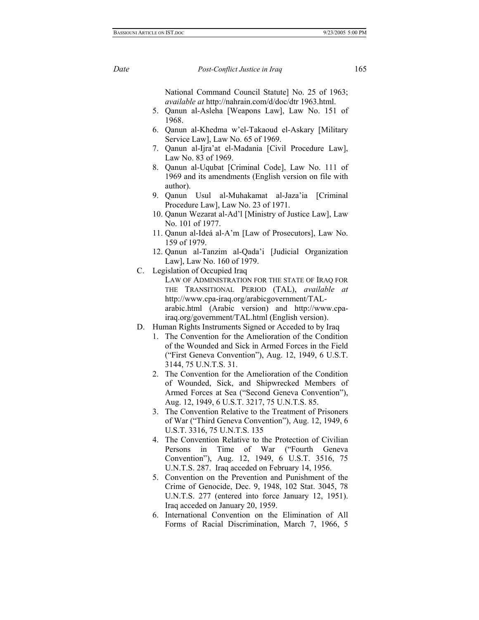National Command Council Statute] No. 25 of 1963; *available at* http://nahrain.com/d/doc/dtr 1963.html.

- 5. Qanun al-Asleha [Weapons Law], Law No. 151 of 1968.
- 6. Qanun al-Khedma w'el-Takaoud el-Askary [Military Service Law], Law No. 65 of 1969.
- 7. Qanun al-Ijra'at el-Madania [Civil Procedure Law], Law No. 83 of 1969.
- 8. Qanun al-Uqubat [Criminal Code], Law No. 111 of 1969 and its amendments (English version on file with author).
- 9. Qanun Usul al-Muhakamat al-Jaza'ia [Criminal Procedure Law], Law No. 23 of 1971.
- 10. Qanun Wezarat al-Ad'l [Ministry of Justice Law], Law No. 101 of 1977.
- 11. Qanun al-Ideá al-A'm [Law of Prosecutors], Law No. 159 of 1979.
- 12. Qanun al-Tanzim al-Qada'i [Judicial Organization Law], Law No. 160 of 1979.
- C. Legislation of Occupied Iraq
	- LAW OF ADMINISTRATION FOR THE STATE OF IRAQ FOR THE TRANSITIONAL PERIOD (TAL), *available at*  http://www.cpa-iraq.org/arabicgovernment/TALarabic.html (Arabic version) and http://www.cpairaq.org/government/TAL.html (English version).
- D. Human Rights Instruments Signed or Acceded to by Iraq
	- 1. The Convention for the Amelioration of the Condition of the Wounded and Sick in Armed Forces in the Field ("First Geneva Convention"), Aug. 12, 1949, 6 U.S.T. 3144, 75 U.N.T.S. 31.
	- 2. The Convention for the Amelioration of the Condition of Wounded, Sick, and Shipwrecked Members of Armed Forces at Sea ("Second Geneva Convention"), Aug. 12, 1949, 6 U.S.T. 3217, 75 U.N.T.S. 85.
	- 3. The Convention Relative to the Treatment of Prisoners of War ("Third Geneva Convention"), Aug. 12, 1949, 6 U.S.T. 3316, 75 U.N.T.S. 135
	- 4. The Convention Relative to the Protection of Civilian Persons in Time of War ("Fourth Geneva Convention"), Aug. 12, 1949, 6 U.S.T. 3516, 75 U.N.T.S. 287. Iraq acceded on February 14, 1956.
	- 5. Convention on the Prevention and Punishment of the Crime of Genocide, Dec. 9, 1948, 102 Stat. 3045, 78 U.N.T.S. 277 (entered into force January 12, 1951). Iraq acceded on January 20, 1959.
	- 6. International Convention on the Elimination of All Forms of Racial Discrimination, March 7, 1966, 5